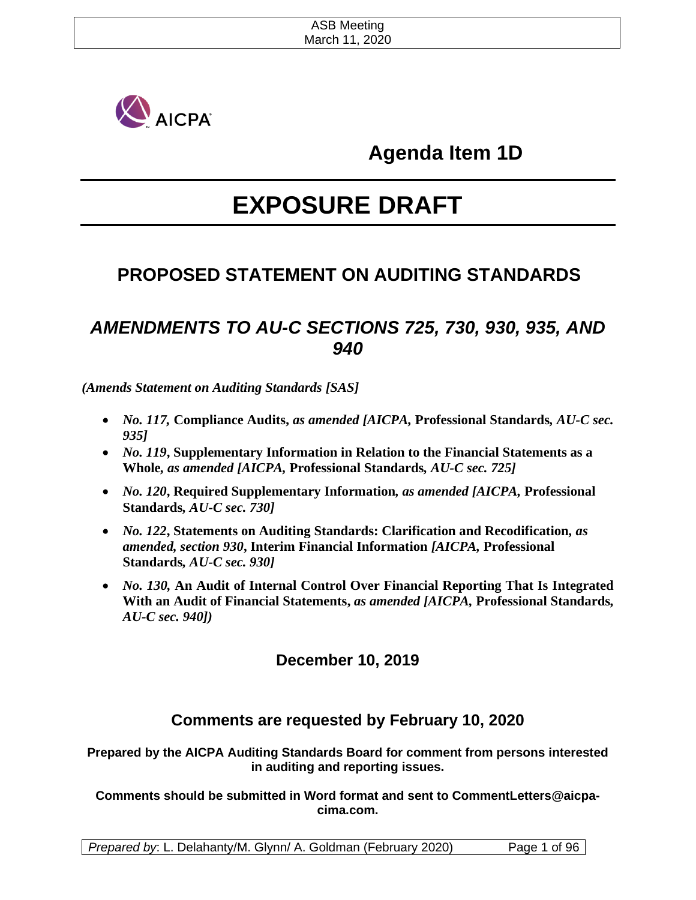

## **Agenda Item 1D**

# **EXPOSURE DRAFT**

## **PROPOSED STATEMENT ON AUDITING STANDARDS**

## *AMENDMENTS TO AU-C SECTIONS 725, 730, 930, 935, AND 940*

*(Amends Statement on Auditing Standards [SAS]*

- *No. 117,* **Compliance Audits,** *as amended [AICPA,* **Professional Standards***, AU-C sec. 935]*
- *No. 119***, Supplementary Information in Relation to the Financial Statements as a Whole***, as amended [AICPA,* **Professional Standards***, AU-C sec. 725]*
- *No. 120***, Required Supplementary Information***, as amended [AICPA,* **Professional Standards***, AU-C sec. 730]*
- *No. 122***, Statements on Auditing Standards: Clarification and Recodification***, as amended, section 930***, Interim Financial Information** *[AICPA,* **Professional Standards***, AU-C sec. 930]*
- *No. 130,* **An Audit of Internal Control Over Financial Reporting That Is Integrated With an Audit of Financial Statements,** *as amended [AICPA,* **Professional Standards***, AU-C sec. 940])*

**December 10, 2019**

## **Comments are requested by February 10, 2020**

**Prepared by the AICPA Auditing Standards Board for comment from persons interested in auditing and reporting issues.** 

**Comments should be submitted in Word format and sent to CommentLetters@aicpacima.com.**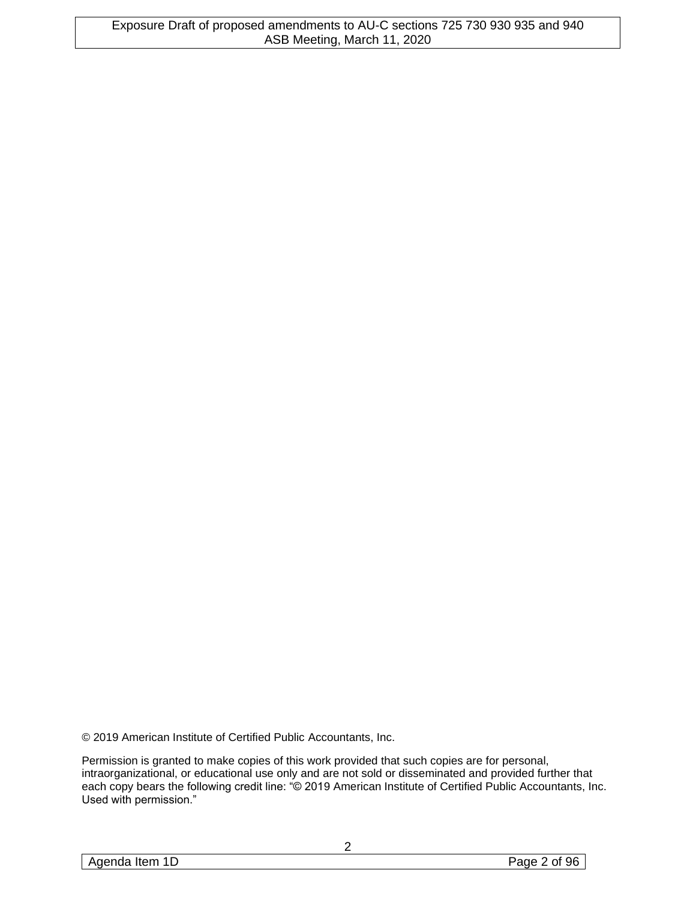#### Exposure Draft of proposed amendments to AU-C sections 725 730 930 935 and 940 ASB Meeting, March 11, 2020

© 2019 American Institute of Certified Public Accountants, Inc.

Permission is granted to make copies of this work provided that such copies are for personal, intraorganizational, or educational use only and are not sold or disseminated and provided further that each copy bears the following credit line: "© 2019 American Institute of Certified Public Accountants, Inc. Used with permission."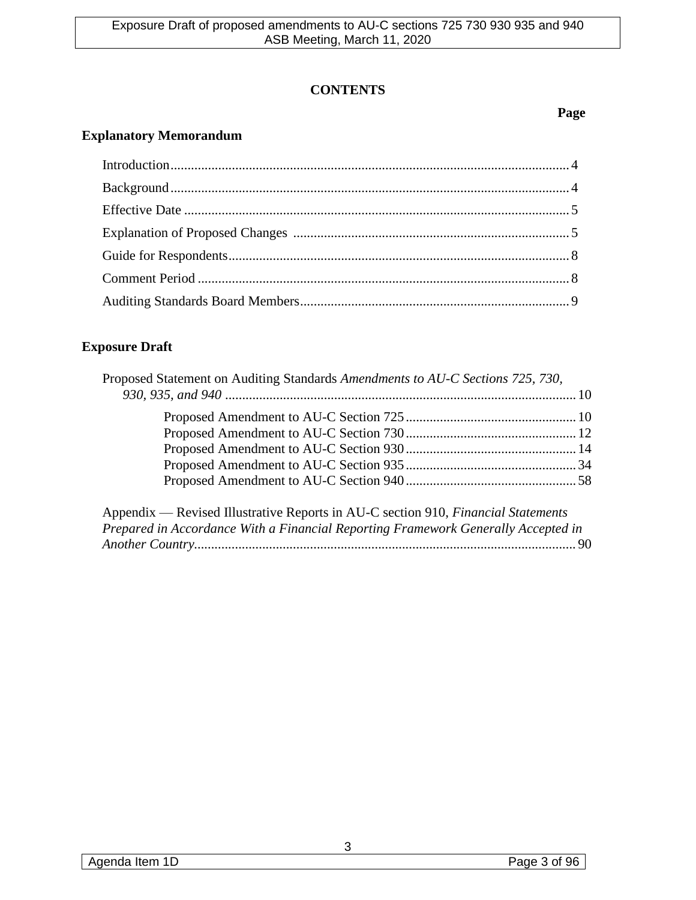#### **CONTENTS**

#### **Page**

#### **Explanatory Memorandum**

#### **Exposure Draft**

| Proposed Statement on Auditing Standards Amendments to AU-C Sections 725, 730, |  |
|--------------------------------------------------------------------------------|--|
|                                                                                |  |
|                                                                                |  |
|                                                                                |  |
|                                                                                |  |
|                                                                                |  |
|                                                                                |  |
|                                                                                |  |

Appendix — Revised Illustrative Reports in AU-C section 910, *Financial Statements Prepared in Accordance With a Financial Reporting Framework Generally Accepted in Another Country................................................................................................................* 90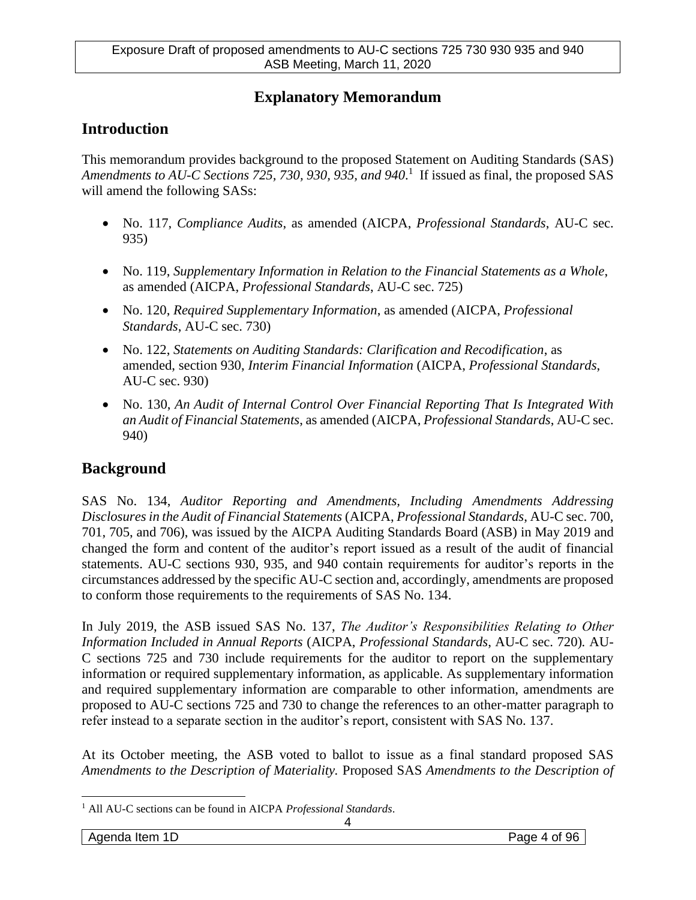## **Explanatory Memorandum**

### **Introduction**

This memorandum provides background to the proposed Statement on Auditing Standards (SAS) Amendments to AU-C Sections 725, 730, 930, 935, and 940.<sup>1</sup> If issued as final, the proposed SAS will amend the following SASs:

- No. 117, *Compliance Audits*, as amended (AICPA, *Professional Standards*, AU-C sec. 935)
- No. 119, *Supplementary Information in Relation to the Financial Statements as a Whole*, as amended (AICPA, *Professional Standards*, AU-C sec. 725)
- No. 120, *Required Supplementary Information*, as amended (AICPA, *Professional Standards*, AU-C sec. 730)
- No. 122, *Statements on Auditing Standards: Clarification and Recodification*, as amended, section 930, *Interim Financial Information* (AICPA, *Professional Standards*, AU-C sec. 930)
- No. 130, *An Audit of Internal Control Over Financial Reporting That Is Integrated With an Audit of Financial Statements*, as amended (AICPA, *Professional Standards*, AU-C sec. 940)

## **Background**

SAS No. 134, *Auditor Reporting and Amendments, Including Amendments Addressing Disclosures in the Audit of Financial Statements* (AICPA, *Professional Standards*, AU-C sec. 700, 701, 705, and 706), was issued by the AICPA Auditing Standards Board (ASB) in May 2019 and changed the form and content of the auditor's report issued as a result of the audit of financial statements. AU-C sections 930, 935, and 940 contain requirements for auditor's reports in the circumstances addressed by the specific AU-C section and, accordingly, amendments are proposed to conform those requirements to the requirements of SAS No. 134.

In July 2019, the ASB issued SAS No. 137, *The Auditor's Responsibilities Relating to Other Information Included in Annual Reports* (AICPA, *Professional Standards*, AU-C sec. 720)*.* AU-C sections 725 and 730 include requirements for the auditor to report on the supplementary information or required supplementary information, as applicable. As supplementary information and required supplementary information are comparable to other information, amendments are proposed to AU-C sections 725 and 730 to change the references to an other-matter paragraph to refer instead to a separate section in the auditor's report, consistent with SAS No. 137.

At its October meeting, the ASB voted to ballot to issue as a final standard proposed SAS *Amendments to the Description of Materiality.* Proposed SAS *Amendments to the Description of* 

<sup>1</sup> All AU-C sections can be found in AICPA *Professional Standards*.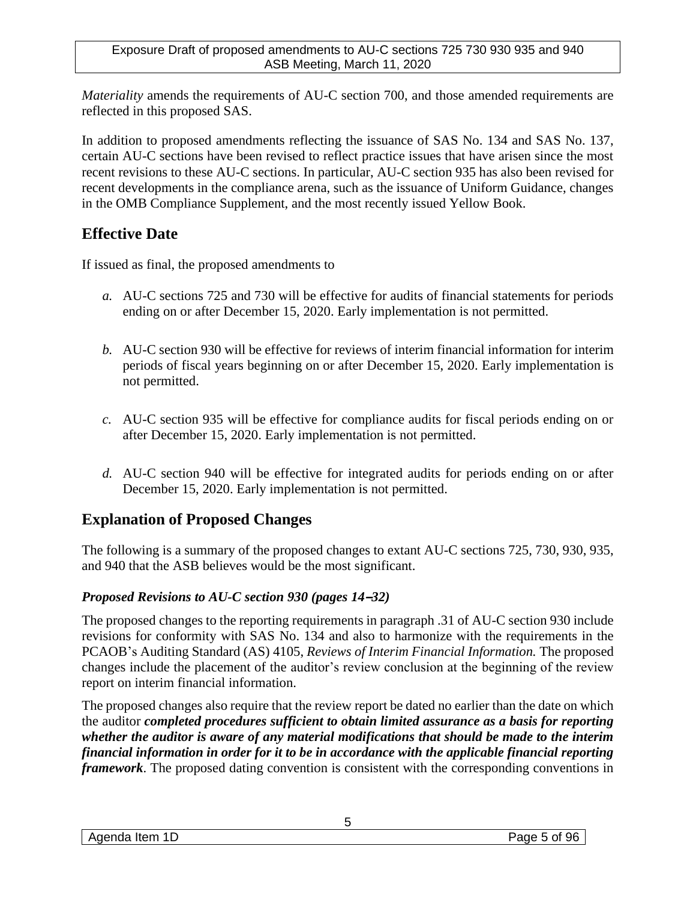*Materiality* amends the requirements of AU-C section 700, and those amended requirements are reflected in this proposed SAS.

In addition to proposed amendments reflecting the issuance of SAS No. 134 and SAS No. 137, certain AU-C sections have been revised to reflect practice issues that have arisen since the most recent revisions to these AU-C sections. In particular, AU-C section 935 has also been revised for recent developments in the compliance arena, such as the issuance of Uniform Guidance, changes in the OMB Compliance Supplement, and the most recently issued Yellow Book.

## **Effective Date**

If issued as final, the proposed amendments to

- *a.* AU-C sections 725 and 730 will be effective for audits of financial statements for periods ending on or after December 15, 2020. Early implementation is not permitted.
- *b.* AU-C section 930 will be effective for reviews of interim financial information for interim periods of fiscal years beginning on or after December 15, 2020. Early implementation is not permitted.
- *c.* AU-C section 935 will be effective for compliance audits for fiscal periods ending on or after December 15, 2020. Early implementation is not permitted.
- *d.* AU-C section 940 will be effective for integrated audits for periods ending on or after December 15, 2020. Early implementation is not permitted.

## **Explanation of Proposed Changes**

The following is a summary of the proposed changes to extant AU-C sections 725, 730, 930, 935, and 940 that the ASB believes would be the most significant.

#### *Proposed Revisions to AU-C section 930 (pages 14***–***32)*

The proposed changes to the reporting requirements in paragraph .31 of AU-C section 930 include revisions for conformity with SAS No. 134 and also to harmonize with the requirements in the PCAOB's Auditing Standard (AS) 4105, *Reviews of Interim Financial Information.* The proposed changes include the placement of the auditor's review conclusion at the beginning of the review report on interim financial information.

The proposed changes also require that the review report be dated no earlier than the date on which the auditor *completed procedures sufficient to obtain limited assurance as a basis for reporting whether the auditor is aware of any material modifications that should be made to the interim financial information in order for it to be in accordance with the applicable financial reporting framework*. The proposed dating convention is consistent with the corresponding conventions in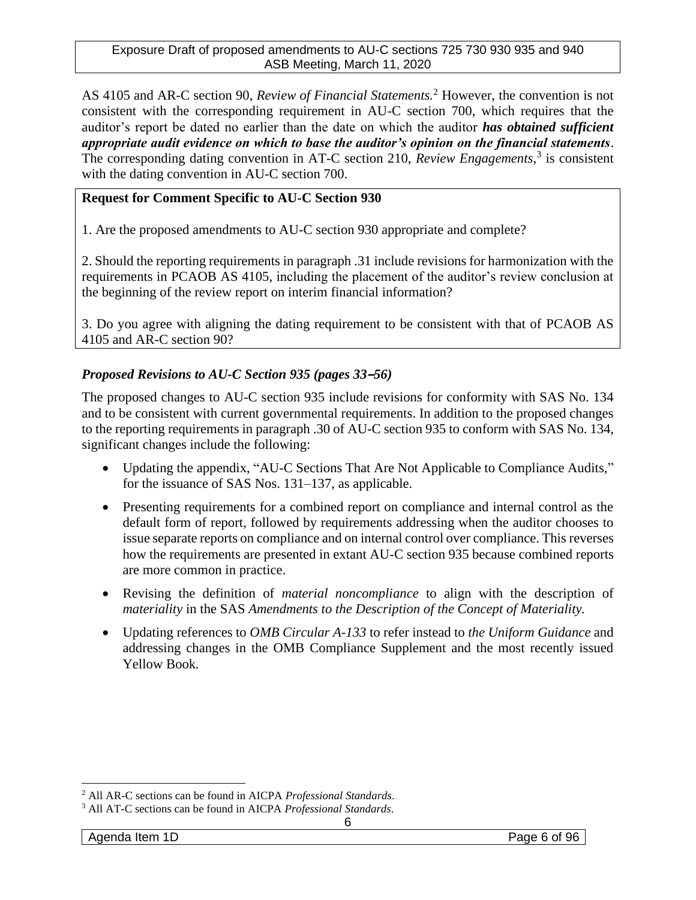AS 4105 and AR-C section 90, *Review of Financial Statements.*<sup>2</sup> However, the convention is not consistent with the corresponding requirement in AU-C section 700, which requires that the auditor's report be dated no earlier than the date on which the auditor *has obtained sufficient appropriate audit evidence on which to base the auditor's opinion on the financial statements*. The corresponding dating convention in AT-C section 210, *Review Engagements*, 3 is consistent with the dating convention in AU-C section 700.

#### **Request for Comment Specific to AU-C Section 930**

1. Are the proposed amendments to AU-C section 930 appropriate and complete?

2. Should the reporting requirements in paragraph .31 include revisions for harmonization with the requirements in PCAOB AS 4105, including the placement of the auditor's review conclusion at the beginning of the review report on interim financial information?

3. Do you agree with aligning the dating requirement to be consistent with that of PCAOB AS 4105 and AR-C section 90?

#### *Proposed Revisions to AU-C Section 935 (pages 33***–***56)*

The proposed changes to AU-C section 935 include revisions for conformity with SAS No. 134 and to be consistent with current governmental requirements. In addition to the proposed changes to the reporting requirements in paragraph .30 of AU-C section 935 to conform with SAS No. 134, significant changes include the following:

- Updating the appendix, "AU-C Sections That Are Not Applicable to Compliance Audits," for the issuance of SAS Nos. 131–137, as applicable.
- Presenting requirements for a combined report on compliance and internal control as the default form of report, followed by requirements addressing when the auditor chooses to issue separate reports on compliance and on internal control over compliance. This reverses how the requirements are presented in extant AU-C section 935 because combined reports are more common in practice.
- Revising the definition of *material noncompliance* to align with the description of *materiality* in the SAS *Amendments to the Description of the Concept of Materiality.*
- Updating references to *OMB Circular A-133* to refer instead to *the Uniform Guidance* and addressing changes in the OMB Compliance Supplement and the most recently issued Yellow Book*.*

<sup>2</sup> All AR-C sections can be found in AICPA *Professional Standards*.

<sup>3</sup> All AT-C sections can be found in AICPA *Professional Standards*.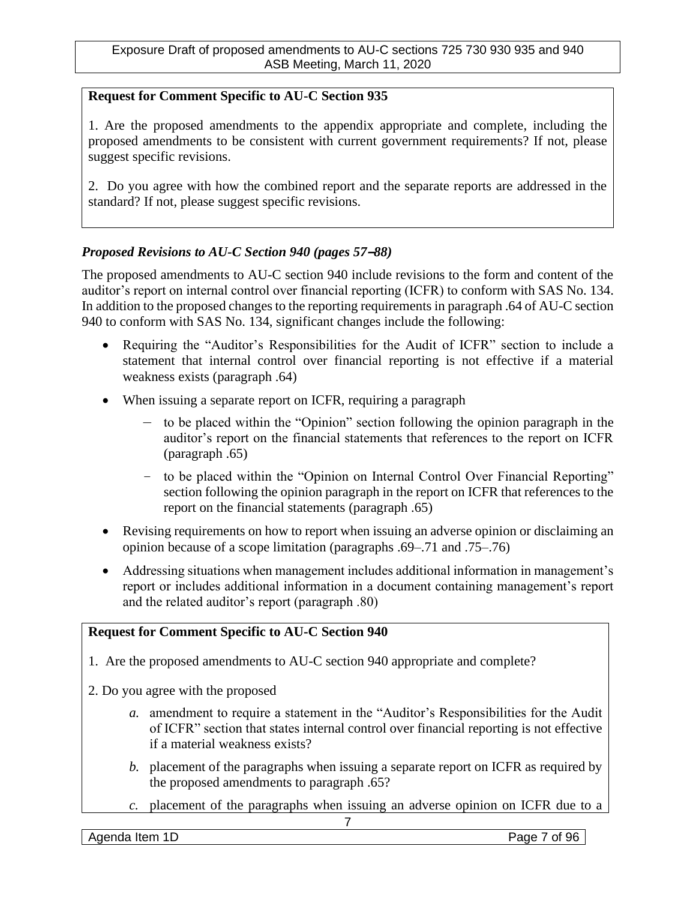#### **Request for Comment Specific to AU-C Section 935**

1. Are the proposed amendments to the appendix appropriate and complete, including the proposed amendments to be consistent with current government requirements? If not, please suggest specific revisions.

2. Do you agree with how the combined report and the separate reports are addressed in the standard? If not, please suggest specific revisions.

#### *Proposed Revisions to AU-C Section 940 (pages 57***–***88)*

The proposed amendments to AU-C section 940 include revisions to the form and content of the auditor's report on internal control over financial reporting (ICFR) to conform with SAS No. 134. In addition to the proposed changes to the reporting requirements in paragraph .64 of AU-C section 940 to conform with SAS No. 134, significant changes include the following:

- Requiring the "Auditor's Responsibilities for the Audit of ICFR" section to include a statement that internal control over financial reporting is not effective if a material weakness exists (paragraph .64)
- When issuing a separate report on ICFR, requiring a paragraph
	- to be placed within the "Opinion" section following the opinion paragraph in the auditor's report on the financial statements that references to the report on ICFR (paragraph .65)
	- to be placed within the "Opinion on Internal Control Over Financial Reporting" section following the opinion paragraph in the report on ICFR that references to the report on the financial statements (paragraph .65)
- Revising requirements on how to report when issuing an adverse opinion or disclaiming an opinion because of a scope limitation (paragraphs .69–.71 and .75–.76)
- Addressing situations when management includes additional information in management's report or includes additional information in a document containing management's report and the related auditor's report (paragraph .80)

#### **Request for Comment Specific to AU-C Section 940**

- 1. Are the proposed amendments to AU-C section 940 appropriate and complete?
- 2. Do you agree with the proposed
	- *a.* amendment to require a statement in the "Auditor's Responsibilities for the Audit of ICFR" section that states internal control over financial reporting is not effective if a material weakness exists?
	- *b.* placement of the paragraphs when issuing a separate report on ICFR as required by the proposed amendments to paragraph .65?
	- *c.* placement of the paragraphs when issuing an adverse opinion on ICFR due to a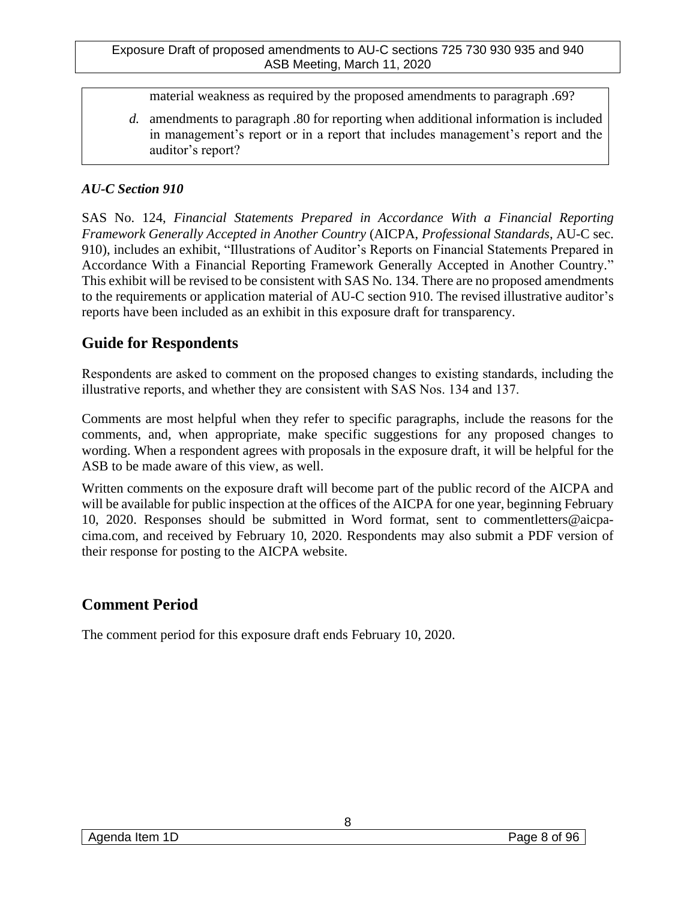Exposure Draft of proposed amendments to AU-C sections 725 730 930 935 and 940 ASB Meeting, March 11, 2020

material weakness as required by the proposed amendments to paragraph .69?

*d.* amendments to paragraph .80 for reporting when additional information is included in management's report or in a report that includes management's report and the auditor's report?

#### *AU-C Section 910*

SAS No. 124, *Financial Statements Prepared in Accordance With a Financial Reporting Framework Generally Accepted in Another Country* (AICPA, *Professional Standards*, AU-C sec. 910), includes an exhibit, "Illustrations of Auditor's Reports on Financial Statements Prepared in Accordance With a Financial Reporting Framework Generally Accepted in Another Country." This exhibit will be revised to be consistent with SAS No. 134. There are no proposed amendments to the requirements or application material of AU-C section 910. The revised illustrative auditor's reports have been included as an exhibit in this exposure draft for transparency.

## **Guide for Respondents**

Respondents are asked to comment on the proposed changes to existing standards, including the illustrative reports, and whether they are consistent with SAS Nos. 134 and 137.

Comments are most helpful when they refer to specific paragraphs, include the reasons for the comments, and, when appropriate, make specific suggestions for any proposed changes to wording. When a respondent agrees with proposals in the exposure draft, it will be helpful for the ASB to be made aware of this view, as well.

Written comments on the exposure draft will become part of the public record of the AICPA and will be available for public inspection at the offices of the AICPA for one year, beginning February 10, 2020. Responses should be submitted in Word format, sent to commentletters@aicpacima.com, and received by February 10, 2020. Respondents may also submit a PDF version of their response for posting to the AICPA website.

## **Comment Period**

The comment period for this exposure draft ends February 10, 2020.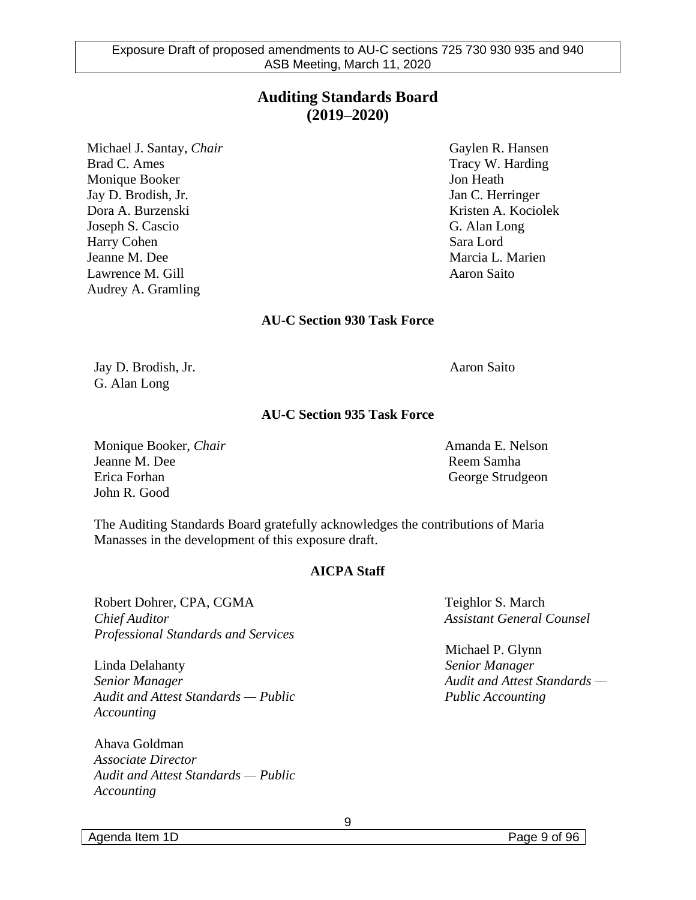Exposure Draft of proposed amendments to AU-C sections 725 730 930 935 and 940 ASB Meeting, March 11, 2020

### **Auditing Standards Board (2019–2020)**

Michael J. Santay, *Chair* Brad C. Ames Monique Booker Jay D. Brodish, Jr. Dora A. Burzenski Joseph S. Cascio Harry Cohen Jeanne M. Dee Lawrence M. Gill Audrey A. Gramling

#### **AU-C Section 930 Task Force**

Jay D. Brodish, Jr. G. Alan Long

#### **AU-C Section 935 Task Force**

Monique Booker, *Chair* Jeanne M. Dee Erica Forhan John R. Good

The Auditing Standards Board gratefully acknowledges the contributions of Maria Manasses in the development of this exposure draft.

#### **AICPA Staff**

Robert Dohrer, CPA, CGMA *Chief Auditor Professional Standards and Services*

Linda Delahanty *Senior Manager Audit and Attest Standards — Public Accounting*

Ahava Goldman *Associate Director Audit and Attest Standards — Public Accounting*

Teighlor S. March  *Assistant General Counsel*

Michael P. Glynn *Senior Manager Audit and Attest Standards — Public Accounting*

Gaylen R. Hansen Tracy W. Harding Jon Heath Jan C. Herringer Kristen A. Kociolek G. Alan Long Sara Lord Marcia L. Marien Aaron Saito

Aaron Saito

Amanda E. Nelson Reem Samha George Strudgeon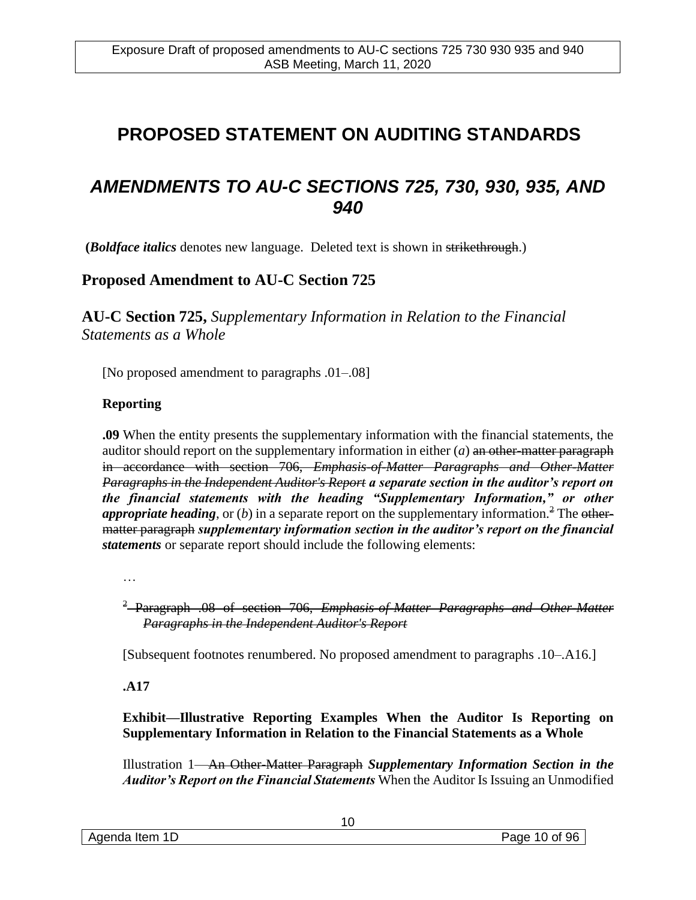## **PROPOSED STATEMENT ON AUDITING STANDARDS**

## *AMENDMENTS TO AU-C SECTIONS 725, 730, 930, 935, AND 940*

**(***Boldface italics* denotes new language. Deleted text is shown in strikethrough.)

## **Proposed Amendment to AU-C Section 725**

**AU-C Section 725,** *Supplementary Information in Relation to the Financial Statements as a Whole*

[No proposed amendment to paragraphs .01–.08]

#### **Reporting**

**.09** When the entity presents the supplementary information with the financial statements, the auditor should report on the supplementary information in either (*a*) an other-matter paragraph in accordance with section 706, *Emphasis-of-Matter Paragraphs and Other-Matter Paragraphs in the Independent Auditor's Report a separate section in the auditor's report on the financial statements with the heading "Supplementary Information," or other appropriate heading*, or (*b*) in a separate report on the supplementary information.<sup>2</sup> The othermatter paragraph *supplementary information section in the auditor's report on the financial statements* or separate report should include the following elements:

…

<sup>2</sup> Paragraph .08 of section 706, *Emphasis-of-Matter Paragraphs and Other-Matter Paragraphs in the Independent Auditor's Report*

[Subsequent footnotes renumbered. No proposed amendment to paragraphs .10–.A16.]

**.A17** 

**Exhibit—Illustrative Reporting Examples When the Auditor Is Reporting on Supplementary Information in Relation to the Financial Statements as a Whole**

Illustration 1—An Other-Matter Paragraph *Supplementary Information Section in the Auditor's Report on the Financial Statements* When the Auditor Is Issuing an Unmodified

Agenda Item 1D **Page 10 of 96**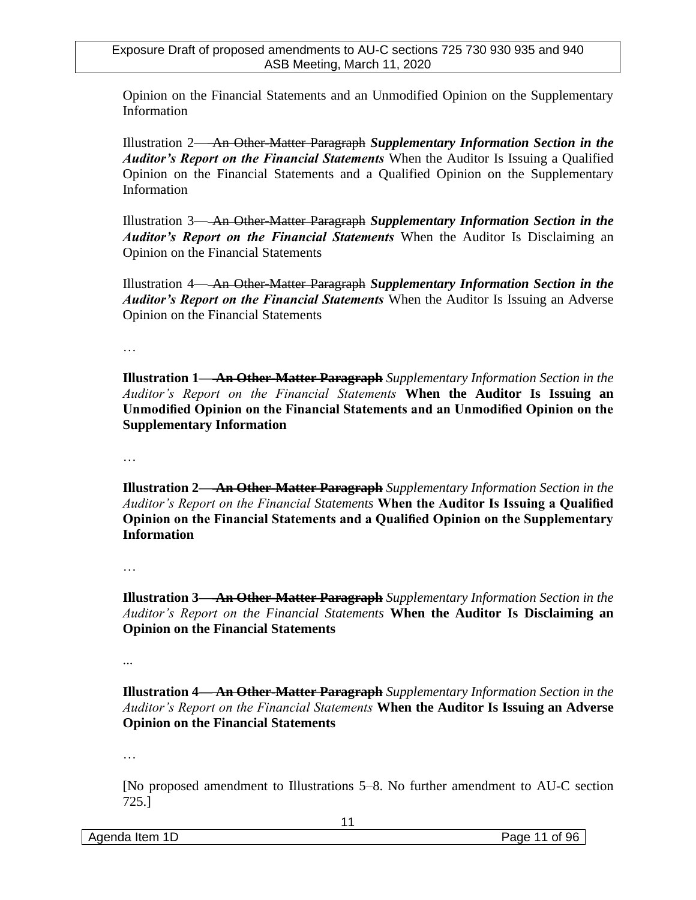Opinion on the Financial Statements and an Unmodified Opinion on the Supplementary Information

Illustration 2— An Other-Matter Paragraph *Supplementary Information Section in the Auditor's Report on the Financial Statements* When the Auditor Is Issuing a Qualified Opinion on the Financial Statements and a Qualified Opinion on the Supplementary Information

Illustration 3— An Other-Matter Paragraph *Supplementary Information Section in the Auditor's Report on the Financial Statements* When the Auditor Is Disclaiming an Opinion on the Financial Statements

Illustration 4— An Other-Matter Paragraph *Supplementary Information Section in the Auditor's Report on the Financial Statements* When the Auditor Is Issuing an Adverse Opinion on the Financial Statements

…

**Illustration 1— An Other-Matter Paragraph** *Supplementary Information Section in the Auditor's Report on the Financial Statements* **When the Auditor Is Issuing an Unmodified Opinion on the Financial Statements and an Unmodified Opinion on the Supplementary Information** 

…

**Illustration 2— An Other-Matter Paragraph** *Supplementary Information Section in the Auditor's Report on the Financial Statements* **When the Auditor Is Issuing a Qualified Opinion on the Financial Statements and a Qualified Opinion on the Supplementary Information** 

…

**Illustration 3— An Other-Matter Paragraph** *Supplementary Information Section in the Auditor's Report on the Financial Statements* **When the Auditor Is Disclaiming an Opinion on the Financial Statements** 

...

**Illustration 4— An Other-Matter Paragraph** *Supplementary Information Section in the Auditor's Report on the Financial Statements* **When the Auditor Is Issuing an Adverse Opinion on the Financial Statements** 

…

[No proposed amendment to Illustrations 5–8. No further amendment to AU-C section 725.]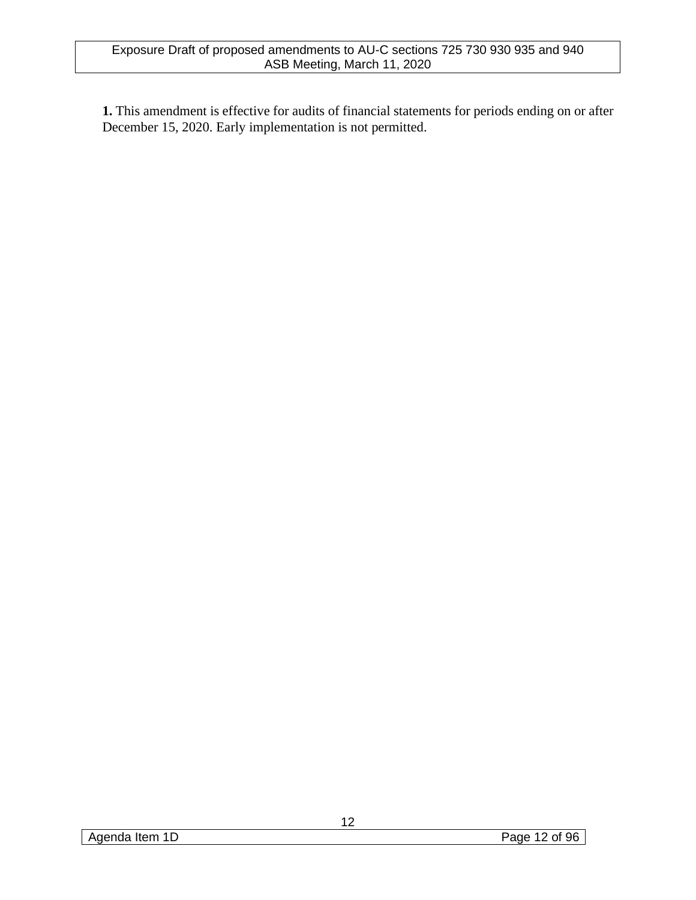**1.** This amendment is effective for audits of financial statements for periods ending on or after December 15, 2020. Early implementation is not permitted.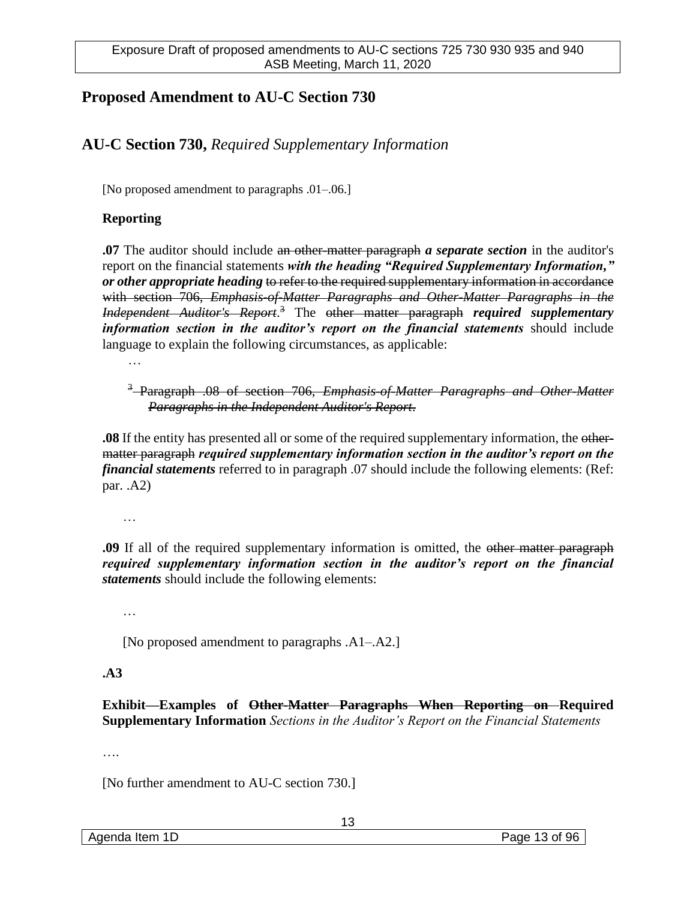## **Proposed Amendment to AU-C Section 730**

**AU-C Section 730,** *Required Supplementary Information*

[No proposed amendment to paragraphs .01–.06.]

#### **Reporting**

**.07** The auditor should include an other-matter paragraph *a separate section* in the auditor's report on the financial statements *with the heading "Required Supplementary Information," or other appropriate heading* to refer to the required supplementary information in accordance with section 706, *Emphasis-of-Matter Paragraphs and Other-Matter Paragraphs in the Independent Auditor's Report*. <sup>3</sup> The other matter paragraph *required supplementary information section in the auditor's report on the financial statements* should include language to explain the following circumstances, as applicable:

…

<sup>3</sup> Paragraph .08 of section 706, *Emphasis-of-Matter Paragraphs and Other-Matter Paragraphs in the Independent Auditor's Report*.

**.08** If the entity has presented all or some of the required supplementary information, the othermatter paragraph *required supplementary information section in the auditor's report on the financial statements* referred to in paragraph .07 should include the following elements: (Ref: par. .A2)

…

**.09** If all of the required supplementary information is omitted, the other matter paragraph *required supplementary information section in the auditor's report on the financial statements* should include the following elements:

…

[No proposed amendment to paragraphs .A1–.A2.]

#### **.A3**

**Exhibit—Examples of Other-Matter Paragraphs When Reporting on Required Supplementary Information** *Sections in the Auditor's Report on the Financial Statements*

….

[No further amendment to AU-C section 730.]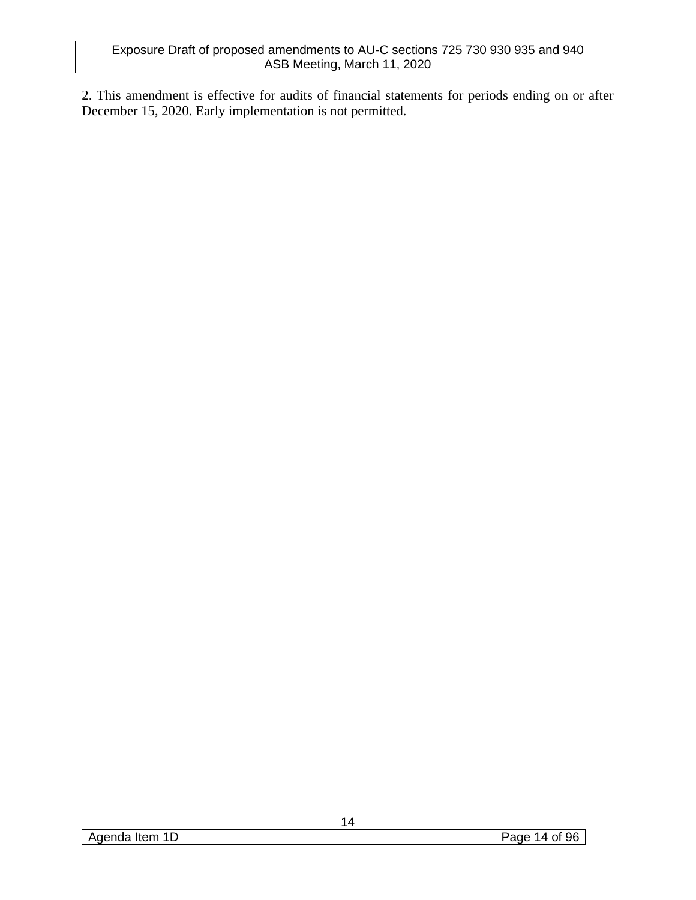2. This amendment is effective for audits of financial statements for periods ending on or after December 15, 2020. Early implementation is not permitted.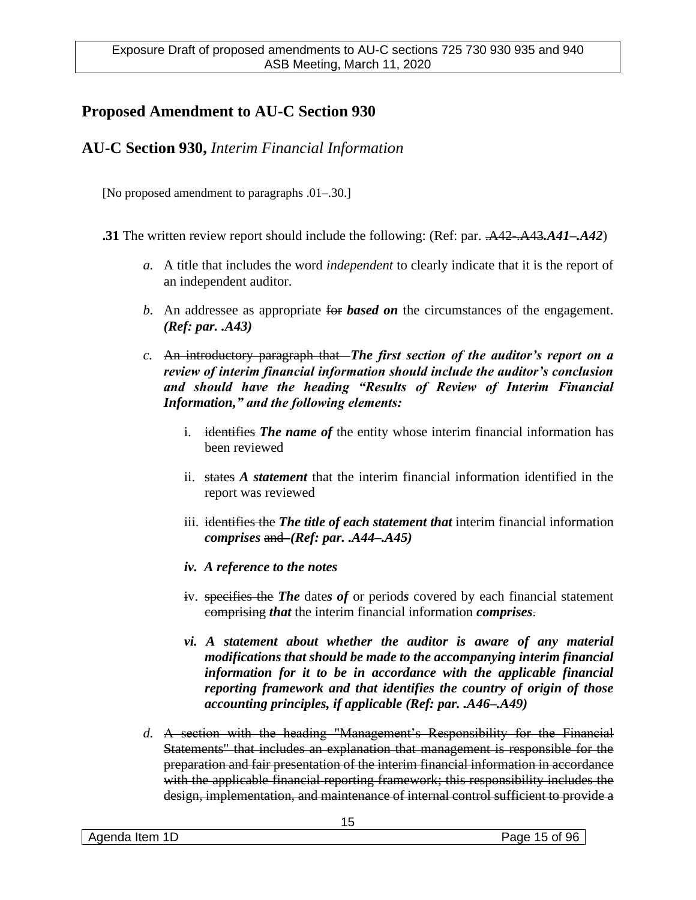## **Proposed Amendment to AU-C Section 930**

## **AU-C Section 930,** *Interim Financial Information*

[No proposed amendment to paragraphs .01–.30.]

**.31** The written review report should include the following: (Ref: par. .A42-.A43*.A41–.A42*)

- *a.* A title that includes the word *independent* to clearly indicate that it is the report of an independent auditor.
- *b.* An addressee as appropriate for *based on* the circumstances of the engagement. *(Ref: par. .A43)*
- *c.* An introductory paragraph that *The first section of the auditor's report on a review of interim financial information should include the auditor's conclusion and should have the heading "Results of Review of Interim Financial Information," and the following elements:*
	- i. identifies *The name of* the entity whose interim financial information has been reviewed
	- ii. states *A statement* that the interim financial information identified in the report was reviewed
	- iii. identifies the *The title of each statement that* interim financial information *comprises* and *(Ref: par. .A44–.A45)*
	- *iv. A reference to the notes*
	- iv. specifies the *The* date*s of* or period*s* covered by each financial statement comprising *that* the interim financial information *comprises*.
	- *vi. A statement about whether the auditor is aware of any material modifications that should be made to the accompanying interim financial information for it to be in accordance with the applicable financial reporting framework and that identifies the country of origin of those accounting principles, if applicable (Ref: par. .A46–.A49)*
- *d.* A section with the heading "Management's Responsibility for the Financial Statements" that includes an explanation that management is responsible for the preparation and fair presentation of the interim financial information in accordance with the applicable financial reporting framework; this responsibility includes the design, implementation, and maintenance of internal control sufficient to provide a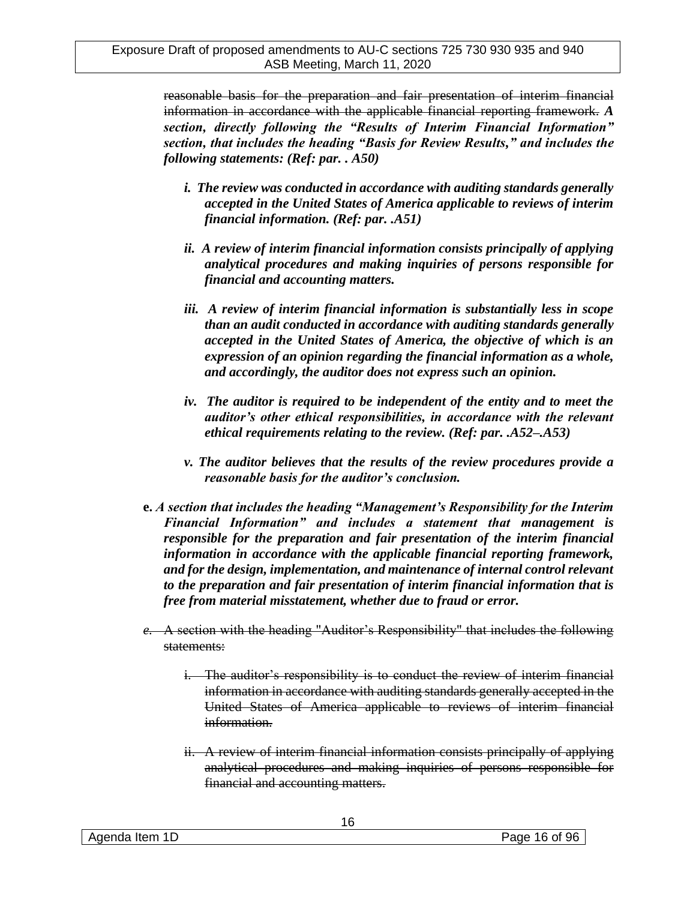reasonable basis for the preparation and fair presentation of interim financial information in accordance with the applicable financial reporting framework. *A section, directly following the "Results of Interim Financial Information" section, that includes the heading "Basis for Review Results," and includes the following statements: (Ref: par. . A50)*

- *i. The review was conducted in accordance with auditing standards generally accepted in the United States of America applicable to reviews of interim financial information. (Ref: par. .A51)*
- *ii. A review of interim financial information consists principally of applying analytical procedures and making inquiries of persons responsible for financial and accounting matters.*
- *iii. A review of interim financial information is substantially less in scope than an audit conducted in accordance with auditing standards generally accepted in the United States of America, the objective of which is an expression of an opinion regarding the financial information as a whole, and accordingly, the auditor does not express such an opinion.*
- *iv. The auditor is required to be independent of the entity and to meet the auditor's other ethical responsibilities, in accordance with the relevant ethical requirements relating to the review. (Ref: par. .A52–.A53)*
- *v. The auditor believes that the results of the review procedures provide a reasonable basis for the auditor's conclusion.*
- **e.** *A section that includes the heading "Management's Responsibility for the Interim Financial Information" and includes a statement that management is responsible for the preparation and fair presentation of the interim financial information in accordance with the applicable financial reporting framework, and for the design, implementation, and maintenance of internal control relevant to the preparation and fair presentation of interim financial information that is free from material misstatement, whether due to fraud or error.*
- *e.* A section with the heading "Auditor's Responsibility" that includes the following statements:
	- i. The auditor's responsibility is to conduct the review of interim financial information in accordance with auditing standards generally accepted in the United States of America applicable to reviews of interim financial information.
	- ii. A review of interim financial information consists principally of applying analytical procedures and making inquiries of persons responsible for financial and accounting matters.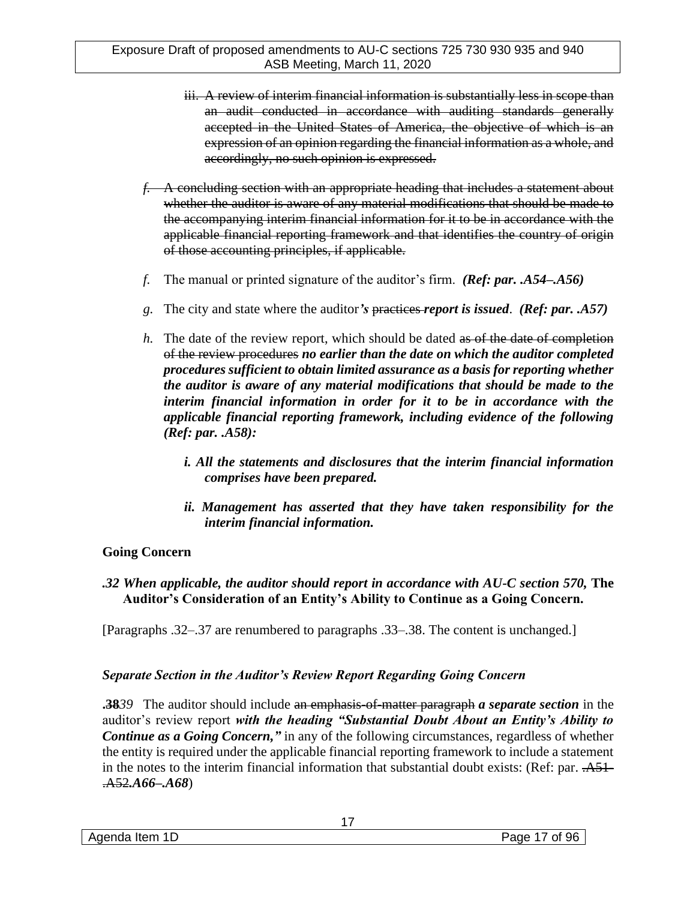- iii. A review of interim financial information is substantially less in scope than an audit conducted in accordance with auditing standards generally accepted in the United States of America, the objective of which is an expression of an opinion regarding the financial information as a whole, and accordingly, no such opinion is expressed.
- *f.* A concluding section with an appropriate heading that includes a statement about whether the auditor is aware of any material modifications that should be made to the accompanying interim financial information for it to be in accordance with the applicable financial reporting framework and that identifies the country of origin of those accounting principles, if applicable.
- *f.* The manual or printed signature of the auditor's firm. *(Ref: par. .A54–.A56)*
- *g.* The city and state where the auditor*'s* practices *report is issued*. *(Ref: par. .A57)*
- *h.* The date of the review report, which should be dated as of the date of completion of the review procedures *no earlier than the date on which the auditor completed procedures sufficient to obtain limited assurance as a basis for reporting whether the auditor is aware of any material modifications that should be made to the interim financial information in order for it to be in accordance with the applicable financial reporting framework, including evidence of the following (Ref: par. .A58):*
	- *i. All the statements and disclosures that the interim financial information comprises have been prepared.*
	- *ii. Management has asserted that they have taken responsibility for the interim financial information.*

#### **Going Concern**

*.32 When applicable, the auditor should report in accordance with AU-C section 570,* **The Auditor's Consideration of an Entity's Ability to Continue as a Going Concern***.* 

[Paragraphs .32–.37 are renumbered to paragraphs .33–.38. The content is unchanged.]

#### *Separate Section in the Auditor's Review Report Regarding Going Concern*

**.38***39* The auditor should include an emphasis-of-matter paragraph *a separate section* in the auditor's review report *with the heading "Substantial Doubt About an Entity's Ability to Continue as a Going Concern*," in any of the following circumstances, regardless of whether the entity is required under the applicable financial reporting framework to include a statement in the notes to the interim financial information that substantial doubt exists: (Ref: par. .A51- .A52*.A66–.A68*)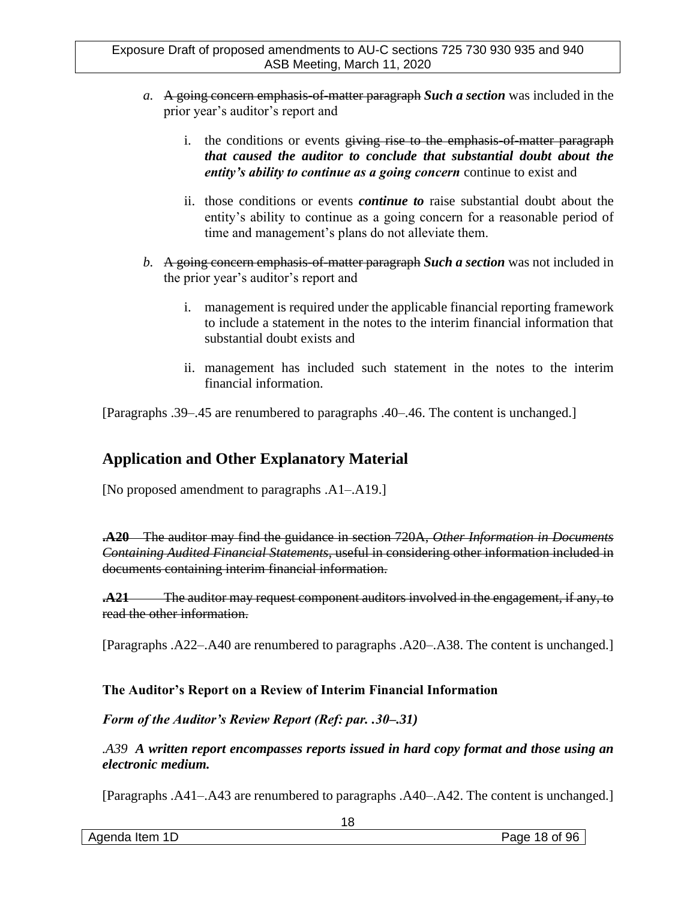- *a.* A going concern emphasis-of-matter paragraph *Such a section* was included in the prior year's auditor's report and
	- i. the conditions or events giving rise to the emphasis-of-matter paragraph *that caused the auditor to conclude that substantial doubt about the entity's ability to continue as a going concern* continue to exist and
	- ii. those conditions or events *continue to* raise substantial doubt about the entity's ability to continue as a going concern for a reasonable period of time and management's plans do not alleviate them.
- *b.* A going concern emphasis-of-matter paragraph *Such a section* was not included in the prior year's auditor's report and
	- i. management is required under the applicable financial reporting framework to include a statement in the notes to the interim financial information that substantial doubt exists and
	- ii. management has included such statement in the notes to the interim financial information.

[Paragraphs .39–.45 are renumbered to paragraphs .40–.46. The content is unchanged.]

## **Application and Other Explanatory Material**

[No proposed amendment to paragraphs .A1–.A19.]

**.A20** The auditor may find the guidance in section 720A, *Other Information in Documents Containing Audited Financial Statements*, useful in considering other information included in documents containing interim financial information.

**.A21** The auditor may request component auditors involved in the engagement, if any, to read the other information.

[Paragraphs .A22–.A40 are renumbered to paragraphs .A20–.A38. The content is unchanged.]

#### **The Auditor's Report on a Review of Interim Financial Information**

*Form of the Auditor's Review Report (Ref: par. .30–.31)*

#### *.A39 A written report encompasses reports issued in hard copy format and those using an electronic medium.*

[Paragraphs .A41–.A43 are renumbered to paragraphs .A40–.A42. The content is unchanged.]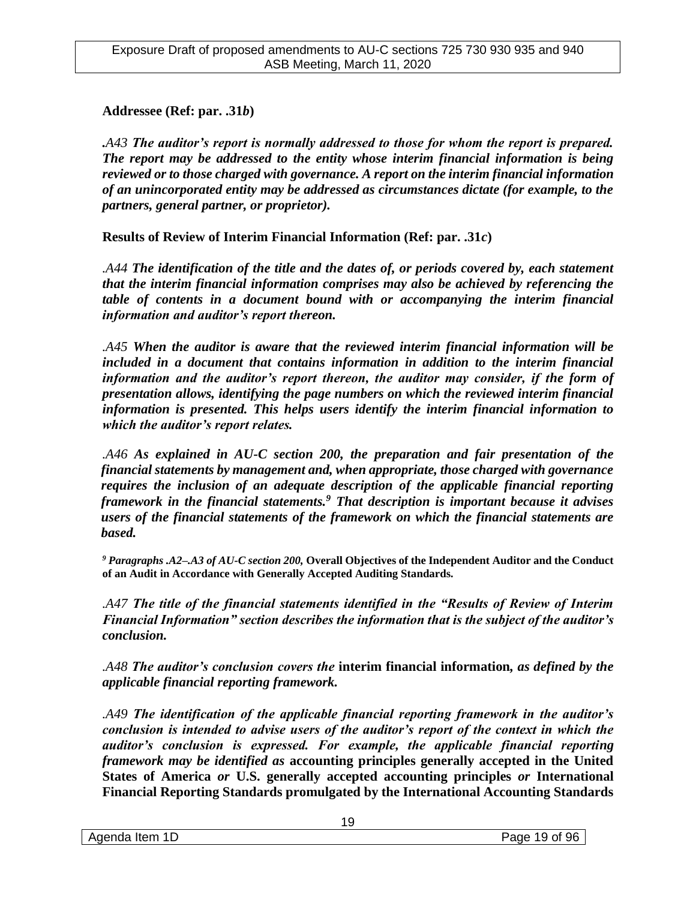**Addressee (Ref: par. .31***b***)**

*.A43 The auditor's report is normally addressed to those for whom the report is prepared. The report may be addressed to the entity whose interim financial information is being reviewed or to those charged with governance. A report on the interim financial information of an unincorporated entity may be addressed as circumstances dictate (for example, to the partners, general partner, or proprietor).*

**Results of Review of Interim Financial Information (Ref: par. .31***c***)**

*.A44 The identification of the title and the dates of, or periods covered by, each statement that the interim financial information comprises may also be achieved by referencing the table of contents in a document bound with or accompanying the interim financial information and auditor's report thereon.*

*.A45 When the auditor is aware that the reviewed interim financial information will be included in a document that contains information in addition to the interim financial information and the auditor's report thereon, the auditor may consider, if the form of presentation allows, identifying the page numbers on which the reviewed interim financial information is presented. This helps users identify the interim financial information to which the auditor's report relates.*

*.A46 As explained in AU-C section 200, the preparation and fair presentation of the financial statements by management and, when appropriate, those charged with governance requires the inclusion of an adequate description of the applicable financial reporting framework in the financial statements.<sup>9</sup> That description is important because it advises users of the financial statements of the framework on which the financial statements are based.*

*<sup>9</sup> Paragraphs .A2–.A3 of AU-C section 200,* **Overall Objectives of the Independent Auditor and the Conduct of an Audit in Accordance with Generally Accepted Auditing Standards***.*

*.A47 The title of the financial statements identified in the "Results of Review of Interim Financial Information" section describes the information that is the subject of the auditor's conclusion.*

*.A48 The auditor's conclusion covers the* **interim financial information***, as defined by the applicable financial reporting framework.*

*.A49 The identification of the applicable financial reporting framework in the auditor's conclusion is intended to advise users of the auditor's report of the context in which the auditor's conclusion is expressed. For example, the applicable financial reporting framework may be identified as* **accounting principles generally accepted in the United States of America** *or* **U.S. generally accepted accounting principles** *or* **International Financial Reporting Standards promulgated by the International Accounting Standards**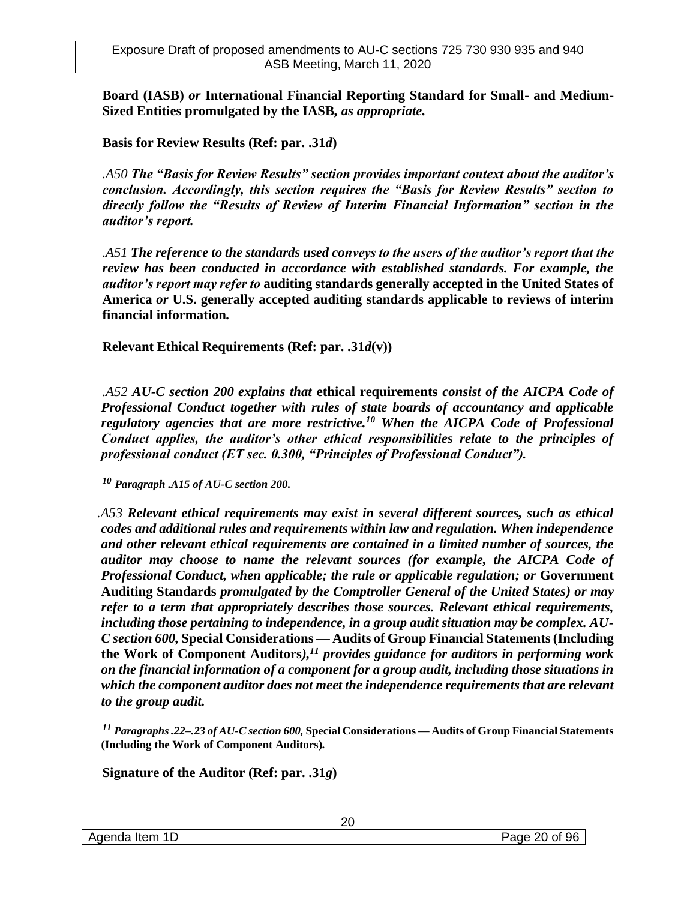**Board (IASB)** *or* **International Financial Reporting Standard for Small- and Medium-Sized Entities promulgated by the IASB***, as appropriate.*

**Basis for Review Results (Ref: par. .31***d***)**

*.A50 The "Basis for Review Results" section provides important context about the auditor's conclusion. Accordingly, this section requires the "Basis for Review Results" section to directly follow the "Results of Review of Interim Financial Information" section in the auditor's report.*

*.A51 The reference to the standards used conveys to the users of the auditor's report that the review has been conducted in accordance with established standards. For example, the auditor's report may refer to* **auditing standards generally accepted in the United States of America** *or* **U.S. generally accepted auditing standards applicable to reviews of interim financial information***.*

**Relevant Ethical Requirements (Ref: par. .31***d***(v))**

*.A52 AU-C section 200 explains that* **ethical requirements** *consist of the AICPA Code of Professional Conduct together with rules of state boards of accountancy and applicable regulatory agencies that are more restrictive.<sup>10</sup> When the AICPA Code of Professional Conduct applies, the auditor's other ethical responsibilities relate to the principles of professional conduct (ET sec. 0.300, "Principles of Professional Conduct").*

*<sup>10</sup> Paragraph .A15 of AU-C section 200.*

*.A53 Relevant ethical requirements may exist in several different sources, such as ethical codes and additional rules and requirements within law and regulation. When independence and other relevant ethical requirements are contained in a limited number of sources, the auditor may choose to name the relevant sources (for example, the AICPA Code of Professional Conduct, when applicable; the rule or applicable regulation; or* **Government Auditing Standards** *promulgated by the Comptroller General of the United States) or may refer to a term that appropriately describes those sources. Relevant ethical requirements, including those pertaining to independence, in a group audit situation may be complex. AU-C section 600,* **Special Considerations — Audits of Group Financial Statements (Including the Work of Component Auditors***),<sup>11</sup> provides guidance for auditors in performing work on the financial information of a component for a group audit, including those situations in which the component auditor does not meet the independence requirements that are relevant to the group audit.*

*<sup>11</sup> Paragraphs .22–.23 of AU-C section 600,* **Special Considerations — Audits of Group Financial Statements (Including the Work of Component Auditors)***.*

**Signature of the Auditor (Ref: par. .31***g***)**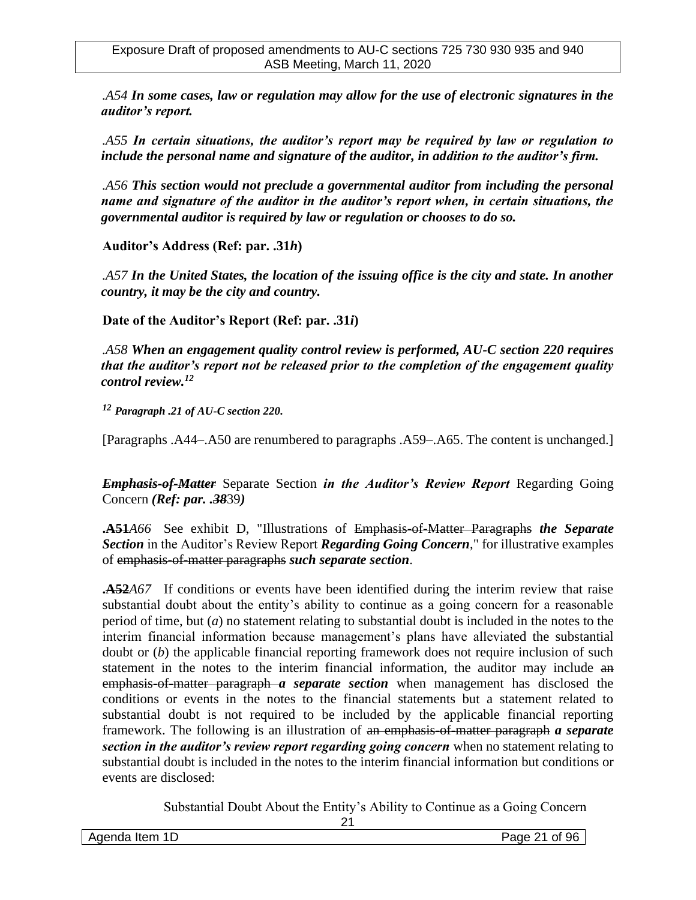*.A54 In some cases, law or regulation may allow for the use of electronic signatures in the auditor's report.*

*.A55 In certain situations, the auditor's report may be required by law or regulation to include the personal name and signature of the auditor, in addition to the auditor's firm.*

*.A56 This section would not preclude a governmental auditor from including the personal name and signature of the auditor in the auditor's report when, in certain situations, the governmental auditor is required by law or regulation or chooses to do so.*

**Auditor's Address (Ref: par. .31***h***)**

*.A57 In the United States, the location of the issuing office is the city and state. In another country, it may be the city and country.*

**Date of the Auditor's Report (Ref: par. .31***i***)**

*.A58 When an engagement quality control review is performed, AU-C section 220 requires that the auditor's report not be released prior to the completion of the engagement quality control review.<sup>12</sup>*

*<sup>12</sup> Paragraph .21 of AU-C section 220.*

[Paragraphs .A44–.A50 are renumbered to paragraphs .A59–.A65. The content is unchanged.]

*Emphasis-of-Matter* Separate Section *in the Auditor's Review Report* Regarding Going Concern *(Ref: par. .38*39*)*

**.A51***A66* See exhibit D, "Illustrations of Emphasis-of-Matter Paragraphs *the Separate Section* in the Auditor's Review Report *Regarding Going Concern*," for illustrative examples of emphasis-of-matter paragraphs *such separate section*.

**.A52***A67* If conditions or events have been identified during the interim review that raise substantial doubt about the entity's ability to continue as a going concern for a reasonable period of time, but (*a*) no statement relating to substantial doubt is included in the notes to the interim financial information because management's plans have alleviated the substantial doubt or (*b*) the applicable financial reporting framework does not require inclusion of such statement in the notes to the interim financial information, the auditor may include an emphasis-of-matter paragraph *a separate section* when management has disclosed the conditions or events in the notes to the financial statements but a statement related to substantial doubt is not required to be included by the applicable financial reporting framework. The following is an illustration of an emphasis-of-matter paragraph *a separate section in the auditor's review report regarding going concern* when no statement relating to substantial doubt is included in the notes to the interim financial information but conditions or events are disclosed:

Substantial Doubt About the Entity's Ability to Continue as a Going Concern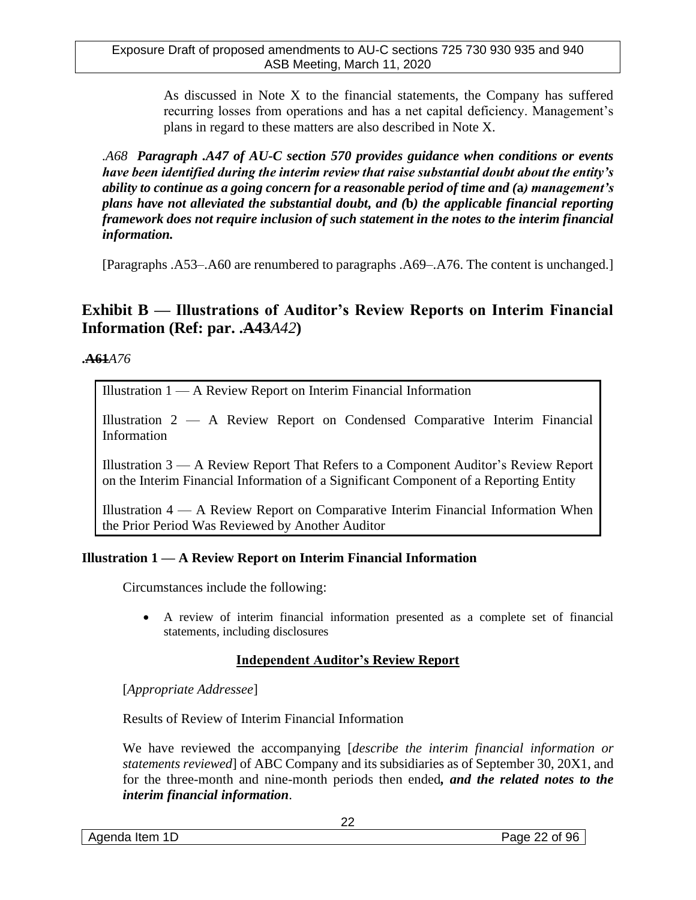As discussed in Note X to the financial statements, the Company has suffered recurring losses from operations and has a net capital deficiency. Management's plans in regard to these matters are also described in Note X.

*.A68 Paragraph .A47 of AU-C section 570 provides guidance when conditions or events have been identified during the interim review that raise substantial doubt about the entity's ability to continue as a going concern for a reasonable period of time and (***a***) management's plans have not alleviated the substantial doubt, and (***b***) the applicable financial reporting framework does not require inclusion of such statement in the notes to the interim financial information.* 

[Paragraphs .A53–.A60 are renumbered to paragraphs .A69–.A76. The content is unchanged.]

## **Exhibit B — Illustrations of Auditor's Review Reports on Interim Financial Information (Ref: par. .A43***A42***)**

**.A61***A76*

[Illustration 1](#page-21-0) — A Review Report on Interim Financial Information

[Illustration 2](#page-23-0) — A Review Report on Condensed Comparative Interim Financial Information

[Illustration 3](#page-25-0) — A Review Report That Refers to a Component Auditor's Review Report on the Interim Financial Information of a Significant Component of a Reporting Entity

[Illustration 4](#page-26-0) — A Review Report on Comparative Interim Financial Information When the Prior Period Was Reviewed by Another Auditor

#### <span id="page-21-0"></span>**Illustration 1 — A Review Report on Interim Financial Information**

Circumstances include the following:

• A review of interim financial information presented as a complete set of financial statements, including disclosures

#### **Independent Auditor's Review Report**

[*Appropriate Addressee*]

Results of Review of Interim Financial Information

We have reviewed the accompanying [*describe the interim financial information or statements reviewed*] of ABC Company and its subsidiaries as of September 30, 20X1, and for the three-month and nine-month periods then ended*, and the related notes to the interim financial information*.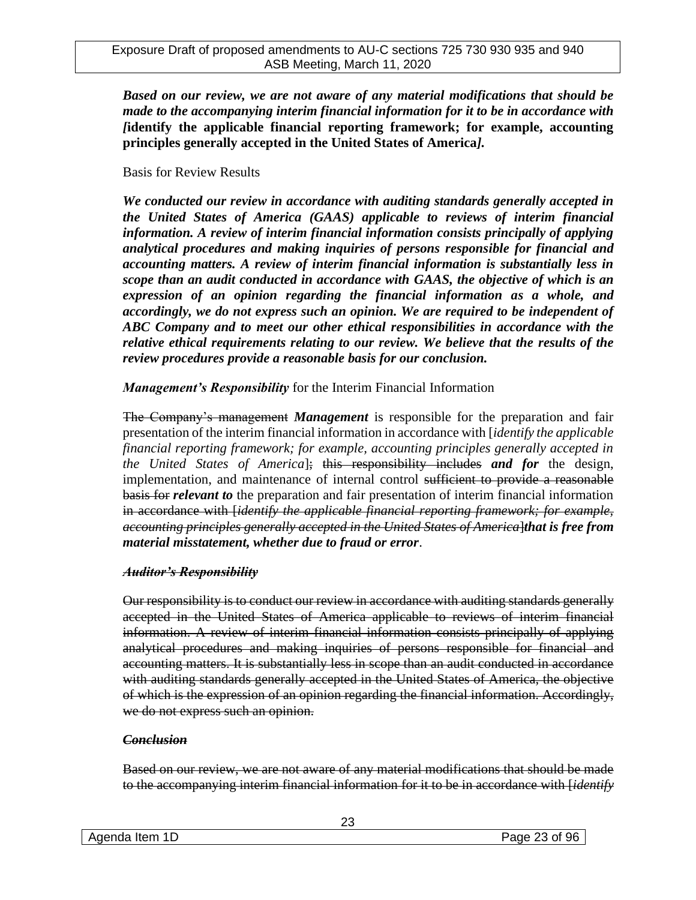*Based on our review, we are not aware of any material modifications that should be made to the accompanying interim financial information for it to be in accordance with [***identify the applicable financial reporting framework; for example, accounting principles generally accepted in the United States of America***].*

Basis for Review Results

*We conducted our review in accordance with auditing standards generally accepted in the United States of America (GAAS) applicable to reviews of interim financial information. A review of interim financial information consists principally of applying analytical procedures and making inquiries of persons responsible for financial and accounting matters. A review of interim financial information is substantially less in scope than an audit conducted in accordance with GAAS, the objective of which is an expression of an opinion regarding the financial information as a whole, and accordingly, we do not express such an opinion. We are required to be independent of ABC Company and to meet our other ethical responsibilities in accordance with the relative ethical requirements relating to our review. We believe that the results of the review procedures provide a reasonable basis for our conclusion.*

*Management's Responsibility* for the Interim Financial Information

The Company's management *Management* is responsible for the preparation and fair presentation of the interim financial information in accordance with [*identify the applicable financial reporting framework; for example, accounting principles generally accepted in the United States of America*]; this responsibility includes *and for* the design, implementation, and maintenance of internal control sufficient to provide a reasonable basis for *relevant to* the preparation and fair presentation of interim financial information in accordance with [*identify the applicable financial reporting framework; for example, accounting principles generally accepted in the United States of America*]*that is free from material misstatement, whether due to fraud or error*.

#### *Auditor's Responsibility*

Our responsibility is to conduct our review in accordance with auditing standards generally accepted in the United States of America applicable to reviews of interim financial information. A review of interim financial information consists principally of applying analytical procedures and making inquiries of persons responsible for financial and accounting matters. It is substantially less in scope than an audit conducted in accordance with auditing standards generally accepted in the United States of America, the objective of which is the expression of an opinion regarding the financial information. Accordingly, we do not express such an opinion.

#### *Conclusion*

Based on our review, we are not aware of any material modifications that should be made to the accompanying interim financial information for it to be in accordance with [*identify*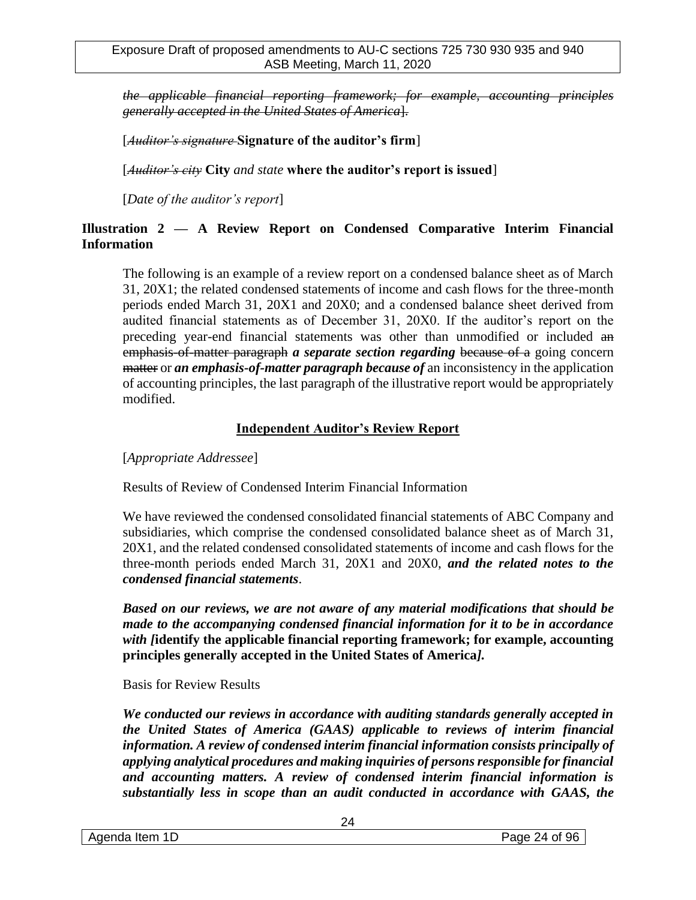*the applicable financial reporting framework; for example, accounting principles generally accepted in the United States of America*].

[*Auditor's signature* **Signature of the auditor's firm**]

[*Auditor's city* **City** *and state* **where the auditor's report is issued**]

[*Date of the auditor's report*]

#### <span id="page-23-0"></span>**Illustration 2 — A Review Report on Condensed Comparative Interim Financial Information**

The following is an example of a review report on a condensed balance sheet as of March 31, 20X1; the related condensed statements of income and cash flows for the three-month periods ended March 31, 20X1 and 20X0; and a condensed balance sheet derived from audited financial statements as of December 31, 20X0. If the auditor's report on the preceding year-end financial statements was other than unmodified or included an emphasis-of-matter paragraph *a separate section regarding* because of a going concern matter or *an emphasis-of-matter paragraph because of* an inconsistency in the application of accounting principles, the last paragraph of the illustrative report would be appropriately modified.

#### **Independent Auditor's Review Report**

[*Appropriate Addressee*]

Results of Review of Condensed Interim Financial Information

We have reviewed the condensed consolidated financial statements of ABC Company and subsidiaries, which comprise the condensed consolidated balance sheet as of March 31, 20X1, and the related condensed consolidated statements of income and cash flows for the three-month periods ended March 31, 20X1 and 20X0, *and the related notes to the condensed financial statements*.

*Based on our reviews, we are not aware of any material modifications that should be made to the accompanying condensed financial information for it to be in accordance with [***identify the applicable financial reporting framework; for example, accounting principles generally accepted in the United States of America***].*

#### Basis for Review Results

*We conducted our reviews in accordance with auditing standards generally accepted in the United States of America (GAAS) applicable to reviews of interim financial information. A review of condensed interim financial information consists principally of applying analytical procedures and making inquiries of persons responsible for financial and accounting matters. A review of condensed interim financial information is substantially less in scope than an audit conducted in accordance with GAAS, the*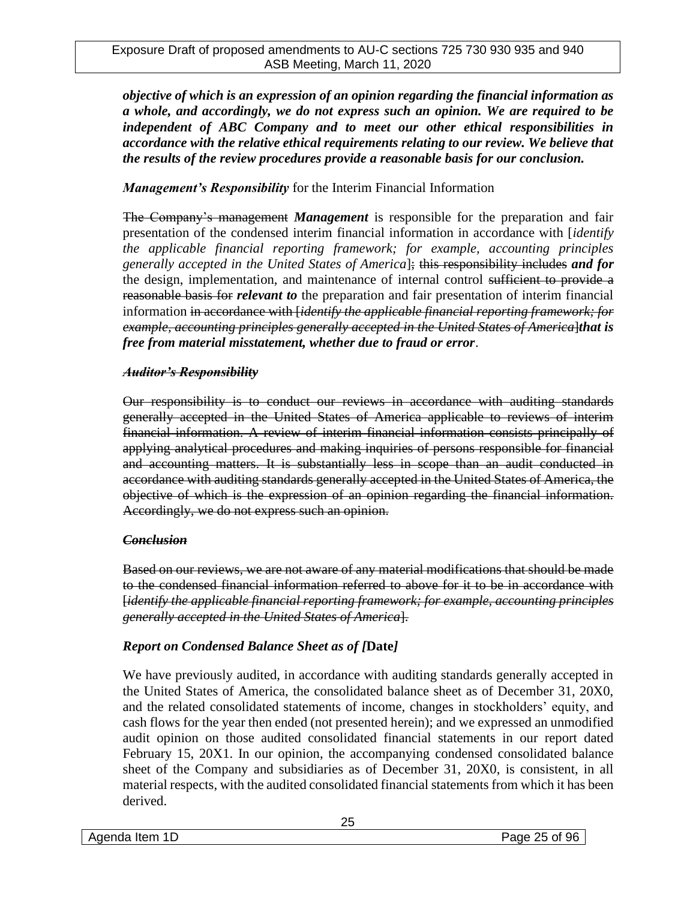*objective of which is an expression of an opinion regarding the financial information as a whole, and accordingly, we do not express such an opinion. We are required to be independent of ABC Company and to meet our other ethical responsibilities in accordance with the relative ethical requirements relating to our review. We believe that the results of the review procedures provide a reasonable basis for our conclusion.*

#### *Management's Responsibility* for the Interim Financial Information

The Company's management *Management* is responsible for the preparation and fair presentation of the condensed interim financial information in accordance with [*identify the applicable financial reporting framework; for example, accounting principles generally accepted in the United States of America*]; this responsibility includes *and for*  the design, implementation, and maintenance of internal control sufficient to provide a reasonable basis for *relevant to* the preparation and fair presentation of interim financial information in accordance with [*identify the applicable financial reporting framework; for example, accounting principles generally accepted in the United States of America*]*that is free from material misstatement, whether due to fraud or error*.

#### *Auditor's Responsibility*

Our responsibility is to conduct our reviews in accordance with auditing standards generally accepted in the United States of America applicable to reviews of interim financial information. A review of interim financial information consists principally of applying analytical procedures and making inquiries of persons responsible for financial and accounting matters. It is substantially less in scope than an audit conducted in accordance with auditing standards generally accepted in the United States of America, the objective of which is the expression of an opinion regarding the financial information. Accordingly, we do not express such an opinion.

#### *Conclusion*

Based on our reviews, we are not aware of any material modifications that should be made to the condensed financial information referred to above for it to be in accordance with [*identify the applicable financial reporting framework; for example, accounting principles generally accepted in the United States of America*].

#### *Report on Condensed Balance Sheet as of [***Date***]*

We have previously audited, in accordance with auditing standards generally accepted in the United States of America, the consolidated balance sheet as of December 31, 20X0, and the related consolidated statements of income, changes in stockholders' equity, and cash flows for the year then ended (not presented herein); and we expressed an unmodified audit opinion on those audited consolidated financial statements in our report dated February 15, 20X1. In our opinion, the accompanying condensed consolidated balance sheet of the Company and subsidiaries as of December 31, 20X0, is consistent, in all material respects, with the audited consolidated financial statements from which it has been derived.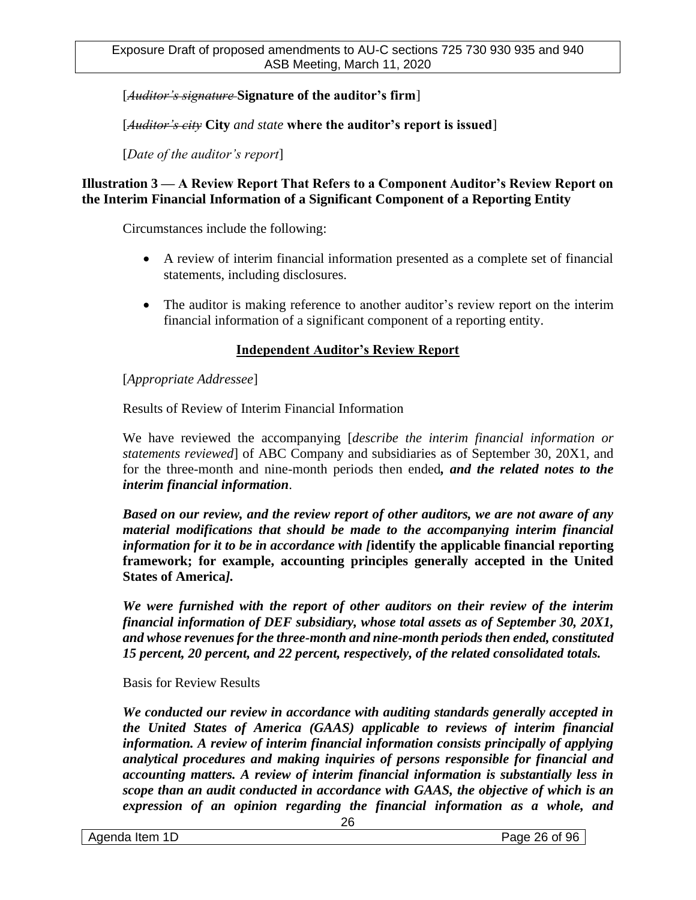<span id="page-25-0"></span>[*Auditor's signature* **Signature of the auditor's firm**]

[*Auditor's city* **City** *and state* **where the auditor's report is issued**]

[*Date of the auditor's report*]

#### **Illustration 3 — A Review Report That Refers to a Component Auditor's Review Report on the Interim Financial Information of a Significant Component of a Reporting Entity**

Circumstances include the following:

- A review of interim financial information presented as a complete set of financial statements, including disclosures.
- The auditor is making reference to another auditor's review report on the interim financial information of a significant component of a reporting entity.

#### **Independent Auditor's Review Report**

[*Appropriate Addressee*]

Results of Review of Interim Financial Information

We have reviewed the accompanying [*describe the interim financial information or statements reviewed*] of ABC Company and subsidiaries as of September 30, 20X1, and for the three-month and nine-month periods then ended*, and the related notes to the interim financial information*.

*Based on our review, and the review report of other auditors, we are not aware of any material modifications that should be made to the accompanying interim financial information for it to be in accordance with [***identify the applicable financial reporting framework; for example, accounting principles generally accepted in the United States of America***].*

*We were furnished with the report of other auditors on their review of the interim financial information of DEF subsidiary, whose total assets as of September 30, 20X1, and whose revenues for the three-month and nine-month periods then ended, constituted 15 percent, 20 percent, and 22 percent, respectively, of the related consolidated totals.*

#### Basis for Review Results

*We conducted our review in accordance with auditing standards generally accepted in the United States of America (GAAS) applicable to reviews of interim financial information. A review of interim financial information consists principally of applying analytical procedures and making inquiries of persons responsible for financial and accounting matters. A review of interim financial information is substantially less in scope than an audit conducted in accordance with GAAS, the objective of which is an expression of an opinion regarding the financial information as a whole, and*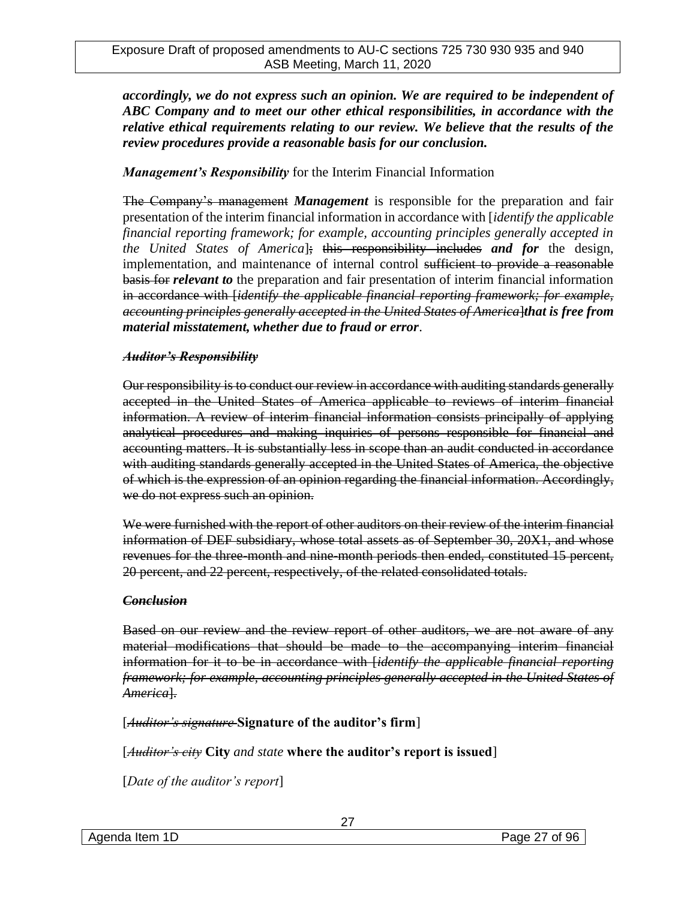*accordingly, we do not express such an opinion. We are required to be independent of ABC Company and to meet our other ethical responsibilities, in accordance with the relative ethical requirements relating to our review. We believe that the results of the review procedures provide a reasonable basis for our conclusion.*

#### *Management's Responsibility* for the Interim Financial Information

The Company's management *Management* is responsible for the preparation and fair presentation of the interim financial information in accordance with [*identify the applicable financial reporting framework; for example, accounting principles generally accepted in the United States of America*]; this responsibility includes *and for* the design, implementation, and maintenance of internal control sufficient to provide a reasonable basis for *relevant to* the preparation and fair presentation of interim financial information in accordance with [*identify the applicable financial reporting framework; for example, accounting principles generally accepted in the United States of America*]*that is free from material misstatement, whether due to fraud or error*.

#### *Auditor's Responsibility*

Our responsibility is to conduct our review in accordance with auditing standards generally accepted in the United States of America applicable to reviews of interim financial information. A review of interim financial information consists principally of applying analytical procedures and making inquiries of persons responsible for financial and accounting matters. It is substantially less in scope than an audit conducted in accordance with auditing standards generally accepted in the United States of America, the objective of which is the expression of an opinion regarding the financial information. Accordingly, we do not express such an opinion.

We were furnished with the report of other auditors on their review of the interim financial information of DEF subsidiary, whose total assets as of September 30, 20X1, and whose revenues for the three-month and nine-month periods then ended, constituted 15 percent, 20 percent, and 22 percent, respectively, of the related consolidated totals.

#### *Conclusion*

Based on our review and the review report of other auditors, we are not aware of any material modifications that should be made to the accompanying interim financial information for it to be in accordance with [*identify the applicable financial reporting framework; for example, accounting principles generally accepted in the United States of America*].

#### <span id="page-26-0"></span>[*Auditor's signature* **Signature of the auditor's firm**]

#### [*Auditor's city* **City** *and state* **where the auditor's report is issued**]

[*Date of the auditor's report*]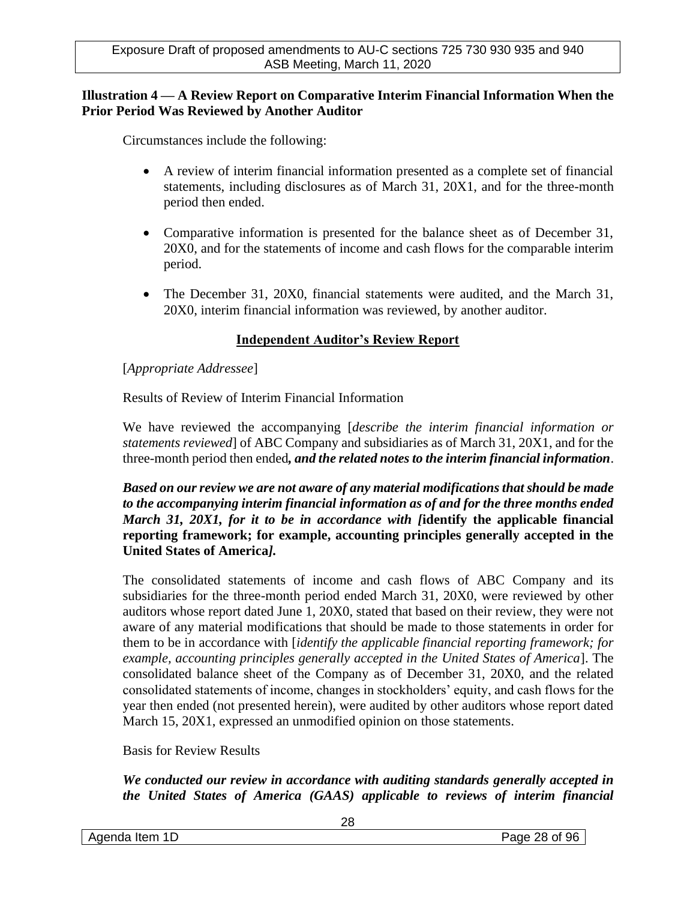#### **Illustration 4 — A Review Report on Comparative Interim Financial Information When the Prior Period Was Reviewed by Another Auditor**

Circumstances include the following:

- A review of interim financial information presented as a complete set of financial statements, including disclosures as of March 31, 20X1, and for the three-month period then ended.
- Comparative information is presented for the balance sheet as of December 31, 20X0, and for the statements of income and cash flows for the comparable interim period.
- The December 31, 20X0, financial statements were audited, and the March 31, 20X0, interim financial information was reviewed, by another auditor.

#### **Independent Auditor's Review Report**

[*Appropriate Addressee*]

Results of Review of Interim Financial Information

We have reviewed the accompanying [*describe the interim financial information or statements reviewed*] of ABC Company and subsidiaries as of March 31, 20X1, and for the three-month period then ended*, and the related notes to the interim financial information*.

*Based on our review we are not aware of any material modifications that should be made to the accompanying interim financial information as of and for the three months ended March 31, 20X1, for it to be in accordance with [***identify the applicable financial reporting framework; for example, accounting principles generally accepted in the United States of America***].*

The consolidated statements of income and cash flows of ABC Company and its subsidiaries for the three-month period ended March 31, 20X0, were reviewed by other auditors whose report dated June 1, 20X0, stated that based on their review, they were not aware of any material modifications that should be made to those statements in order for them to be in accordance with [*identify the applicable financial reporting framework; for example, accounting principles generally accepted in the United States of America*]. The consolidated balance sheet of the Company as of December 31, 20X0, and the related consolidated statements of income, changes in stockholders' equity, and cash flows for the year then ended (not presented herein), were audited by other auditors whose report dated March 15, 20X1, expressed an unmodified opinion on those statements.

Basis for Review Results

*We conducted our review in accordance with auditing standards generally accepted in the United States of America (GAAS) applicable to reviews of interim financial*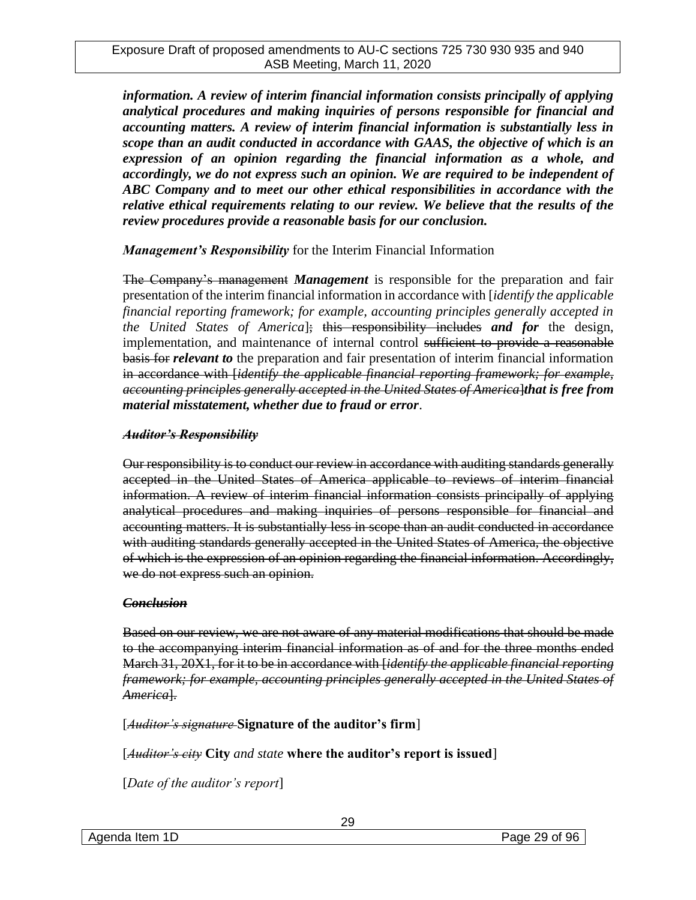*information. A review of interim financial information consists principally of applying analytical procedures and making inquiries of persons responsible for financial and accounting matters. A review of interim financial information is substantially less in scope than an audit conducted in accordance with GAAS, the objective of which is an expression of an opinion regarding the financial information as a whole, and accordingly, we do not express such an opinion. We are required to be independent of ABC Company and to meet our other ethical responsibilities in accordance with the relative ethical requirements relating to our review. We believe that the results of the review procedures provide a reasonable basis for our conclusion.*

*Management's Responsibility* for the Interim Financial Information

The Company's management *Management* is responsible for the preparation and fair presentation of the interim financial information in accordance with [*identify the applicable financial reporting framework; for example, accounting principles generally accepted in the United States of America*]; this responsibility includes *and for* the design, implementation, and maintenance of internal control sufficient to provide a reasonable basis for *relevant to* the preparation and fair presentation of interim financial information in accordance with [*identify the applicable financial reporting framework; for example, accounting principles generally accepted in the United States of America*]*that is free from material misstatement, whether due to fraud or error*.

#### *Auditor's Responsibility*

Our responsibility is to conduct our review in accordance with auditing standards generally accepted in the United States of America applicable to reviews of interim financial information. A review of interim financial information consists principally of applying analytical procedures and making inquiries of persons responsible for financial and accounting matters. It is substantially less in scope than an audit conducted in accordance with auditing standards generally accepted in the United States of America, the objective of which is the expression of an opinion regarding the financial information. Accordingly, we do not express such an opinion.

#### *Conclusion*

Based on our review, we are not aware of any material modifications that should be made to the accompanying interim financial information as of and for the three months ended March 31, 20X1, for it to be in accordance with [*identify the applicable financial reporting framework; for example, accounting principles generally accepted in the United States of America*].

[*Auditor's signature* **Signature of the auditor's firm**]

[*Auditor's city* **City** *and state* **where the auditor's report is issued**]

[*Date of the auditor's report*]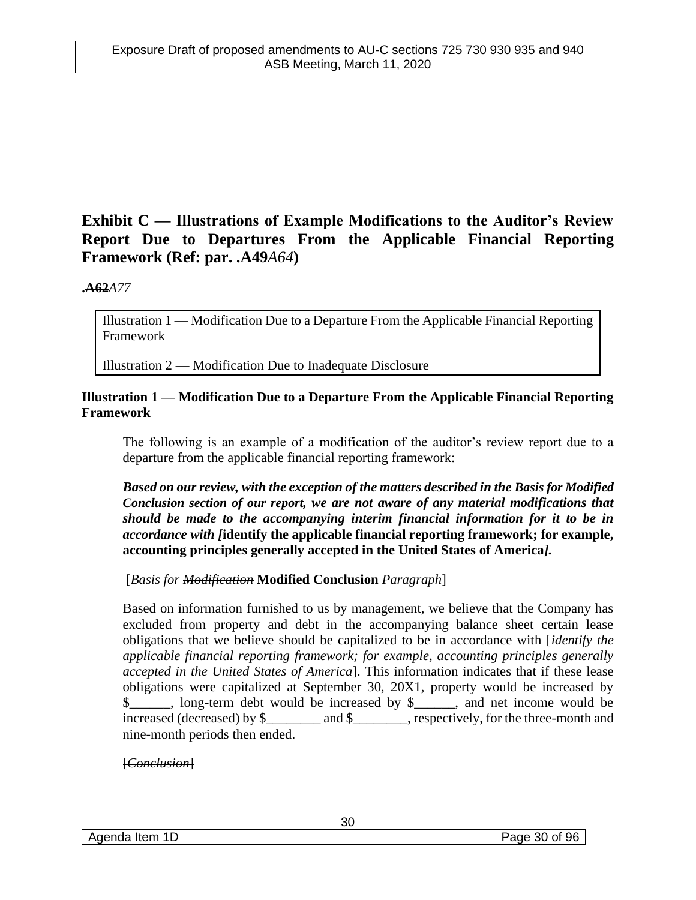## **Exhibit C — Illustrations of Example Modifications to the Auditor's Review Report Due to Departures From the Applicable Financial Reporting Framework (Ref: par. .A49***A64***)**

#### **.A62***A77*

[Illustration 1](#page-29-0) — Modification Due to a Departure From the Applicable Financial Reporting Framework

[Illustration 2](#page-30-0) — Modification Due to Inadequate Disclosure

#### <span id="page-29-0"></span>**Illustration 1 — Modification Due to a Departure From the Applicable Financial Reporting Framework**

The following is an example of a modification of the auditor's review report due to a departure from the applicable financial reporting framework:

*Based on our review, with the exception of the matters described in the Basis for Modified Conclusion section of our report, we are not aware of any material modifications that should be made to the accompanying interim financial information for it to be in accordance with [***identify the applicable financial reporting framework; for example, accounting principles generally accepted in the United States of America***].*

[*Basis for Modification* **Modified Conclusion** *Paragraph*]

Based on information furnished to us by management, we believe that the Company has excluded from property and debt in the accompanying balance sheet certain lease obligations that we believe should be capitalized to be in accordance with [*identify the applicable financial reporting framework; for example, accounting principles generally accepted in the United States of America*]. This information indicates that if these lease obligations were capitalized at September 30, 20X1, property would be increased by \$ increased (decreased) by  $\frac{1}{2}$  and  $\frac{1}{2}$ , respectively, for the three-month and nine-month periods then ended.

[*Conclusion*]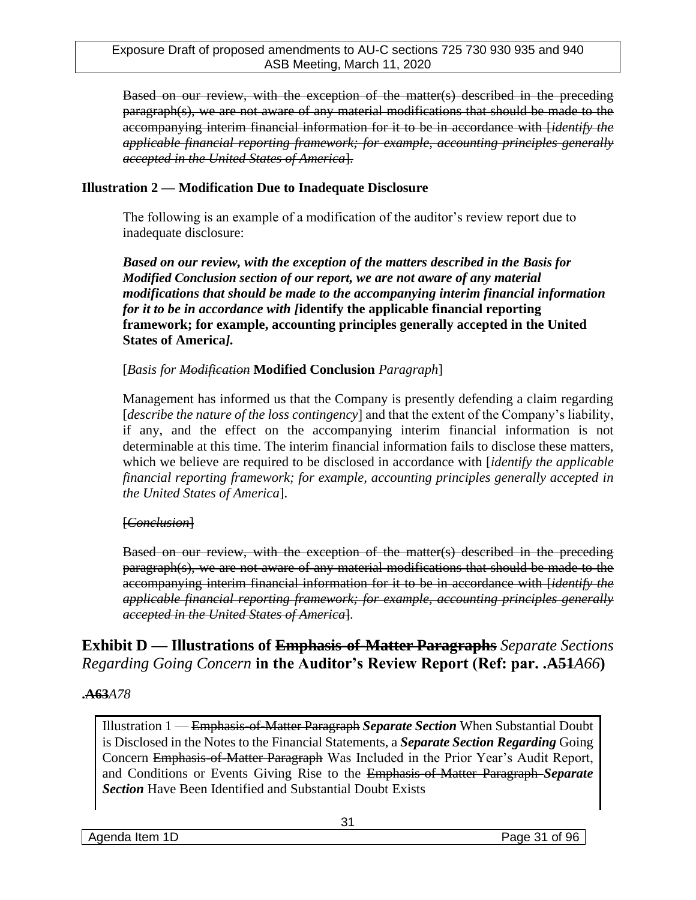Based on our review, with the exception of the matter(s) described in the preceding paragraph(s), we are not aware of any material modifications that should be made to the accompanying interim financial information for it to be in accordance with [*identify the applicable financial reporting framework; for example, accounting principles generally accepted in the United States of America*].

#### <span id="page-30-0"></span>**Illustration 2 — Modification Due to Inadequate Disclosure**

The following is an example of a modification of the auditor's review report due to inadequate disclosure:

*Based on our review, with the exception of the matters described in the Basis for Modified Conclusion section of our report, we are not aware of any material modifications that should be made to the accompanying interim financial information for it to be in accordance with [***identify the applicable financial reporting framework; for example, accounting principles generally accepted in the United States of America***].*

[*Basis for Modification* **Modified Conclusion** *Paragraph*]

Management has informed us that the Company is presently defending a claim regarding [*describe the nature of the loss contingency*] and that the extent of the Company's liability, if any, and the effect on the accompanying interim financial information is not determinable at this time. The interim financial information fails to disclose these matters, which we believe are required to be disclosed in accordance with [*identify the applicable financial reporting framework; for example, accounting principles generally accepted in the United States of America*].

#### [*Conclusion*]

Based on our review, with the exception of the matter(s) described in the preceding paragraph(s), we are not aware of any material modifications that should be made to the accompanying interim financial information for it to be in accordance with [*identify the applicable financial reporting framework; for example, accounting principles generally accepted in the United States of America*].

**Exhibit D — Illustrations of Emphasis-of-Matter Paragraphs** *Separate Sections Regarding Going Concern* **in the Auditor's Review Report (Ref: par. .A51***A66***)**

#### **.A63***A78*

[Illustration 1](#page-31-0) — Emphasis-of-Matter Paragraph *Separate Section* When Substantial Doubt is Disclosed in the Notes to the Financial Statements, a *Separate Section Regarding* Going Concern Emphasis of Matter Paragraph Was Included in the Prior Year's Audit Report, and Conditions or Events Giving Rise to the Emphasis-of-Matter Paragraph *Separate Section* Have Been Identified and Substantial Doubt Exists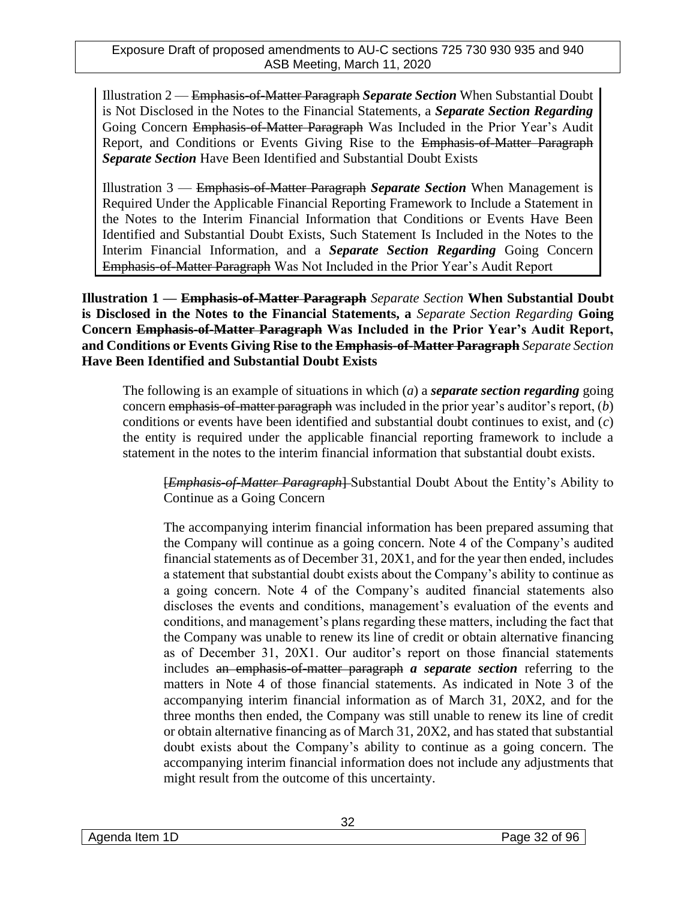[Illustration 2](#page-32-0) — Emphasis-of-Matter Paragraph *Separate Section* When Substantial Doubt is Not Disclosed in the Notes to the Financial Statements, a *Separate Section Regarding*  Going Concern Emphasis-of-Matter Paragraph Was Included in the Prior Year's Audit Report, and Conditions or Events Giving Rise to the Emphasis of Matter Paragraph *Separate Section* Have Been Identified and Substantial Doubt Exists

[Illustration 3](#page-32-1) — Emphasis-of-Matter Paragraph *Separate Section* When Management is Required Under the Applicable Financial Reporting Framework to Include a Statement in the Notes to the Interim Financial Information that Conditions or Events Have Been Identified and Substantial Doubt Exists, Such Statement Is Included in the Notes to the Interim Financial Information, and a *Separate Section Regarding* Going Concern Emphasis-of-Matter Paragraph Was Not Included in the Prior Year's Audit Report

<span id="page-31-0"></span>**Illustration 1 — Emphasis-of-Matter Paragraph** *Separate Section* **When Substantial Doubt is Disclosed in the Notes to the Financial Statements, a** *Separate Section Regarding* **Going Concern Emphasis-of-Matter Paragraph Was Included in the Prior Year's Audit Report, and Conditions or Events Giving Rise to the Emphasis-of-Matter Paragraph** *Separate Section*  **Have Been Identified and Substantial Doubt Exists**

The following is an example of situations in which (*a*) a *separate section regarding* going concern emphasis-of-matter paragraph was included in the prior year's auditor's report, (*b*) conditions or events have been identified and substantial doubt continues to exist, and (*c*) the entity is required under the applicable financial reporting framework to include a statement in the notes to the interim financial information that substantial doubt exists.

[*Emphasis-of-Matter Paragraph*] Substantial Doubt About the Entity's Ability to Continue as a Going Concern

The accompanying interim financial information has been prepared assuming that the Company will continue as a going concern. Note 4 of the Company's audited financial statements as of December 31, 20X1, and for the year then ended, includes a statement that substantial doubt exists about the Company's ability to continue as a going concern. Note 4 of the Company's audited financial statements also discloses the events and conditions, management's evaluation of the events and conditions, and management's plans regarding these matters, including the fact that the Company was unable to renew its line of credit or obtain alternative financing as of December 31, 20X1. Our auditor's report on those financial statements includes an emphasis-of-matter paragraph *a separate section* referring to the matters in Note 4 of those financial statements. As indicated in Note 3 of the accompanying interim financial information as of March 31, 20X2, and for the three months then ended, the Company was still unable to renew its line of credit or obtain alternative financing as of March 31, 20X2, and has stated that substantial doubt exists about the Company's ability to continue as a going concern. The accompanying interim financial information does not include any adjustments that might result from the outcome of this uncertainty.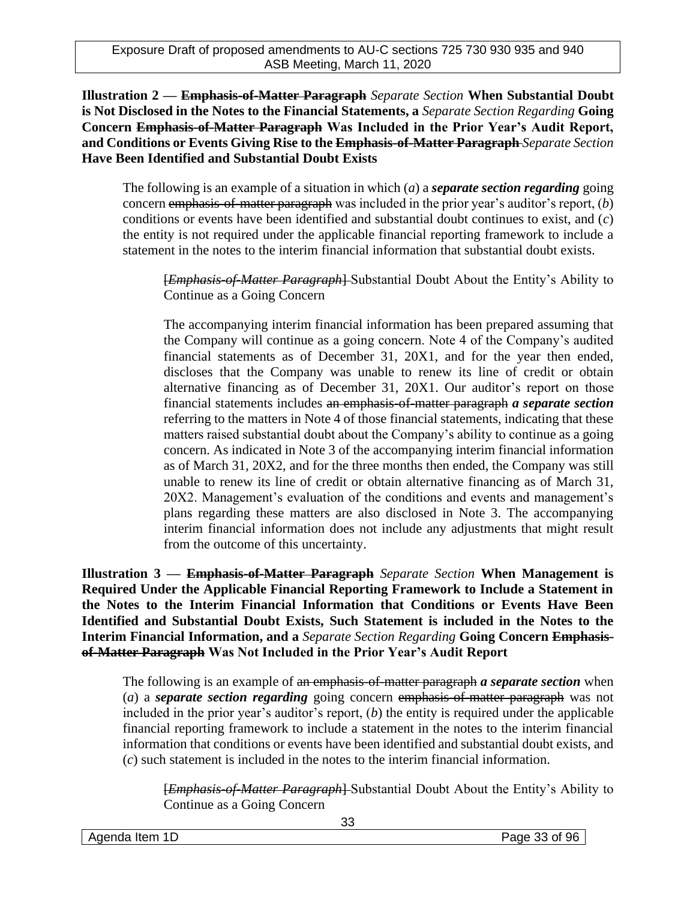<span id="page-32-0"></span>**Illustration 2 — Emphasis-of-Matter Paragraph** *Separate Section* **When Substantial Doubt is Not Disclosed in the Notes to the Financial Statements, a** *Separate Section Regarding* **Going Concern Emphasis-of-Matter Paragraph Was Included in the Prior Year's Audit Report, and Conditions or Events Giving Rise to the Emphasis-of-Matter Paragraph** *Separate Section*  **Have Been Identified and Substantial Doubt Exists**

The following is an example of a situation in which (*a*) a *separate section regarding* going concern emphasis-of-matter paragraph was included in the prior year's auditor's report, (*b*) conditions or events have been identified and substantial doubt continues to exist, and (*c*) the entity is not required under the applicable financial reporting framework to include a statement in the notes to the interim financial information that substantial doubt exists.

[*Emphasis-of-Matter Paragraph*] Substantial Doubt About the Entity's Ability to Continue as a Going Concern

The accompanying interim financial information has been prepared assuming that the Company will continue as a going concern. Note 4 of the Company's audited financial statements as of December 31, 20X1, and for the year then ended, discloses that the Company was unable to renew its line of credit or obtain alternative financing as of December 31, 20X1. Our auditor's report on those financial statements includes an emphasis-of-matter paragraph *a separate section*  referring to the matters in Note 4 of those financial statements, indicating that these matters raised substantial doubt about the Company's ability to continue as a going concern. As indicated in Note 3 of the accompanying interim financial information as of March 31, 20X2, and for the three months then ended, the Company was still unable to renew its line of credit or obtain alternative financing as of March 31, 20X2. Management's evaluation of the conditions and events and management's plans regarding these matters are also disclosed in Note 3. The accompanying interim financial information does not include any adjustments that might result from the outcome of this uncertainty.

<span id="page-32-1"></span>**Illustration 3 — Emphasis-of-Matter Paragraph** *Separate Section* **When Management is Required Under the Applicable Financial Reporting Framework to Include a Statement in the Notes to the Interim Financial Information that Conditions or Events Have Been Identified and Substantial Doubt Exists, Such Statement is included in the Notes to the Interim Financial Information, and a** *Separate Section Regarding* **Going Concern Emphasisof-Matter Paragraph Was Not Included in the Prior Year's Audit Report**

The following is an example of an emphasis-of-matter paragraph *a separate section* when (*a*) a *separate section regarding* going concern emphasis-of-matter paragraph was not included in the prior year's auditor's report, (*b*) the entity is required under the applicable financial reporting framework to include a statement in the notes to the interim financial information that conditions or events have been identified and substantial doubt exists, and (*c*) such statement is included in the notes to the interim financial information.

[*Emphasis-of-Matter Paragraph*] Substantial Doubt About the Entity's Ability to Continue as a Going Concern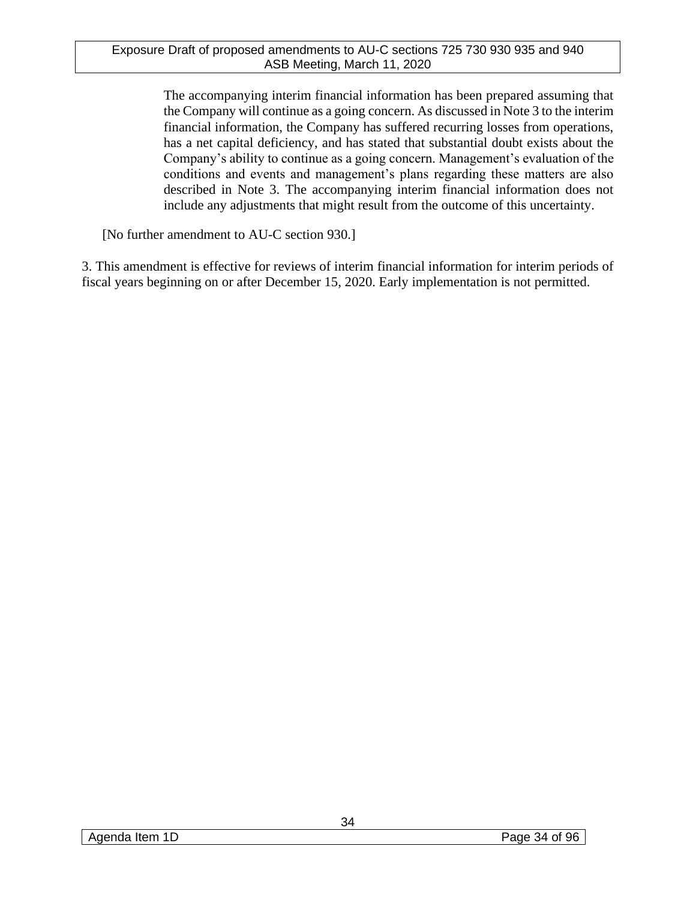#### Exposure Draft of proposed amendments to AU-C sections 725 730 930 935 and 940 ASB Meeting, March 11, 2020

The accompanying interim financial information has been prepared assuming that the Company will continue as a going concern. As discussed in Note 3 to the interim financial information, the Company has suffered recurring losses from operations, has a net capital deficiency, and has stated that substantial doubt exists about the Company's ability to continue as a going concern. Management's evaluation of the conditions and events and management's plans regarding these matters are also described in Note 3. The accompanying interim financial information does not include any adjustments that might result from the outcome of this uncertainty.

[No further amendment to AU-C section 930.]

3. This amendment is effective for reviews of interim financial information for interim periods of fiscal years beginning on or after December 15, 2020. Early implementation is not permitted.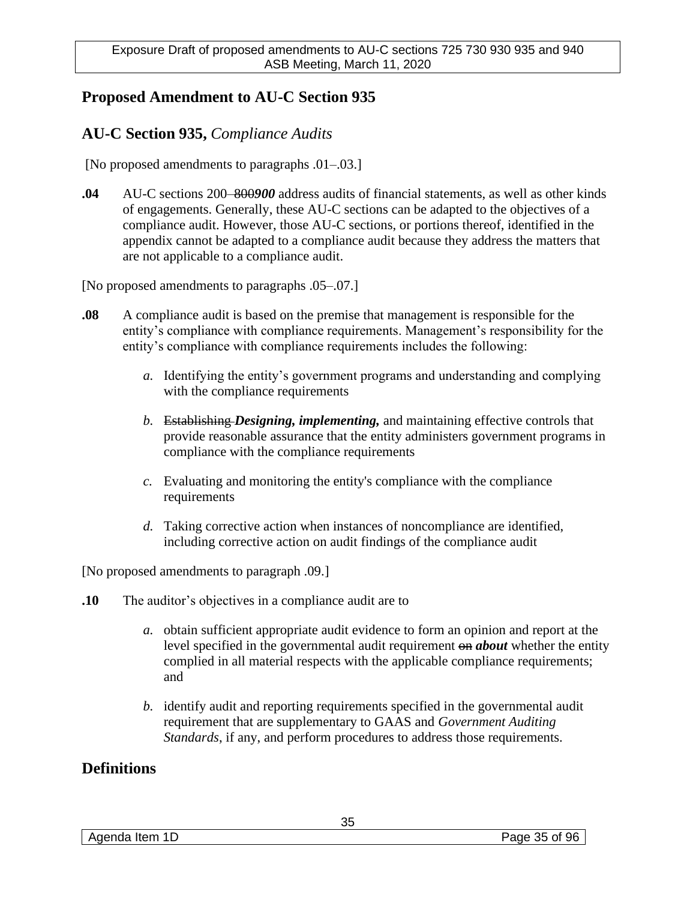## **Proposed Amendment to AU-C Section 935**

## **AU-C Section 935,** *Compliance Audits*

[No proposed amendments to paragraphs .01–.03.]

**.04** AU-C sections 200–800*900* address audits of financial statements, as well as other kinds of engagements. Generally, these AU-C sections can be adapted to the objectives of a compliance audit. However, those AU-C sections, or portions thereof, identified in the appendix cannot be adapted to a compliance audit because they address the matters that are not applicable to a compliance audit.

[No proposed amendments to paragraphs .05–.07.]

- **.08** A compliance audit is based on the premise that management is responsible for the entity's compliance with compliance requirements. Management's responsibility for the entity's compliance with compliance requirements includes the following:
	- *a.* Identifying the entity's government programs and understanding and complying with the compliance requirements
	- *b.* Establishing *Designing, implementing,* and maintaining effective controls that provide reasonable assurance that the entity administers government programs in compliance with the compliance requirements
	- *c.* Evaluating and monitoring the entity's compliance with the compliance requirements
	- *d.* Taking corrective action when instances of noncompliance are identified, including corrective action on audit findings of the compliance audit

[No proposed amendments to paragraph .09.]

- **.10** The auditor's objectives in a compliance audit are to
	- *a.* obtain sufficient appropriate audit evidence to form an opinion and report at the level specified in the governmental audit requirement on *about* whether the entity complied in all material respects with the applicable compliance requirements; and
	- *b.* identify audit and reporting requirements specified in the governmental audit requirement that are supplementary to GAAS and *Government Auditing Standards*, if any, and perform procedures to address those requirements.

## **Definitions**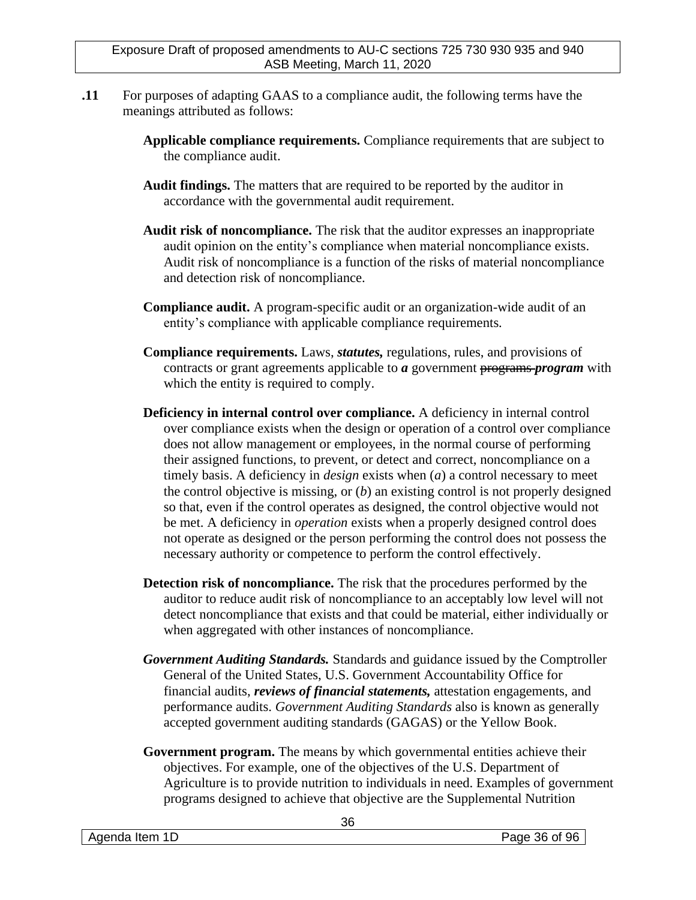- **.11** For purposes of adapting GAAS to a compliance audit, the following terms have the meanings attributed as follows:
	- **Applicable compliance requirements.** Compliance requirements that are subject to the compliance audit.
	- **Audit findings.** The matters that are required to be reported by the auditor in accordance with the governmental audit requirement.
	- **Audit risk of noncompliance.** The risk that the auditor expresses an inappropriate audit opinion on the entity's compliance when material noncompliance exists. Audit risk of noncompliance is a function of the risks of material noncompliance and detection risk of noncompliance.
	- **Compliance audit.** A program-specific audit or an organization-wide audit of an entity's compliance with applicable compliance requirements*.*
	- **Compliance requirements.** Laws, *statutes,* regulations, rules, and provisions of contracts or grant agreements applicable to *a* government programs *program* with which the entity is required to comply.
	- **Deficiency in internal control over compliance.** A deficiency in internal control over compliance exists when the design or operation of a control over compliance does not allow management or employees, in the normal course of performing their assigned functions, to prevent, or detect and correct, noncompliance on a timely basis. A deficiency in *design* exists when (*a*) a control necessary to meet the control objective is missing, or (*b*) an existing control is not properly designed so that, even if the control operates as designed, the control objective would not be met. A deficiency in *operation* exists when a properly designed control does not operate as designed or the person performing the control does not possess the necessary authority or competence to perform the control effectively.
	- **Detection risk of noncompliance.** The risk that the procedures performed by the auditor to reduce audit risk of noncompliance to an acceptably low level will not detect noncompliance that exists and that could be material, either individually or when aggregated with other instances of noncompliance.
	- *Government Auditing Standards.* Standards and guidance issued by the Comptroller General of the United States, U.S. Government Accountability Office for financial audits, *reviews of financial statements,* attestation engagements, and performance audits. *Government Auditing Standards* also is known as generally accepted government auditing standards (GAGAS) or the Yellow Book.
	- **Government program.** The means by which governmental entities achieve their objectives. For example, one of the objectives of the U.S. Department of Agriculture is to provide nutrition to individuals in need. Examples of government programs designed to achieve that objective are the Supplemental Nutrition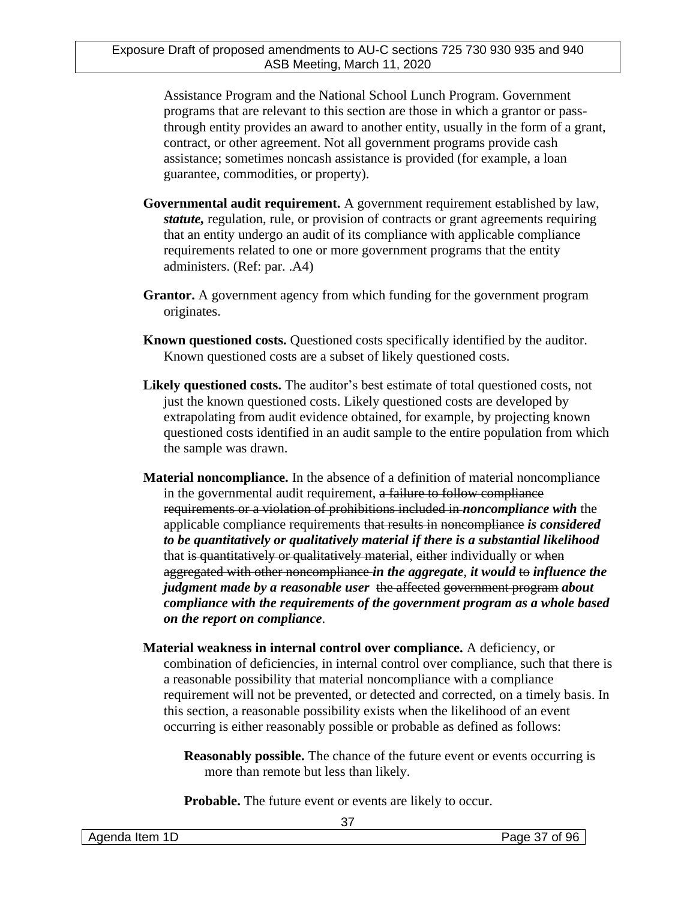Assistance Program and the National School Lunch Program. Government programs that are relevant to this section are those in which a grantor or passthrough entity provides an award to another entity, usually in the form of a grant, contract, or other agreement. Not all government programs provide cash assistance; sometimes noncash assistance is provided (for example, a loan guarantee, commodities, or property).

- **Governmental audit requirement.** A government requirement established by law, *statute,* regulation, rule, or provision of contracts or grant agreements requiring that an entity undergo an audit of its compliance with applicable compliance requirements related to one or more government programs that the entity administers. (Ref: par. .A4)
- **Grantor.** A government agency from which funding for the government program originates.
- **Known questioned costs.** Questioned costs specifically identified by the auditor. Known questioned costs are a subset of likely questioned costs.
- **Likely questioned costs.** The auditor's best estimate of total questioned costs, not just the known questioned costs. Likely questioned costs are developed by extrapolating from audit evidence obtained, for example, by projecting known questioned costs identified in an audit sample to the entire population from which the sample was drawn.
- **Material noncompliance.** In the absence of a definition of material noncompliance in the governmental audit requirement, a failure to follow compliance requirements or a violation of prohibitions included in *noncompliance with* the applicable compliance requirements that results in noncompliance *is considered to be quantitatively or qualitatively material if there is a substantial likelihood*  that is quantitatively or qualitatively material, either individually or when aggregated with other noncompliance *in the aggregate*, *it would* to *influence the judgment made by a reasonable user* the affected government program *about compliance with the requirements of the government program as a whole based on the report on compliance*.
- **Material weakness in internal control over compliance.** A deficiency, or combination of deficiencies, in internal control over compliance, such that there is a reasonable possibility that material noncompliance with a compliance requirement will not be prevented, or detected and corrected, on a timely basis. In this section, a reasonable possibility exists when the likelihood of an event occurring is either reasonably possible or probable as defined as follows:
	- **Reasonably possible.** The chance of the future event or events occurring is more than remote but less than likely.

**Probable.** The future event or events are likely to occur.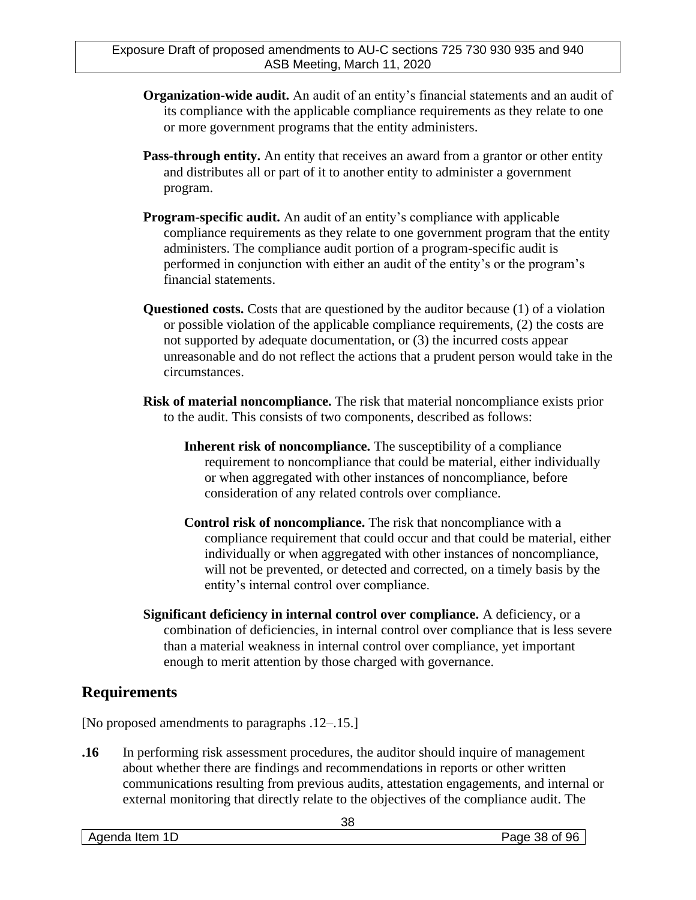- **Organization-wide audit.** An audit of an entity's financial statements and an audit of its compliance with the applicable compliance requirements as they relate to one or more government programs that the entity administers.
- **Pass-through entity.** An entity that receives an award from a grantor or other entity and distributes all or part of it to another entity to administer a government program.
- **Program-specific audit.** An audit of an entity's compliance with applicable compliance requirements as they relate to one government program that the entity administers. The compliance audit portion of a program-specific audit is performed in conjunction with either an audit of the entity's or the program's financial statements.
- **Questioned costs.** Costs that are questioned by the auditor because (1) of a violation or possible violation of the applicable compliance requirements, (2) the costs are not supported by adequate documentation, or (3) the incurred costs appear unreasonable and do not reflect the actions that a prudent person would take in the circumstances.
- **Risk of material noncompliance.** The risk that material noncompliance exists prior to the audit. This consists of two components, described as follows:
	- **Inherent risk of noncompliance.** The susceptibility of a compliance requirement to noncompliance that could be material, either individually or when aggregated with other instances of noncompliance, before consideration of any related controls over compliance.
	- **Control risk of noncompliance.** The risk that noncompliance with a compliance requirement that could occur and that could be material, either individually or when aggregated with other instances of noncompliance, will not be prevented, or detected and corrected, on a timely basis by the entity's internal control over compliance.
- **Significant deficiency in internal control over compliance.** A deficiency, or a combination of deficiencies, in internal control over compliance that is less severe than a material weakness in internal control over compliance, yet important enough to merit attention by those charged with governance.

# **Requirements**

[No proposed amendments to paragraphs .12–.15.]

**.16** In performing risk assessment procedures, the auditor should inquire of management about whether there are findings and recommendations in reports or other written communications resulting from previous audits, attestation engagements, and internal or external monitoring that directly relate to the objectives of the compliance audit. The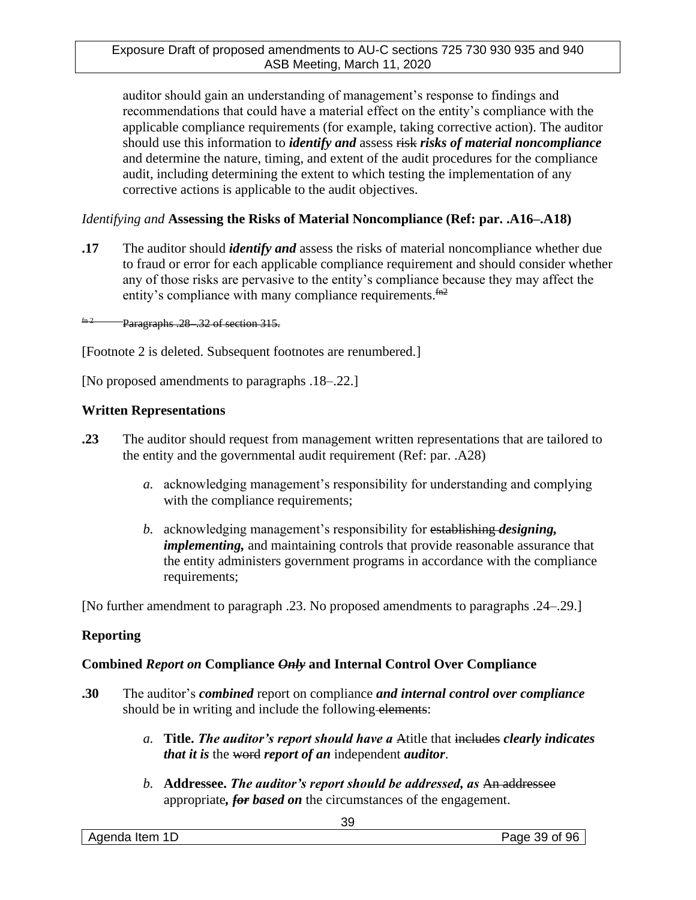auditor should gain an understanding of management's response to findings and recommendations that could have a material effect on the entity's compliance with the applicable compliance requirements (for example, taking corrective action). The auditor should use this information to *identify and* assess risk *risks of material noncompliance* and determine the nature, timing, and extent of the audit procedures for the compliance audit, including determining the extent to which testing the implementation of any corrective actions is applicable to the audit objectives.

## *Identifying and* **Assessing the Risks of Material Noncompliance (Ref: [par. .A16–.A18\)](#page-49-0)**

**.17** The auditor should *identify and* assess the risks of material noncompliance whether due to fraud or error for each applicable compliance requirement and should consider whether any of those risks are pervasive to the entity's compliance because they may affect the entity's compliance with many compliance requirements.  $\frac{fn2}{n}$ 

Paragraphs .28 .32 of section 315.

[Footnote 2 is deleted. Subsequent footnotes are renumbered.]

[No proposed amendments to paragraphs .18–.22.]

#### **Written Representations**

- **.23** The auditor should request from management written representations that are tailored to the entity and the governmental audit requirement (Ref: par. .A28)
	- *a.* acknowledging management's responsibility for understanding and complying with the compliance requirements;
	- *b.* acknowledging management's responsibility for establishing *designing, implementing*, and maintaining controls that provide reasonable assurance that the entity administers government programs in accordance with the compliance requirements;

[No further amendment to paragraph .23. No proposed amendments to paragraphs .24–.29.]

### **Reporting**

### **Combined** *Report on* **Compliance** *Only* **and Internal Control Over Compliance**

- <span id="page-38-0"></span>**.30** The auditor's *combined* report on compliance *and internal control over compliance* should be in writing and include the following elements:
	- *a.* **Title.** *The auditor's report should have a* Atitle that includes *clearly indicates that it is* the word *report of an* independent *auditor*.
	- *b.* **Addressee.** *The auditor's report should be addressed, as* An addressee appropriate*, for based on* the circumstances of the engagement.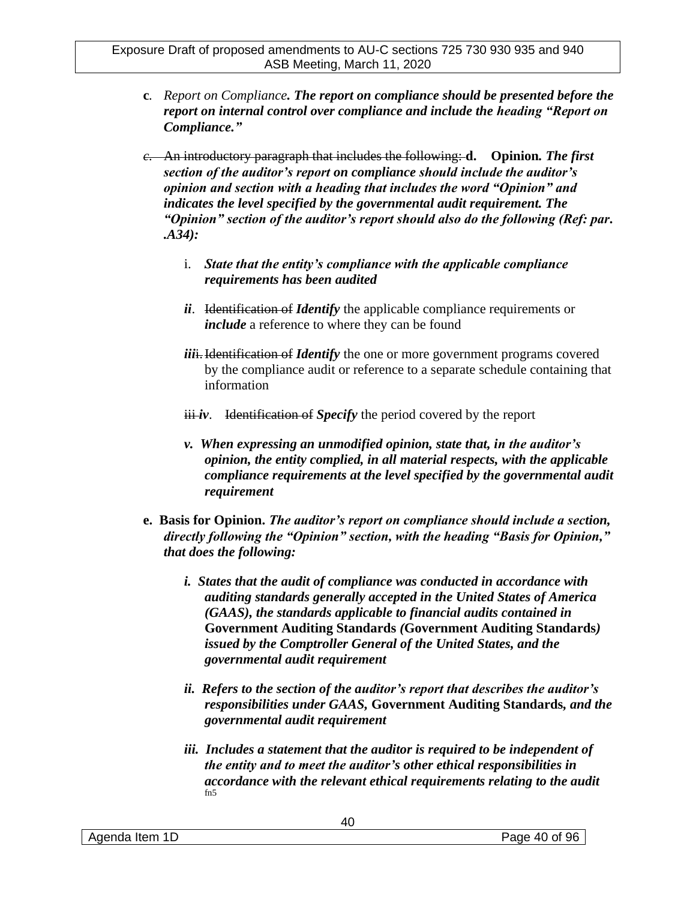**c***. Report on Compliance. The report on compliance should be presented before the report on internal control over compliance and include the heading "Report on Compliance."*

*c.* An introductory paragraph that includes the following: **d. Opinion***. The first section of the auditor's report on compliance should include the auditor's opinion and section with a heading that includes the word "Opinion" and indicates the level specified by the governmental audit requirement. The "Opinion" section of the auditor's report should also do the following (Ref: par. .A34):*

- i. *State that the entity's compliance with the applicable compliance requirements has been audited*
- *ii*. Identification of *Identify* the applicable compliance requirements or *include* a reference to where they can be found
- *iii*-Identification of *Identify* the one or more government programs covered by the compliance audit or reference to a separate schedule containing that information
- iii *iv*. Identification of *Specify* the period covered by the report
- *v. When expressing an unmodified opinion, state that, in the auditor's opinion, the entity complied, in all material respects, with the applicable compliance requirements at the level specified by the governmental audit requirement*
- **e. Basis for Opinion.** *The auditor's report on compliance should include a section, directly following the "Opinion" section, with the heading "Basis for Opinion," that does the following:*
	- *i. States that the audit of compliance was conducted in accordance with auditing standards generally accepted in the United States of America (GAAS), the standards applicable to financial audits contained in*  **Government Auditing Standards** *(***Government Auditing Standards***) issued by the Comptroller General of the United States, and the governmental audit requirement*
	- *ii. Refers to the section of the auditor's report that describes the auditor's responsibilities under GAAS,* **Government Auditing Standards***, and the governmental audit requirement*
	- *iii. Includes a statement that the auditor is required to be independent of the entity and to meet the auditor's other ethical responsibilities in accordance with the relevant ethical requirements relating to the audit* fn5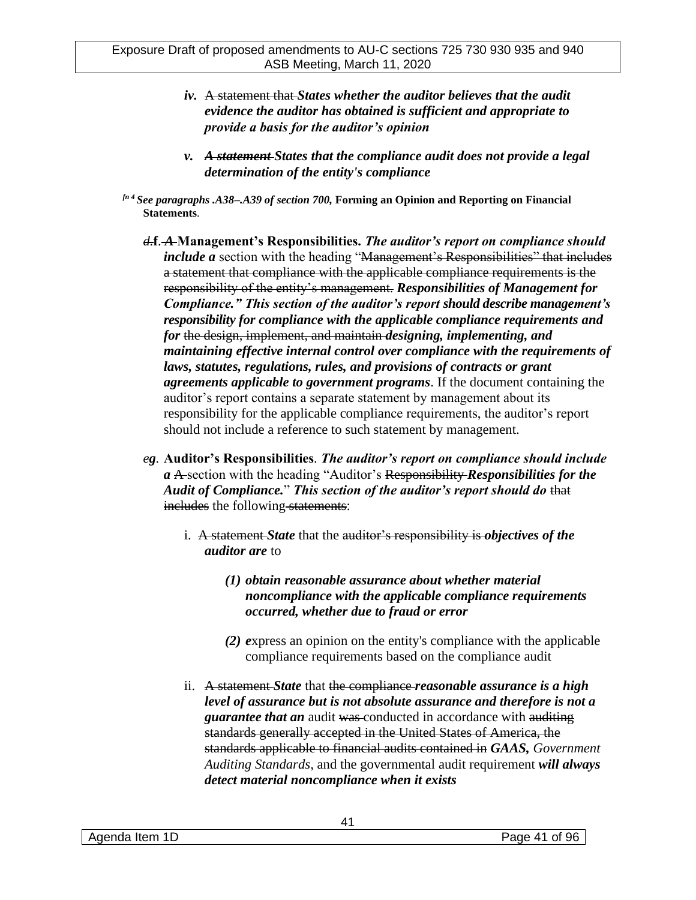- *iv.* A statement that *States whether the auditor believes that the audit evidence the auditor has obtained is sufficient and appropriate to provide a basis for the auditor's opinion*
- *v. A statement States that the compliance audit does not provide a legal determination of the entity's compliance*
- *fn 4 See paragraphs .A38–.A39 of section 700,* **Forming an Opinion and Reporting on Financial Statements**.
	- *d.***f**. *A* **Management's Responsibilities.** *The auditor's report on compliance should include a* section with the heading "Management's Responsibilities" that includes a statement that compliance with the applicable compliance requirements is the responsibility of the entity's management. *Responsibilities of Management for Compliance." This section of the auditor's report should describe management's responsibility for compliance with the applicable compliance requirements and for* the design, implement, and maintain *designing, implementing, and maintaining effective internal control over compliance with the requirements of laws, statutes, regulations, rules, and provisions of contracts or grant agreements applicable to government programs*. If the document containing the auditor's report contains a separate statement by management about its responsibility for the applicable compliance requirements, the auditor's report should not include a reference to such statement by management.
	- *eg.* **Auditor's Responsibilities***. The auditor's report on compliance should include a* A section with the heading "Auditor's Responsibility *Responsibilities for the Audit of Compliance.*" *This section of the auditor's report should do* that includes the following statements:
		- i. A statement *State* that the auditor's responsibility is *objectives of the auditor are* to
			- *(1) obtain reasonable assurance about whether material noncompliance with the applicable compliance requirements occurred, whether due to fraud or error*
			- *(2) e*xpress an opinion on the entity's compliance with the applicable compliance requirements based on the compliance audit
		- ii. A statement *State* that the compliance *reasonable assurance is a high level of assurance but is not absolute assurance and therefore is not a guarantee that an* audit was conducted in accordance with auditing standards generally accepted in the United States of America, the standards applicable to financial audits contained in *GAAS, Government Auditing Standards*, and the governmental audit requirement *will always detect material noncompliance when it exists*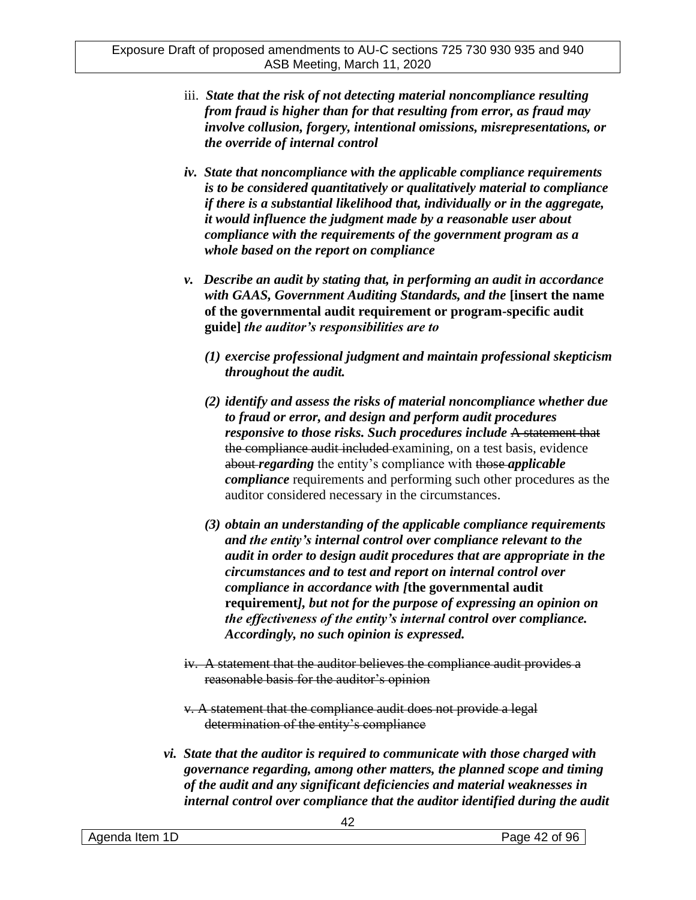- iii. *State that the risk of not detecting material noncompliance resulting from fraud is higher than for that resulting from error, as fraud may involve collusion, forgery, intentional omissions, misrepresentations, or the override of internal control*
- *iv. State that noncompliance with the applicable compliance requirements is to be considered quantitatively or qualitatively material to compliance if there is a substantial likelihood that, individually or in the aggregate, it would influence the judgment made by a reasonable user about compliance with the requirements of the government program as a whole based on the report on compliance*
- *v. Describe an audit by stating that, in performing an audit in accordance with GAAS, Government Auditing Standards, and the* **[insert the name of the governmental audit requirement or program-specific audit guide]** *the auditor's responsibilities are to*
	- *(1) exercise professional judgment and maintain professional skepticism throughout the audit.*
	- *(2) identify and assess the risks of material noncompliance whether due to fraud or error, and design and perform audit procedures responsive to those risks. Such procedures include* A statement that the compliance audit included examining, on a test basis, evidence about *regarding* the entity's compliance with those *applicable compliance* requirements and performing such other procedures as the auditor considered necessary in the circumstances.
	- *(3) obtain an understanding of the applicable compliance requirements and the entity's internal control over compliance relevant to the audit in order to design audit procedures that are appropriate in the circumstances and to test and report on internal control over compliance in accordance with [***the governmental audit requirement***], but not for the purpose of expressing an opinion on the effectiveness of the entity's internal control over compliance. Accordingly, no such opinion is expressed.*
- iv. A statement that the auditor believes the compliance audit provides a reasonable basis for the auditor's opinion
- v. A statement that the compliance audit does not provide a legal determination of the entity's compliance
- *vi. State that the auditor is required to communicate with those charged with governance regarding, among other matters, the planned scope and timing of the audit and any significant deficiencies and material weaknesses in internal control over compliance that the auditor identified during the audit*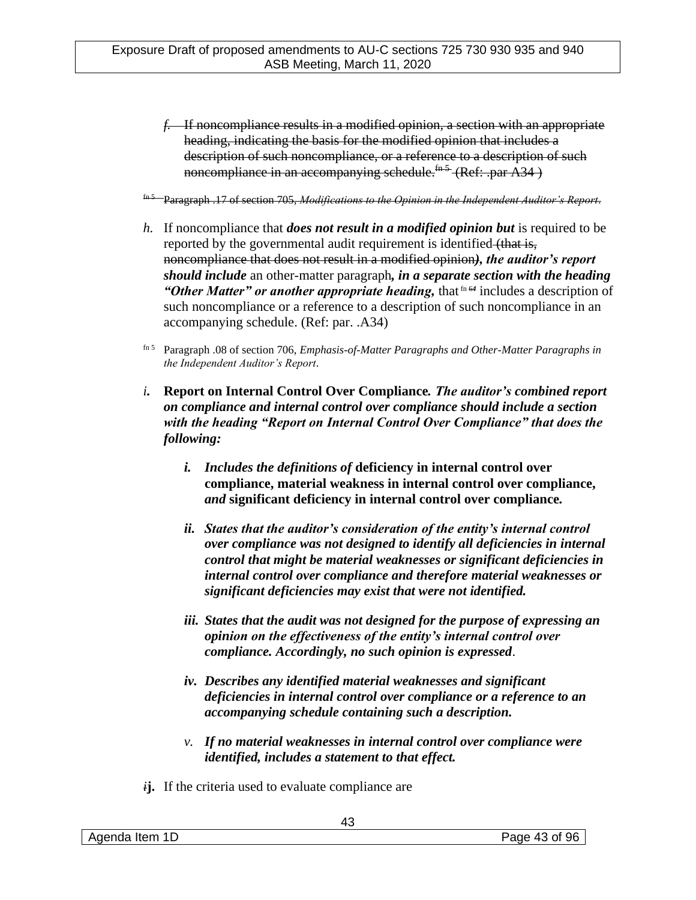- *f.* If noncompliance results in a modified opinion, a section with an appropriate heading, indicating the basis for the modified opinion that includes a description of such noncompliance, or a reference to a description of such noncompliance in an accompanying schedule.<sup>fn 5</sup> (Ref: .par A34)
- Faragraph .17 of section 705, *Modifications to the Opinion in the Independent Auditor's Report*.
- *h.* If noncompliance that *does not result in a modified opinion but* is required to be reported by the governmental audit requirement is identified (that is, noncompliance that does not result in a modified opinion*), the auditor's report should include* an other-matter paragraph*, in a separate section with the heading "Other Matter" or another appropriate heading, that*  $\frac{1}{4}$  includes a description of such noncompliance or a reference to a description of such noncompliance in an accompanying schedule. (Ref: par. .A34)
- fn 5 Paragraph .08 of section 706, *Emphasis-of-Matter Paragraphs and Other-Matter Paragraphs in the Independent Auditor's Report*.
- *i.* **Report on Internal Control Over Compliance***. The auditor's combined report on compliance and internal control over compliance should include a section with the heading "Report on Internal Control Over Compliance" that does the following:*
	- *i. Includes the definitions of* **deficiency in internal control over compliance, material weakness in internal control over compliance,** *and* **significant deficiency in internal control over compliance***.*
	- *ii. States that the auditor's consideration of the entity's internal control over compliance was not designed to identify all deficiencies in internal control that might be material weaknesses or significant deficiencies in internal control over compliance and therefore material weaknesses or significant deficiencies may exist that were not identified.*
	- *iii. States that the audit was not designed for the purpose of expressing an opinion on the effectiveness of the entity's internal control over compliance. Accordingly, no such opinion is expressed*.
	- *iv. Describes any identified material weaknesses and significant deficiencies in internal control over compliance or a reference to an accompanying schedule containing such a description.*
	- *v. If no material weaknesses in internal control over compliance were identified, includes a statement to that effect.*
- *i***j.** If the criteria used to evaluate compliance are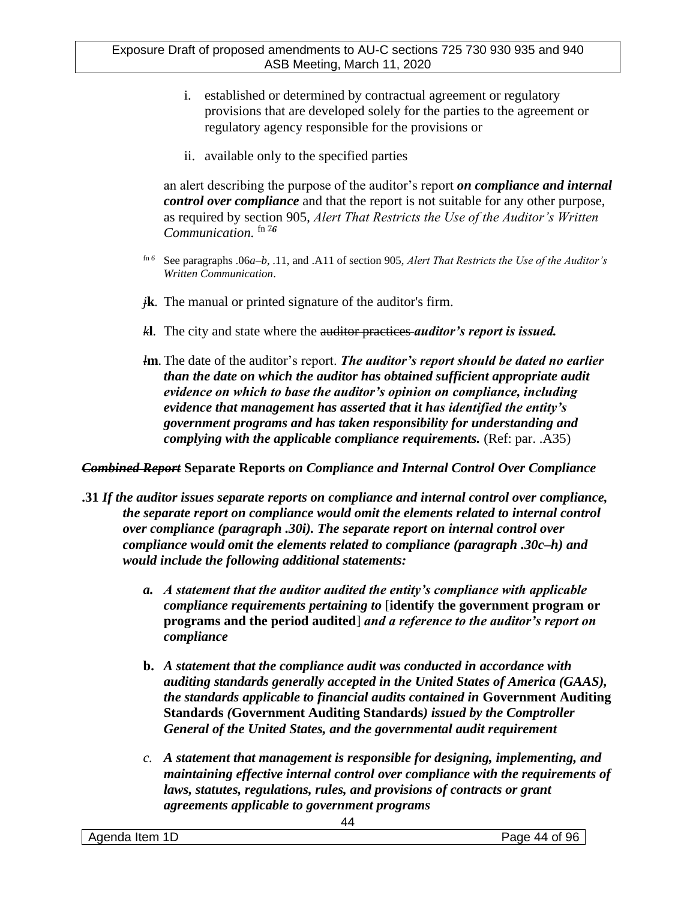- i. established or determined by contractual agreement or regulatory provisions that are developed solely for the parties to the agreement or regulatory agency responsible for the provisions or
- ii. available only to the specified parties

an alert describing the purpose of the auditor's report *on compliance and internal control over compliance* and that the report is not suitable for any other purpose, as required by section 905, *Alert That Restricts the Use of the Auditor's Written*  Communication.  $\ln 76$ 

- fn *<sup>6</sup>* See paragraphs .06*a*–*b*, .11, and .A11 of section 905, *Alert That Restricts the Use of the Auditor's Written Communication*.
- *j***k***.* The manual or printed signature of the auditor's firm.
- *k***l***.* The city and state where the auditor practices *auditor's report is issued.*
- *l***m***.*The date of the auditor's report. *The auditor's report should be dated no earlier than the date on which the auditor has obtained sufficient appropriate audit evidence on which to base the auditor's opinion on compliance, including evidence that management has asserted that it has identified the entity's government programs and has taken responsibility for understanding and complying with the applicable compliance requirements.* (Ref: par. .A35)

*Combined Report* **Separate Reports** *on Compliance and Internal Control Over Compliance*

- **.31** *If the auditor issues separate reports on compliance and internal control over compliance, the separate report on compliance would omit the elements related to internal control over compliance (paragraph .30i). The separate report on internal control over compliance would omit the elements related to compliance (paragraph .30c–h) and would include the following additional statements:* 
	- *a. A statement that the auditor audited the entity's compliance with applicable compliance requirements pertaining to* [**identify the government program or programs and the period audited**] *and a reference to the auditor's report on compliance*
	- **b.** *A statement that the compliance audit was conducted in accordance with auditing standards generally accepted in the United States of America (GAAS), the standards applicable to financial audits contained in* **Government Auditing Standards** *(***Government Auditing Standards***) issued by the Comptroller General of the United States, and the governmental audit requirement*
	- *c. A statement that management is responsible for designing, implementing, and maintaining effective internal control over compliance with the requirements of laws, statutes, regulations, rules, and provisions of contracts or grant agreements applicable to government programs*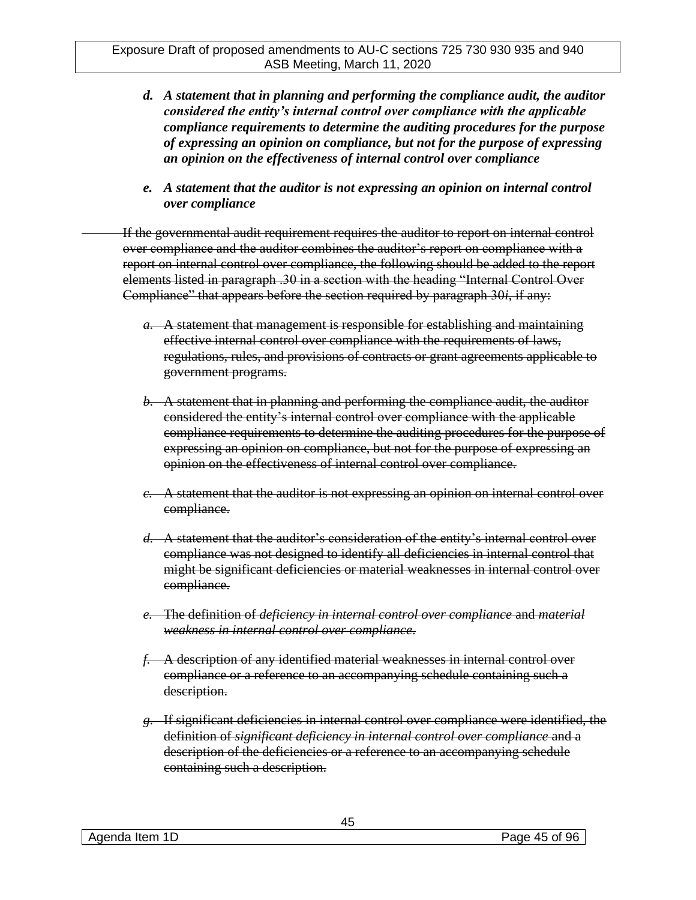- *d. A statement that in planning and performing the compliance audit, the auditor considered the entity's internal control over compliance with the applicable compliance requirements to determine the auditing procedures for the purpose of expressing an opinion on compliance, but not for the purpose of expressing an opinion on the effectiveness of internal control over compliance*
- *e. A statement that the auditor is not expressing an opinion on internal control over compliance*

If the governmental audit requirement requires the auditor to report on internal control over compliance and the auditor combines the auditor's report on compliance with a report on internal control over compliance, the following should be added to the report elements listed in paragraph .30 in a section with the heading "Internal Control Over Compliance" that appears before the section required by paragraph 30*i*, if any:

- *a.* A statement that management is responsible for establishing and maintaining effective internal control over compliance with the requirements of laws, regulations, rules, and provisions of contracts or grant agreements applicable to government programs.
- *b.* A statement that in planning and performing the compliance audit, the auditor considered the entity's internal control over compliance with the applicable compliance requirements to determine the auditing procedures for the purpose of expressing an opinion on compliance, but not for the purpose of expressing an opinion on the effectiveness of internal control over compliance.
- *c.* A statement that the auditor is not expressing an opinion on internal control over compliance.
- *d.* A statement that the auditor's consideration of the entity's internal control over compliance was not designed to identify all deficiencies in internal control that might be significant deficiencies or material weaknesses in internal control over compliance.
- *e.* The definition of *deficiency in internal control over compliance* and *material weakness in internal control over compliance*.
- *f.* A description of any identified material weaknesses in internal control over compliance or a reference to an accompanying schedule containing such a description.
- *g.* If significant deficiencies in internal control over compliance were identified, the definition of *significant deficiency in internal control over compliance* and a description of the deficiencies or a reference to an accompanying schedule containing such a description.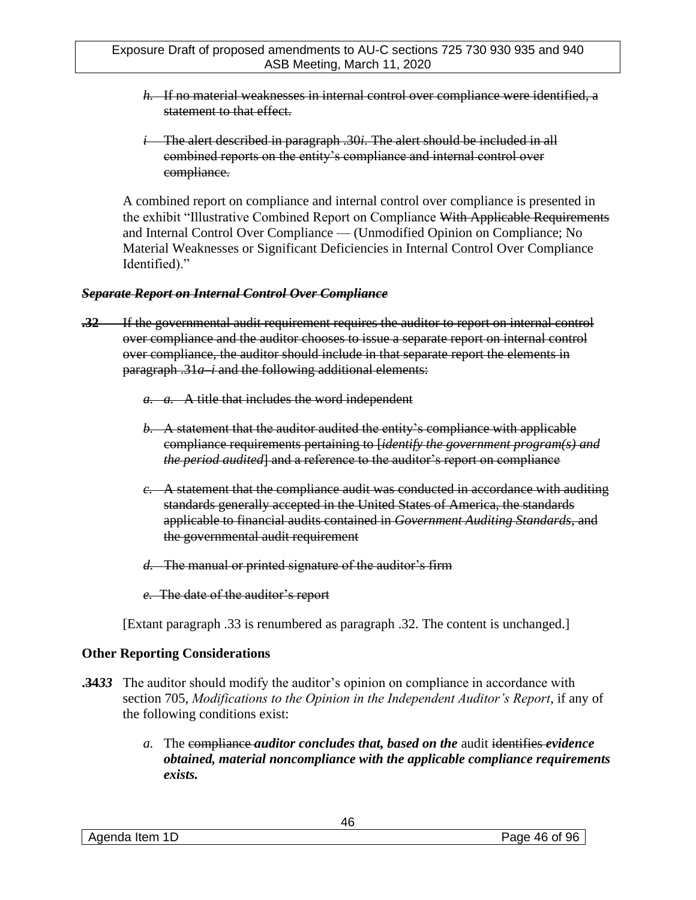- *h.* If no material weaknesses in internal control over compliance were identified, a statement to that effect.
- *i* The alert described in paragraph .30*i*. The alert should be included in all combined reports on the entity's compliance and internal control over compliance.

A combined report on compliance and internal control over compliance is presented in the exhibit "Illustrative Combined Report on Compliance With Applicable Requirements and Internal Control Over Compliance — (Unmodified Opinion on Compliance; No Material Weaknesses or Significant Deficiencies in Internal Control Over Compliance Identified)."

### *Separate Report on Internal Control Over Compliance*

**.32** If the governmental audit requirement requires the auditor to report on internal control over compliance and the auditor chooses to issue a separate report on internal control over compliance, the auditor should include in that separate report the elements in paragraph .31*a–i* and the following additional elements:

*a. a.* A title that includes the word independent

- *b.* A statement that the auditor audited the entity's compliance with applicable compliance requirements pertaining to [*identify the government program(s) and the period audited*] and a reference to the auditor's report on compliance
- *c.* A statement that the compliance audit was conducted in accordance with auditing standards generally accepted in the United States of America, the standards applicable to financial audits contained in *Government Auditing Standards*, and the governmental audit requirement
- *d.* The manual or printed signature of the auditor's firm

*e.* The date of the auditor's report

[Extant paragraph .33 is renumbered as paragraph .32. The content is unchanged.]

# **Other Reporting Considerations**

- **.34***33* The auditor should modify the auditor's opinion on compliance in accordance with section 705, *Modifications to the Opinion in the Independent Auditor's Report*, if any of the following conditions exist:
	- *a.* The compliance *auditor concludes that, based on the* audit identifies *evidence obtained, material noncompliance with the applicable compliance requirements exists.*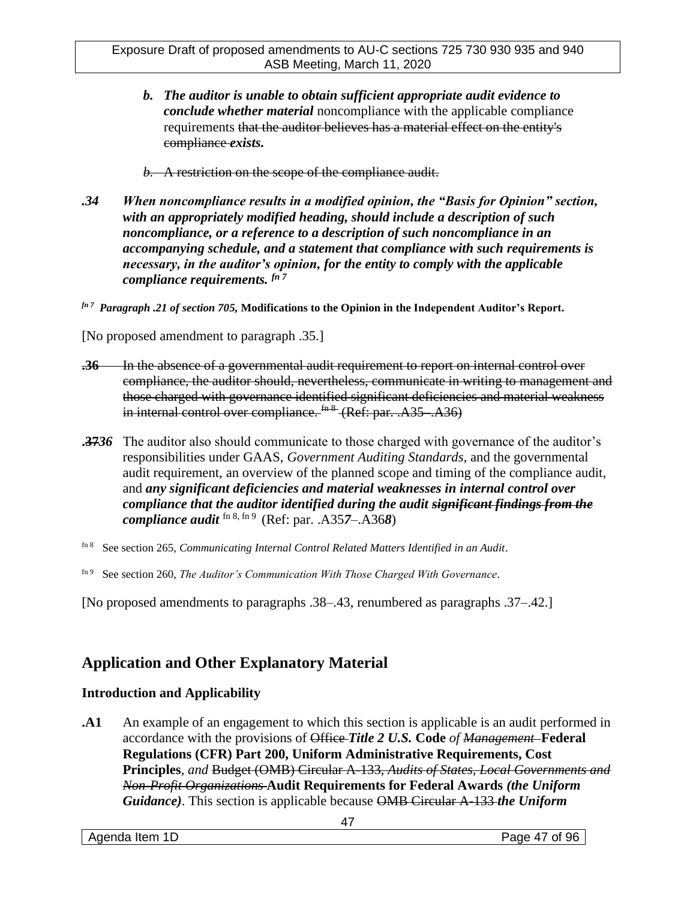- *b. The auditor is unable to obtain sufficient appropriate audit evidence to conclude whether material* noncompliance with the applicable compliance requirements that the auditor believes has a material effect on the entity's compliance *exists.*
- *b.* A restriction on the scope of the compliance audit.
- *.34 When noncompliance results in a modified opinion, the "Basis for Opinion" section, with an appropriately modified heading, should include a description of such noncompliance, or a reference to a description of such noncompliance in an accompanying schedule, and a statement that compliance with such requirements is necessary, in the auditor's opinion, for the entity to comply with the applicable compliance requirements. fn 7*
- *fn 7 Paragraph .21 of section 705,* **Modifications to the Opinion in the Independent Auditor's Report.**

[No proposed amendment to paragraph .35.]

- <span id="page-46-0"></span>**.36** In the absence of a governmental audit requirement to report on internal control over compliance, the auditor should, nevertheless, communicate in writing to management and those charged with governance identified significant deficiencies and material weakness in internal control over compliance.  $\frac{\text{fn } 8}{\text{Ref: par.}}$ .A35 .A36)
- **.37***36* The auditor also should communicate to those charged with governance of the auditor's responsibilities under GAAS, *Government Auditing Standards*, and the governmental audit requirement, an overview of the planned scope and timing of the compliance audit, and *any significant deficiencies and material weaknesses in internal control over compliance that the auditor identified during the audit significant findings from the compliance audit* fn 8, fn 9 (Ref: par. .A35*7*–.A36*8*)
- fn 8 See section 265, *Communicating Internal Control Related Matters Identified in an Audit*.
- See section 260, *The Auditor's Communication With Those Charged With Governance*.

[No proposed amendments to paragraphs .38–.43, renumbered as paragraphs .37–.42.]

# **Application and Other Explanatory Material**

### **Introduction and Applicability**

**.A1** An example of an engagement to which this section is applicable is an audit performed in accordance with the provisions of Office *Title 2 U.S.* **Code** *of Management* **Federal Regulations (CFR) Part 200, Uniform Administrative Requirements, Cost Principles***, and* Budget (OMB) Circular A-133, *Audits of States, Local Governments and Non-Profit Organizations* **Audit Requirements for Federal Awards** *(the Uniform Guidance)*. This section is applicable because OMB Circular A-133 *the Uniform*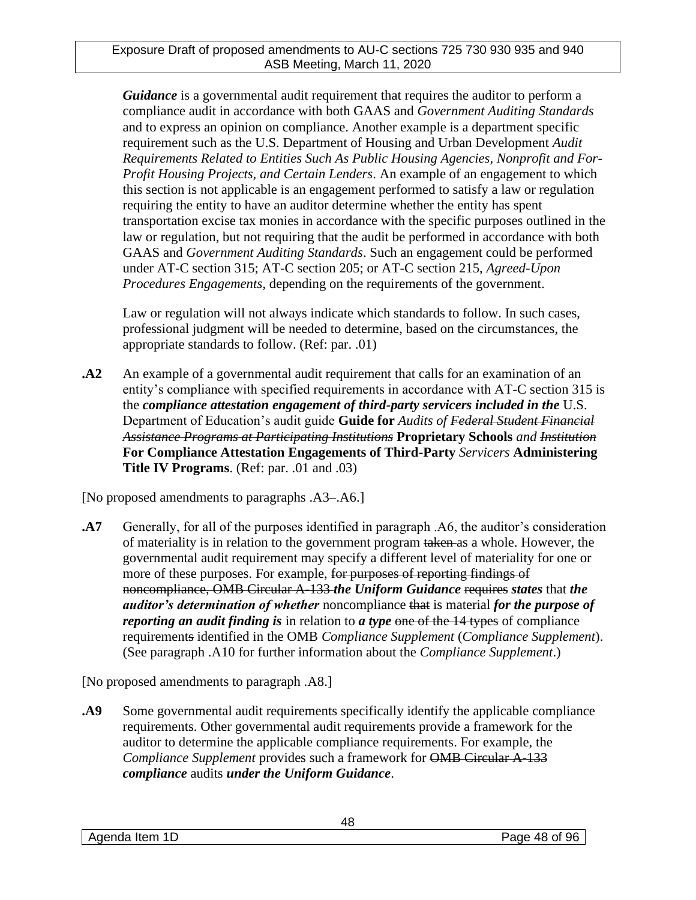*Guidance* is a governmental audit requirement that requires the auditor to perform a compliance audit in accordance with both GAAS and *Government Auditing Standards* and to express an opinion on compliance. Another example is a department specific requirement such as the U.S. Department of Housing and Urban Development *Audit Requirements Related to Entities Such As Public Housing Agencies, Nonprofit and For-Profit Housing Projects, and Certain Lenders*. An example of an engagement to which this section is not applicable is an engagement performed to satisfy a law or regulation requiring the entity to have an auditor determine whether the entity has spent transportation excise tax monies in accordance with the specific purposes outlined in the law or regulation, but not requiring that the audit be performed in accordance with both GAAS and *Government Auditing Standards*. Such an engagement could be performed under AT-C section 315; AT-C section 205; or AT-C section 215, *Agreed-Upon Procedures Engagements*, depending on the requirements of the government.

Law or regulation will not always indicate which standards to follow. In such cases, professional judgment will be needed to determine, based on the circumstances, the appropriate standards to follow. (Ref: par. .01)

**.A2** An example of a governmental audit requirement that calls for an examination of an entity's compliance with specified requirements in accordance with AT-C section 315 is the *compliance attestation engagement of third-party servicers included in the* U.S. Department of Education's audit guide **Guide for** *Audits of Federal Student Financial Assistance Programs at Participating Institutions* **Proprietary Schools** *and Institution*  **For Compliance Attestation Engagements of Third-Party** *Servicers* **Administering Title IV Programs**. (Ref: par. .01 and .03)

[No proposed amendments to paragraphs .A3–.A6.]

**.A7** Generally, for all of the purposes identified in paragraph .A6, the auditor's consideration of materiality is in relation to the government program taken as a whole. However, the governmental audit requirement may specify a different level of materiality for one or more of these purposes. For example, for purposes of reporting findings of noncompliance, OMB Circular A-133 *the Uniform Guidance* requires *states* that *the auditor's determination of whether* noncompliance that is material *for the purpose of reporting an audit finding is in relation to a type*  $\Theta$  one of the 14 types of compliance requirements identified in the OMB *Compliance Supplement* (*Compliance Supplement*). (See paragraph .A10 for further information about the *Compliance Supplement*.)

[No proposed amendments to paragraph .A8.]

**.A9** Some governmental audit requirements specifically identify the applicable compliance requirements. Other governmental audit requirements provide a framework for the auditor to determine the applicable compliance requirements. For example, the *Compliance Supplement* provides such a framework for OMB Circular A-133 *compliance* audits *under the Uniform Guidance*.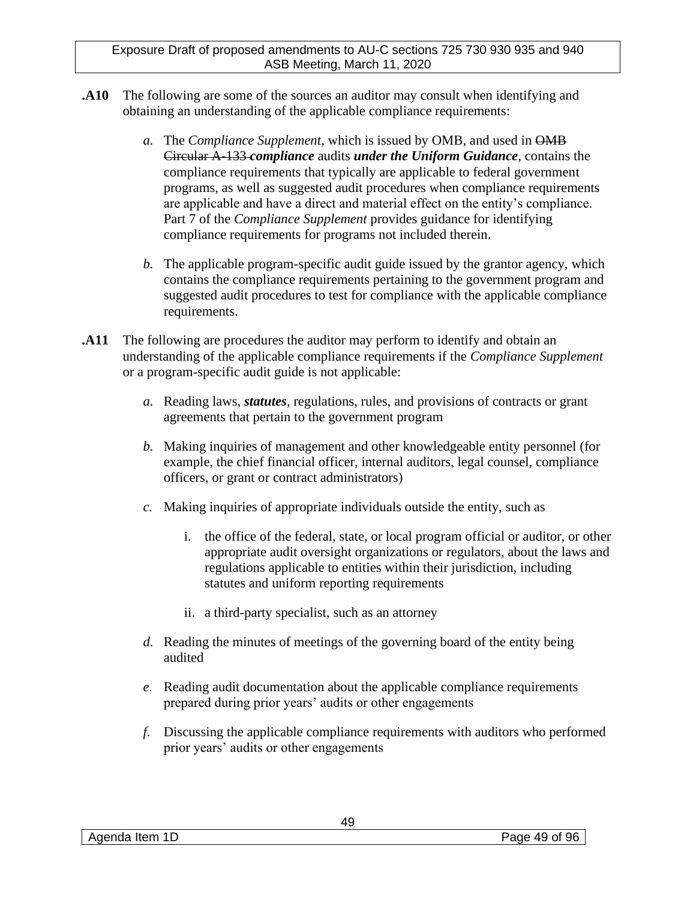Exposure Draft of proposed amendments to AU-C sections 725 730 930 935 and 940 ASB Meeting, March 11, 2020

- **.A10** The following are some of the sources an auditor may consult when identifying and obtaining an understanding of the applicable compliance requirements:
	- *a.* The *Compliance Supplement*, which is issued by OMB, and used in OMB Circular A-133 *compliance* audits *under the Uniform Guidance*, contains the compliance requirements that typically are applicable to federal government programs, as well as suggested audit procedures when compliance requirements are applicable and have a direct and material effect on the entity's compliance. Part 7 of the *Compliance Supplement* provides guidance for identifying compliance requirements for programs not included therein.
	- *b.* The applicable program-specific audit guide issued by the grantor agency, which contains the compliance requirements pertaining to the government program and suggested audit procedures to test for compliance with the applicable compliance requirements.
- **A11** The following are procedures the auditor may perform to identify and obtain an understanding of the applicable compliance requirements if the *Compliance Supplement* or a program-specific audit guide is not applicable:
	- *a.* Reading laws, *statutes*, regulations, rules, and provisions of contracts or grant agreements that pertain to the government program
	- *b.* Making inquiries of management and other knowledgeable entity personnel (for example, the chief financial officer, internal auditors, legal counsel, compliance officers, or grant or contract administrators)
	- *c.* Making inquiries of appropriate individuals outside the entity, such as
		- i. the office of the federal, state, or local program official or auditor, or other appropriate audit oversight organizations or regulators, about the laws and regulations applicable to entities within their jurisdiction, including statutes and uniform reporting requirements
		- ii. a third-party specialist, such as an attorney
	- *d.* Reading the minutes of meetings of the governing board of the entity being audited
	- *e.* Reading audit documentation about the applicable compliance requirements prepared during prior years' audits or other engagements
	- *f.* Discussing the applicable compliance requirements with auditors who performed prior years' audits or other engagements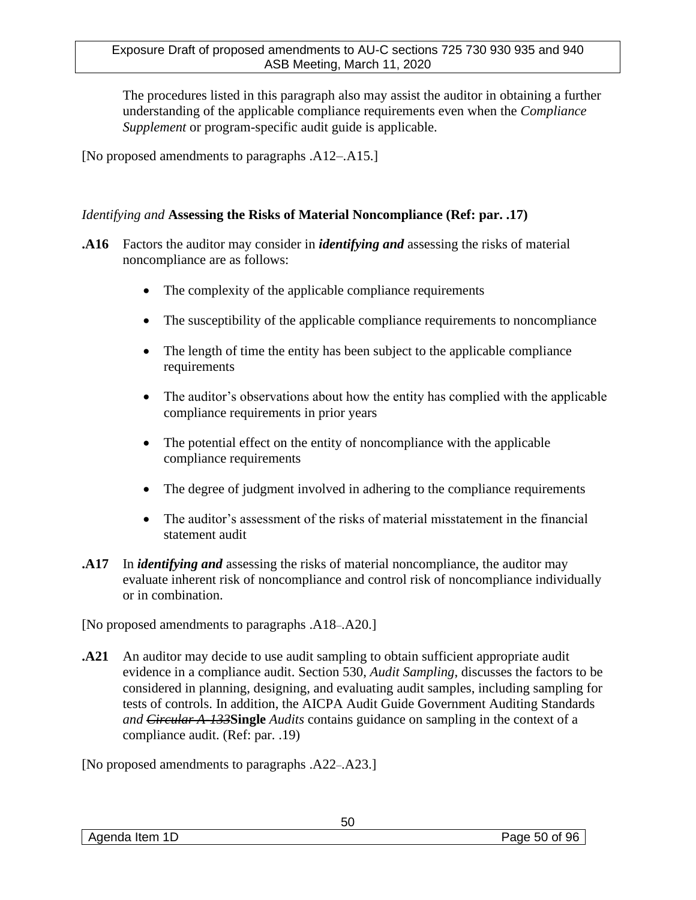The procedures listed in this paragraph also may assist the auditor in obtaining a further understanding of the applicable compliance requirements even when the *Compliance Supplement* or program-specific audit guide is applicable.

[No proposed amendments to paragraphs .A12–.A15.]

## *Identifying and* **Assessing the Risks of Material Noncompliance (Ref: par. .17)**

- <span id="page-49-0"></span>**.A16** Factors the auditor may consider in *identifying and* assessing the risks of material noncompliance are as follows:
	- The complexity of the applicable compliance requirements
	- The susceptibility of the applicable compliance requirements to noncompliance
	- The length of time the entity has been subject to the applicable compliance requirements
	- The auditor's observations about how the entity has complied with the applicable compliance requirements in prior years
	- The potential effect on the entity of noncompliance with the applicable compliance requirements
	- The degree of judgment involved in adhering to the compliance requirements
	- The auditor's assessment of the risks of material misstatement in the financial statement audit
- **.A17** In *identifying and* assessing the risks of material noncompliance, the auditor may evaluate inherent risk of noncompliance and control risk of noncompliance individually or in combination.

[No proposed amendments to paragraphs .A18–.A20.]

**.A21** An auditor may decide to use audit sampling to obtain sufficient appropriate audit evidence in a compliance audit. Section 530, *Audit Sampling*, discusses the factors to be considered in planning, designing, and evaluating audit samples, including sampling for tests of controls. In addition, the AICPA Audit Guide Government Auditing Standards *and Circular A-133***Single** *Audits* contains guidance on sampling in the context of a compliance audit. (Ref: par. .19)

[No proposed amendments to paragraphs .A22–.A23.]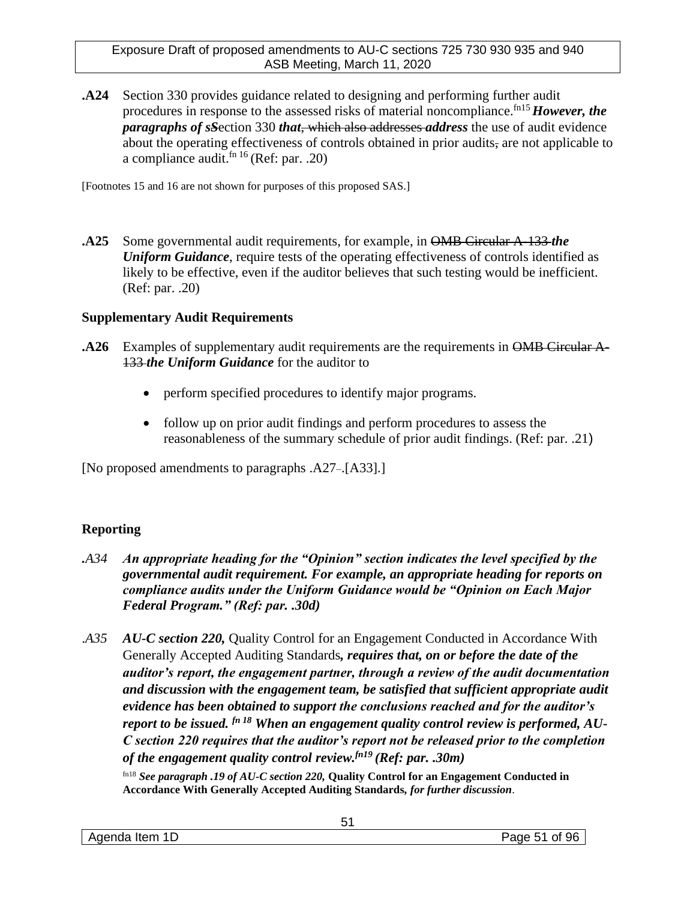Exposure Draft of proposed amendments to AU-C sections 725 730 930 935 and 940 ASB Meeting, March 11, 2020

**.A24** Section 330 provides guidance related to designing and performing further audit procedures in response to the assessed risks of material noncompliance.<sup>fn15</sup> *However, the paragraphs of sS*ection 330 *that*, which also addresses *address* the use of audit evidence about the operating effectiveness of controls obtained in prior audits, are not applicable to a compliance audit.<sup>fn 16</sup> (Ref: par. .20)

[Footnotes 15 and 16 are not shown for purposes of this proposed SAS.]

**.A25** Some governmental audit requirements, for example, in OMB Circular A-133 *the Uniform Guidance*, require tests of the operating effectiveness of controls identified as likely to be effective, even if the auditor believes that such testing would be inefficient. (Ref: par. .20)

### **Supplementary Audit Requirements**

- **.A26** Examples of supplementary audit requirements are the requirements in OMB Circular A-133 *the Uniform Guidance* for the auditor to
	- perform specified procedures to identify major programs.
	- follow up on prior audit findings and perform procedures to assess the reasonableness of the summary schedule of prior audit findings. (Ref: par. .21)

[No proposed amendments to paragraphs .A27–.[A33].]

# **Reporting**

- *.A34 An appropriate heading for the "Opinion" section indicates the level specified by the governmental audit requirement. For example, an appropriate heading for reports on compliance audits under the Uniform Guidance would be "Opinion on Each Major Federal Program." (Ref: par. .30d)*
- .*A35 AU-C section 220,* Quality Control for an Engagement Conducted in Accordance With Generally Accepted Auditing Standards*, requires that, on or before the date of the auditor's report, the engagement partner, through a review of the audit documentation and discussion with the engagement team, be satisfied that sufficient appropriate audit evidence has been obtained to support the conclusions reached and for the auditor's report to be issued. fn 18 When an engagement quality control review is performed, AU-C section 220 requires that the auditor's report not be released prior to the completion of the engagement quality control review.fn19 (Ref: par. .30m)*

fn18 *See paragraph .19 of AU-C section 220,* **Quality Control for an Engagement Conducted in Accordance With Generally Accepted Auditing Standards***, for further discussion*.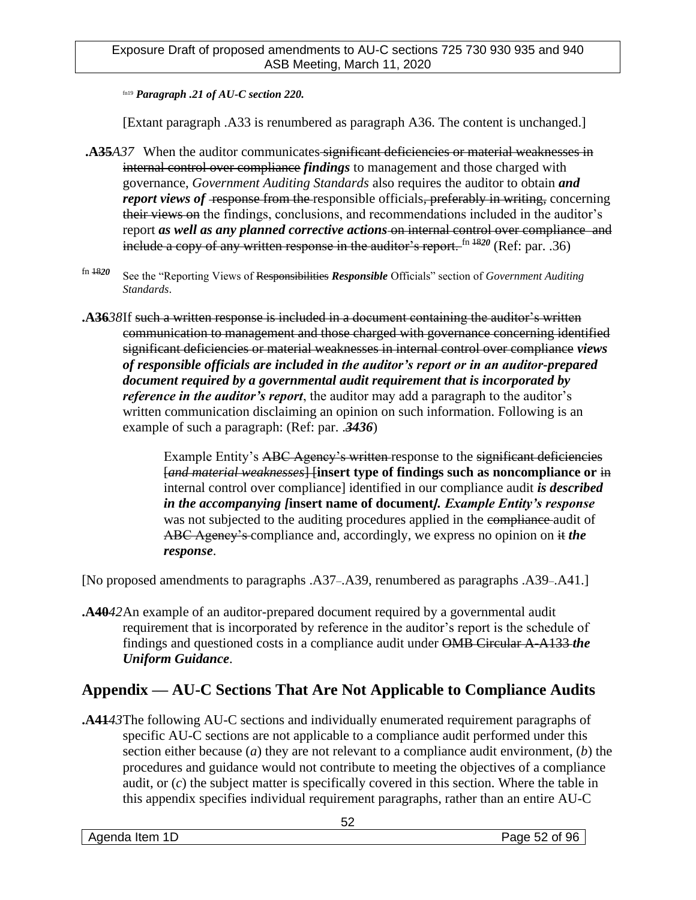fn19 *Paragraph .21 of AU-C section 220.*

[Extant paragraph .A33 is renumbered as paragraph A36. The content is unchanged.]

- **A35***A37* When the auditor communicates significant deficiencies or material weaknesses in internal control over compliance *findings* to management and those charged with governance, *Government Auditing Standards* also requires the auditor to obtain *and report views of <del>response from the responsible officials, preferably in writing, concerning*</del> their views on the findings, conclusions, and recommendations included in the auditor's report *as well as any planned corrective actions* on internal control over compliance and include a copy of any written response in the auditor's report. fn 18*<sup>20</sup>* (Ref: par. [.36\)](#page-46-0)
- fn 18*<sup>20</sup>* See the "Reporting Views of Responsibilities *Responsible* Officials" section of *Government Auditing Standards*.
- **.A36***38*If such a written response is included in a document containing the auditor's written communication to management and those charged with governance concerning identified significant deficiencies or material weaknesses in internal control over compliance *views of responsible officials are included in the auditor's report or in an auditor-prepared document required by a governmental audit requirement that is incorporated by reference in the auditor's report*, the auditor may add a paragraph to the auditor's written communication disclaiming an opinion on such information. Following is an example of such a paragraph: (Ref: par. .*3436*)

Example Entity's ABC Agency's written response to the significant deficiencies [*and material weaknesses*] [**insert type of findings such as noncompliance or** in internal control over compliance] identified in our compliance audit *is described in the accompanying [***insert name of document***]. Example Entity's response*  was not subjected to the auditing procedures applied in the compliance audit of ABC Agency's compliance and, accordingly, we express no opinion on it *the response*.

[No proposed amendments to paragraphs .A37–.A39, renumbered as paragraphs .A39–.A41.]

**.A40***42*An example of an auditor-prepared document required by a governmental audit requirement that is incorporated by reference in the auditor's report is the schedule of findings and questioned costs in a compliance audit under OMB Circular A-A133 *the Uniform Guidance*.

# **Appendix — AU-C Sections That Are Not Applicable to Compliance Audits**

**.A41***43*The following AU-C sections and individually enumerated requirement paragraphs of specific AU-C sections are not applicable to a compliance audit performed under this section either because (*a*) they are not relevant to a compliance audit environment, (*b*) the procedures and guidance would not contribute to meeting the objectives of a compliance audit, or (*c*) the subject matter is specifically covered in this section. Where the table in this appendix specifies individual requirement paragraphs, rather than an entire AU-C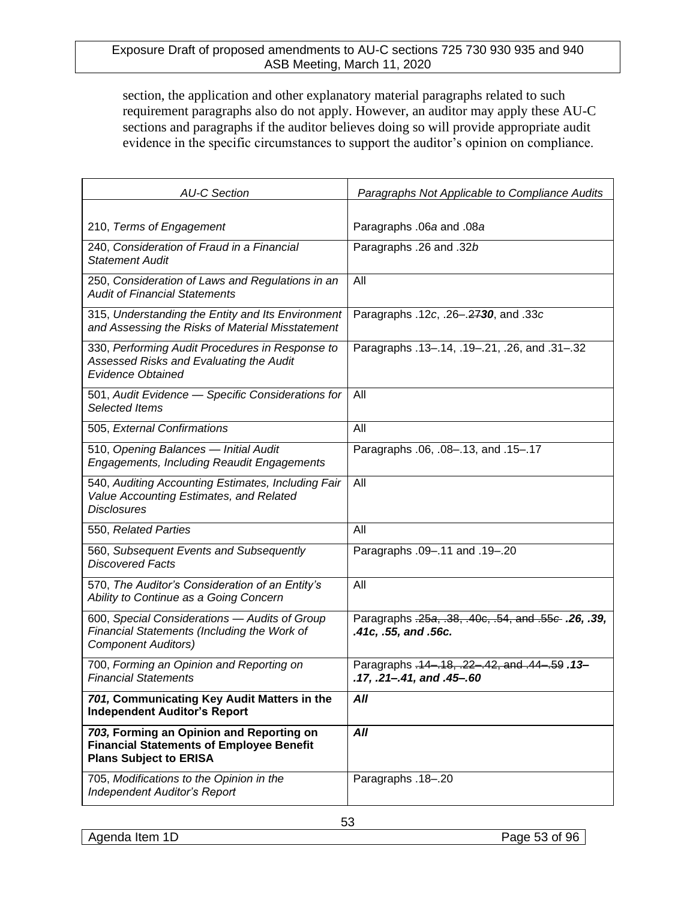section, the application and other explanatory material paragraphs related to such requirement paragraphs also do not apply. However, an auditor may apply these AU-C sections and paragraphs if the auditor believes doing so will provide appropriate audit evidence in the specific circumstances to support the auditor's opinion on compliance.

| <b>AU-C Section</b>                                                                                                          | Paragraphs Not Applicable to Compliance Audits                              |
|------------------------------------------------------------------------------------------------------------------------------|-----------------------------------------------------------------------------|
| 210, Terms of Engagement                                                                                                     | Paragraphs .06a and .08a                                                    |
| 240, Consideration of Fraud in a Financial<br><b>Statement Audit</b>                                                         | Paragraphs .26 and .32b                                                     |
| 250, Consideration of Laws and Regulations in an<br><b>Audit of Financial Statements</b>                                     | All                                                                         |
| 315, Understanding the Entity and Its Environment<br>and Assessing the Risks of Material Misstatement                        | Paragraphs .12c, .26-.2730, and .33c                                        |
| 330, Performing Audit Procedures in Response to<br>Assessed Risks and Evaluating the Audit<br><b>Evidence Obtained</b>       | Paragraphs .13-.14, .19-.21, .26, and .31-.32                               |
| 501, Audit Evidence - Specific Considerations for<br>Selected Items                                                          | All                                                                         |
| 505, External Confirmations                                                                                                  | All                                                                         |
| 510, Opening Balances - Initial Audit<br><b>Engagements, Including Reaudit Engagements</b>                                   | Paragraphs .06, .08-.13, and .15-.17                                        |
| 540, Auditing Accounting Estimates, Including Fair<br>Value Accounting Estimates, and Related<br><b>Disclosures</b>          | All                                                                         |
| 550, Related Parties                                                                                                         | All                                                                         |
| 560, Subsequent Events and Subsequently<br><b>Discovered Facts</b>                                                           | Paragraphs .09-.11 and .19-.20                                              |
| 570, The Auditor's Consideration of an Entity's<br>Ability to Continue as a Going Concern                                    | All                                                                         |
| 600, Special Considerations - Audits of Group<br>Financial Statements (Including the Work of<br><b>Component Auditors)</b>   | Paragraphs .25a, .38, .40c, .54, and .55c .26, .39,<br>.41c, .55, and .56c. |
| 700, Forming an Opinion and Reporting on<br><b>Financial Statements</b>                                                      | Paragraphs .14-.18, .22-.42, and .44-.59 .13-<br>.17, .21–.41, and .45–.60  |
| 701, Communicating Key Audit Matters in the<br><b>Independent Auditor's Report</b>                                           | AII                                                                         |
| 703, Forming an Opinion and Reporting on<br><b>Financial Statements of Employee Benefit</b><br><b>Plans Subject to ERISA</b> | All                                                                         |
| 705, Modifications to the Opinion in the<br><b>Independent Auditor's Report</b>                                              | Paragraphs .18-.20                                                          |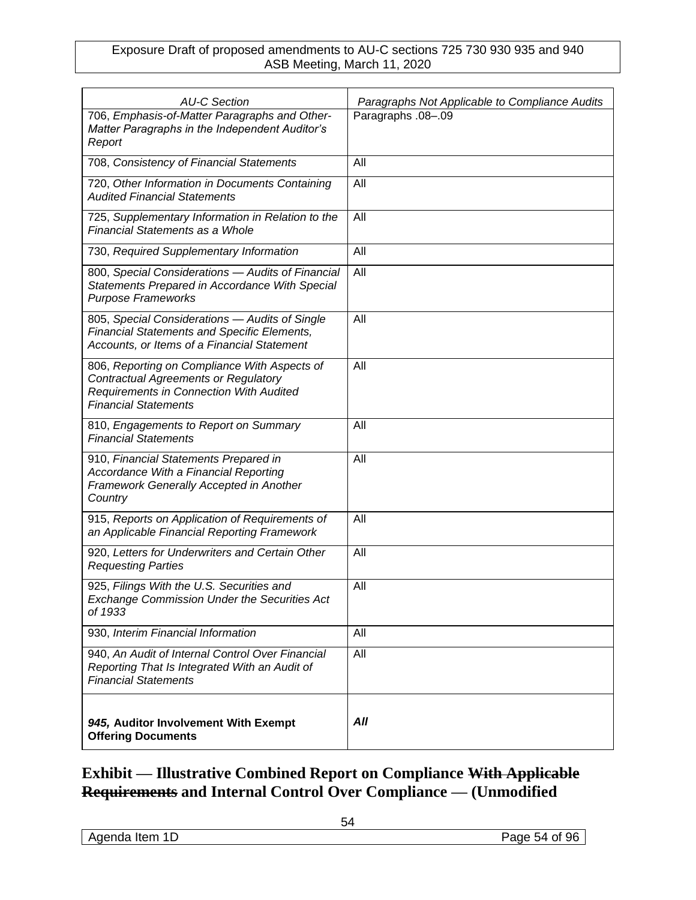Exposure Draft of proposed amendments to AU-C sections 725 730 930 935 and 940 ASB Meeting, March 11, 2020

| <b>AU-C Section</b>                                                                                                                                                   | Paragraphs Not Applicable to Compliance Audits |
|-----------------------------------------------------------------------------------------------------------------------------------------------------------------------|------------------------------------------------|
| 706, Emphasis-of-Matter Paragraphs and Other-<br>Matter Paragraphs in the Independent Auditor's<br>Report                                                             | Paragraphs .08-.09                             |
| 708, Consistency of Financial Statements                                                                                                                              | All                                            |
| 720, Other Information in Documents Containing<br><b>Audited Financial Statements</b>                                                                                 | All                                            |
| 725, Supplementary Information in Relation to the<br>Financial Statements as a Whole                                                                                  | All                                            |
| 730, Required Supplementary Information                                                                                                                               | All                                            |
| 800, Special Considerations - Audits of Financial<br>Statements Prepared in Accordance With Special<br><b>Purpose Frameworks</b>                                      | All                                            |
| 805, Special Considerations - Audits of Single<br><b>Financial Statements and Specific Elements,</b><br>Accounts, or Items of a Financial Statement                   | All                                            |
| 806, Reporting on Compliance With Aspects of<br><b>Contractual Agreements or Regulatory</b><br>Requirements in Connection With Audited<br><b>Financial Statements</b> | All                                            |
| 810, Engagements to Report on Summary<br><b>Financial Statements</b>                                                                                                  | All                                            |
| 910, Financial Statements Prepared in<br>Accordance With a Financial Reporting<br>Framework Generally Accepted in Another<br>Country                                  | All                                            |
| 915, Reports on Application of Requirements of<br>an Applicable Financial Reporting Framework                                                                         | All                                            |
| 920, Letters for Underwriters and Certain Other<br><b>Requesting Parties</b>                                                                                          | All                                            |
| 925, Filings With the U.S. Securities and<br>Exchange Commission Under the Securities Act<br>of 1933                                                                  | All                                            |
| 930, Interim Financial Information                                                                                                                                    | All                                            |
| 940, An Audit of Internal Control Over Financial<br>Reporting That Is Integrated With an Audit of<br><b>Financial Statements</b>                                      | All                                            |
| 945, Auditor Involvement With Exempt<br><b>Offering Documents</b>                                                                                                     | All                                            |

# **Exhibit — Illustrative Combined Report on Compliance With Applicable Requirements and Internal Control Over Compliance — (Unmodified**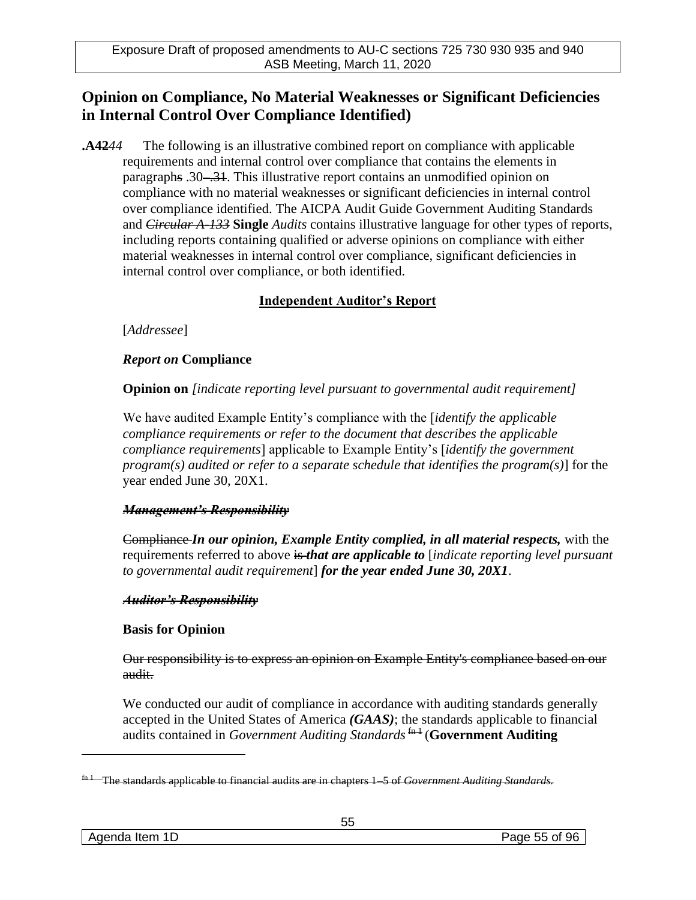# **Opinion on Compliance, No Material Weaknesses or Significant Deficiencies in Internal Control Over Compliance Identified)**

**.A42***44* The following is an illustrative combined report on compliance with applicable requirements and internal control over compliance that contains the elements in [paragraphs](#page-38-0) .30–.31. This illustrative report contains an unmodified opinion on compliance with no material weaknesses or significant deficiencies in internal control over compliance identified. The AICPA Audit Guide Government Auditing Standards and *Circular A-133* **Single** *Audits* contains illustrative language for other types of reports, including reports containing qualified or adverse opinions on compliance with either material weaknesses in internal control over compliance, significant deficiencies in internal control over compliance, or both identified.

# **Independent Auditor's Report**

[*Addressee*]

## *Report on* **Compliance**

**Opinion on** *[indicate reporting level pursuant to governmental audit requirement]* 

We have audited Example Entity's compliance with the [*identify the applicable compliance requirements or refer to the document that describes the applicable compliance requirements*] applicable to Example Entity's [*identify the government program(s) audited or refer to a separate schedule that identifies the program(s)*] for the year ended June 30, 20X1.

### *Management's Responsibility*

Compliance *In our opinion, Example Entity complied, in all material respects,* with the requirements referred to above is *that are applicable to* [*indicate reporting level pursuant to governmental audit requirement*] *for the year ended June 30, 20X1*.

### *Auditor's Responsibility*

# **Basis for Opinion**

Our responsibility is to express an opinion on Example Entity's compliance based on our audit.

We conducted our audit of compliance in accordance with auditing standards generally accepted in the United States of America *(GAAS)*; the standards applicable to financial audits contained in *Government Auditing Standards*<sup>fn+1</sup> (**Government Auditing** 

fn 1 The standards applicable to financial audits are in chapters 1–5 of *Government Auditing Standards.*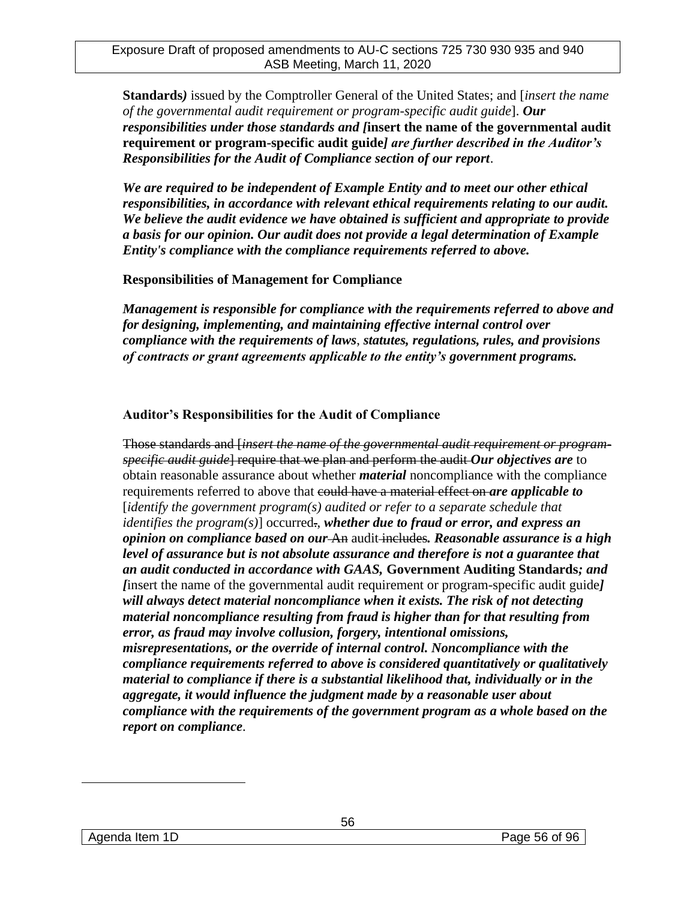**Standards***)* issued by the Comptroller General of the United States; and [*insert the name of the governmental audit requirement or program-specific audit guide*]. *Our responsibilities under those standards and [***insert the name of the governmental audit requirement or program-specific audit guide***] are further described in the Auditor's Responsibilities for the Audit of Compliance section of our report*.

*We are required to be independent of Example Entity and to meet our other ethical responsibilities, in accordance with relevant ethical requirements relating to our audit. We believe the audit evidence we have obtained is sufficient and appropriate to provide a basis for our opinion. Our audit does not provide a legal determination of Example Entity's compliance with the compliance requirements referred to above.*

#### **Responsibilities of Management for Compliance**

*Management is responsible for compliance with the requirements referred to above and for designing, implementing, and maintaining effective internal control over compliance with the requirements of laws*, *statutes, regulations, rules, and provisions of contracts or grant agreements applicable to the entity's government programs.*

### **Auditor's Responsibilities for the Audit of Compliance**

Those standards and [*insert the name of the governmental audit requirement or programspecific audit guide*] require that we plan and perform the audit *Our objectives are* to obtain reasonable assurance about whether *material* noncompliance with the compliance requirements referred to above that could have a material effect on *are applicable to* [*identify the government program(s) audited or refer to a separate schedule that identifies the program(s)*] occurred., *whether due to fraud or error, and express an opinion on compliance based on our* An audit includes*. Reasonable assurance is a high level of assurance but is not absolute assurance and therefore is not a guarantee that an audit conducted in accordance with GAAS,* **Government Auditing Standards***; and [*insert the name of the governmental audit requirement or program-specific audit guide*] will always detect material noncompliance when it exists. The risk of not detecting material noncompliance resulting from fraud is higher than for that resulting from error, as fraud may involve collusion, forgery, intentional omissions, misrepresentations, or the override of internal control. Noncompliance with the compliance requirements referred to above is considered quantitatively or qualitatively material to compliance if there is a substantial likelihood that, individually or in the aggregate, it would influence the judgment made by a reasonable user about compliance with the requirements of the government program as a whole based on the report on compliance*.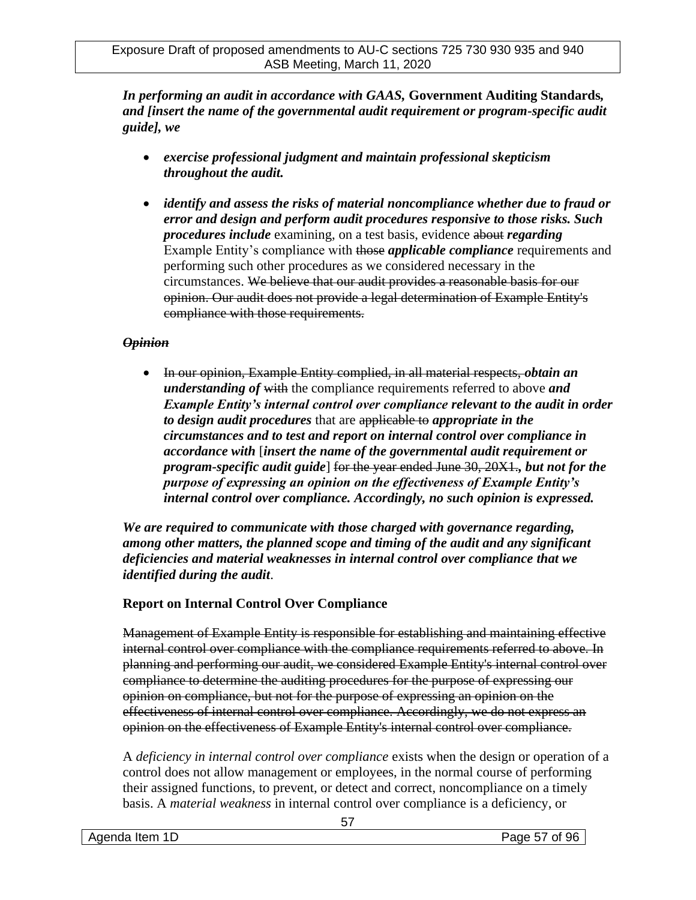*In performing an audit in accordance with GAAS,* **Government Auditing Standards***, and [insert the name of the governmental audit requirement or program-specific audit guide], we*

- *exercise professional judgment and maintain professional skepticism throughout the audit.*
- *identify and assess the risks of material noncompliance whether due to fraud or error and design and perform audit procedures responsive to those risks. Such procedures include* examining, on a test basis, evidence about *regarding*  Example Entity's compliance with those *applicable compliance* requirements and performing such other procedures as we considered necessary in the circumstances. We believe that our audit provides a reasonable basis for our opinion. Our audit does not provide a legal determination of Example Entity's compliance with those requirements.

## *Opinion*

• In our opinion, Example Entity complied, in all material respects, *obtain an understanding of* with the compliance requirements referred to above *and Example Entity's internal control over compliance relevant to the audit in order to design audit procedures* that are applicable to *appropriate in the circumstances and to test and report on internal control over compliance in accordance with* [*insert the name of the governmental audit requirement or program-specific audit guide*] for the year ended June 30, 20X1.*, but not for the purpose of expressing an opinion on the effectiveness of Example Entity's internal control over compliance. Accordingly, no such opinion is expressed.*

*We are required to communicate with those charged with governance regarding, among other matters, the planned scope and timing of the audit and any significant deficiencies and material weaknesses in internal control over compliance that we identified during the audit*.

# **Report on Internal Control Over Compliance**

Management of Example Entity is responsible for establishing and maintaining effective internal control over compliance with the compliance requirements referred to above. In planning and performing our audit, we considered Example Entity's internal control over compliance to determine the auditing procedures for the purpose of expressing our opinion on compliance, but not for the purpose of expressing an opinion on the effectiveness of internal control over compliance. Accordingly, we do not express an opinion on the effectiveness of Example Entity's internal control over compliance.

A *deficiency in internal control over compliance* exists when the design or operation of a control does not allow management or employees, in the normal course of performing their assigned functions, to prevent, or detect and correct, noncompliance on a timely basis. A *material weakness* in internal control over compliance is a deficiency, or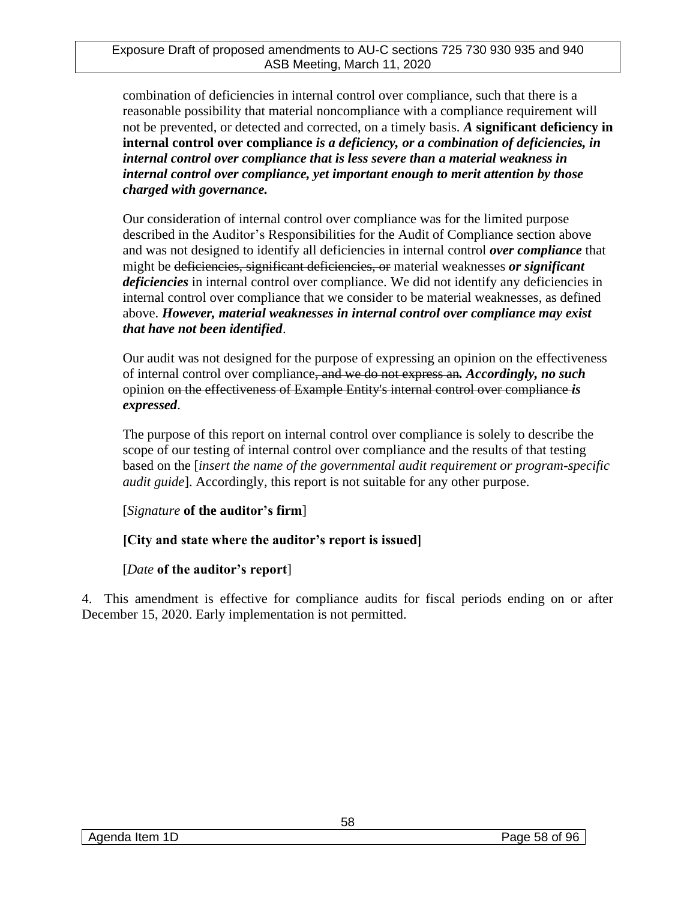combination of deficiencies in internal control over compliance, such that there is a reasonable possibility that material noncompliance with a compliance requirement will not be prevented, or detected and corrected, on a timely basis. *A* **significant deficiency in internal control over compliance** *is a deficiency, or a combination of deficiencies, in internal control over compliance that is less severe than a material weakness in internal control over compliance, yet important enough to merit attention by those charged with governance.*

Our consideration of internal control over compliance was for the limited purpose described in the Auditor's Responsibilities for the Audit of Compliance section above and was not designed to identify all deficiencies in internal control *over compliance* that might be deficiencies, significant deficiencies, or material weaknesses *or significant deficiencies* in internal control over compliance. We did not identify any deficiencies in internal control over compliance that we consider to be material weaknesses, as defined above. *However, material weaknesses in internal control over compliance may exist that have not been identified*.

Our audit was not designed for the purpose of expressing an opinion on the effectiveness of internal control over compliance, and we do not express an*. Accordingly, no such*  opinion on the effectiveness of Example Entity's internal control over compliance *is expressed*.

The purpose of this report on internal control over compliance is solely to describe the scope of our testing of internal control over compliance and the results of that testing based on the [*insert the name of the governmental audit requirement or program-specific audit guide*]. Accordingly, this report is not suitable for any other purpose.

### [*Signature* **of the auditor's firm**]

# **[City and state where the auditor's report is issued]**

# [*Date* **of the auditor's report**]

4. This amendment is effective for compliance audits for fiscal periods ending on or after December 15, 2020. Early implementation is not permitted.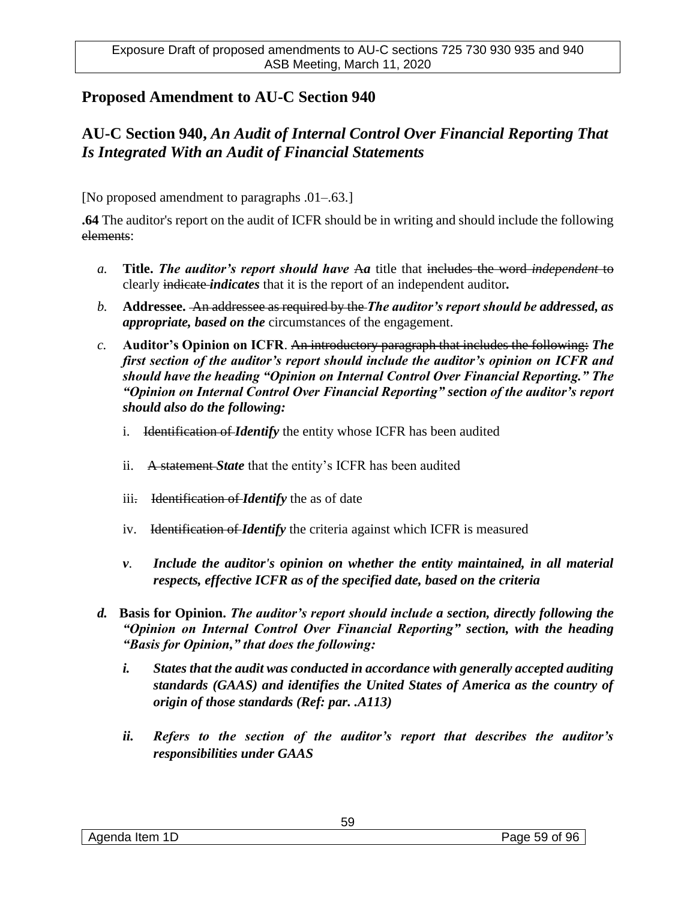# **Proposed Amendment to AU-C Section 940**

# **AU-C Section 940,** *An Audit of Internal Control Over Financial Reporting That Is Integrated With an Audit of Financial Statements*

[No proposed amendment to paragraphs .01–.63.]

**.64** The auditor's report on the audit of ICFR should be in writing and should include the following elements:

- *a.* **Title.** *The auditor's report should have* A*a* title that includes the word *independent* to clearly indicate *indicates* that it is the report of an independent auditor*.*
- *b.* **Addressee.** An addressee as required by the *The auditor's report should be addressed, as appropriate, based on the* circumstances of the engagement.
- *c.* **Auditor's Opinion on ICFR**. An introductory paragraph that includes the following: *The first section of the auditor's report should include the auditor's opinion on ICFR and should have the heading "Opinion on Internal Control Over Financial Reporting." The "Opinion on Internal Control Over Financial Reporting" section of the auditor's report should also do the following:*
	- i. Identification of *Identify* the entity whose ICFR has been audited
	- ii. A statement *State* that the entity's ICFR has been audited
	- iii. Identification of *Identify* the as of date
	- iv. Identification of *Identify* the criteria against which ICFR is measured
	- *v*. *Include the auditor's opinion on whether the entity maintained, in all material respects, effective ICFR as of the specified date, based on the criteria*
- *d.* **Basis for Opinion.** *The auditor's report should include a section, directly following the "Opinion on Internal Control Over Financial Reporting" section, with the heading "Basis for Opinion," that does the following:* 
	- *i. States that the audit was conducted in accordance with generally accepted auditing standards (GAAS) and identifies the United States of America as the country of origin of those standards (Ref: par. .A113)*
	- *ii. Refers to the section of the auditor's report that describes the auditor's responsibilities under GAAS*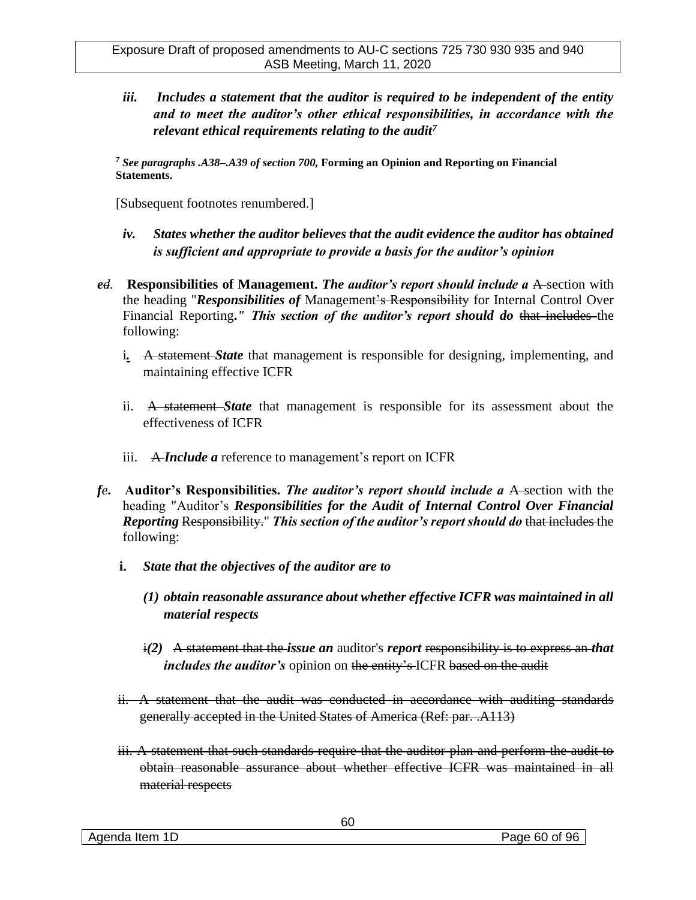*iii. Includes a statement that the auditor is required to be independent of the entity and to meet the auditor's other ethical responsibilities, in accordance with the relevant ethical requirements relating to the audit<sup>7</sup>*

*<sup>7</sup> See paragraphs .A38–.A39 of section 700,* **Forming an Opinion and Reporting on Financial Statements.**

[Subsequent footnotes renumbered.]

- *iv. States whether the auditor believes that the audit evidence the auditor has obtained is sufficient and appropriate to provide a basis for the auditor's opinion*
- *ed.* **Responsibilities of Management.** *The auditor's report should include a* A section with the heading "*Responsibilities of* Management's Responsibility for Internal Control Over Financial Reporting**.***" This section of the auditor's report should do* that includes the following:
	- i*.* A statement *State* that management is responsible for designing, implementing, and maintaining effective ICFR
	- ii. A statement *State* that management is responsible for its assessment about the effectiveness of ICFR
	- iii. A *Include a* reference to management's report on ICFR
- *fe.* Auditor's Responsibilities. *The auditor's report should include a A*-section with the heading "Auditor's *Responsibilities for the Audit of Internal Control Over Financial Reporting* Responsibility." *This section of the auditor's report should do* that includes the following:
	- **i.** *State that the objectives of the auditor are to*
		- *(1) obtain reasonable assurance about whether effective ICFR was maintained in all material respects*
		- i*(2)* A statement that the *issue an* auditor's *report* responsibility is to express an *that includes the auditor's* opinion on the entity's ICFR based on the audit
	- ii. A statement that the audit was conducted in accordance with auditing standards generally accepted in the United States of America (Ref: par. .A113)
	- iii. A statement that such standards require that the auditor plan and perform the audit to obtain reasonable assurance about whether effective ICFR was maintained in all material respects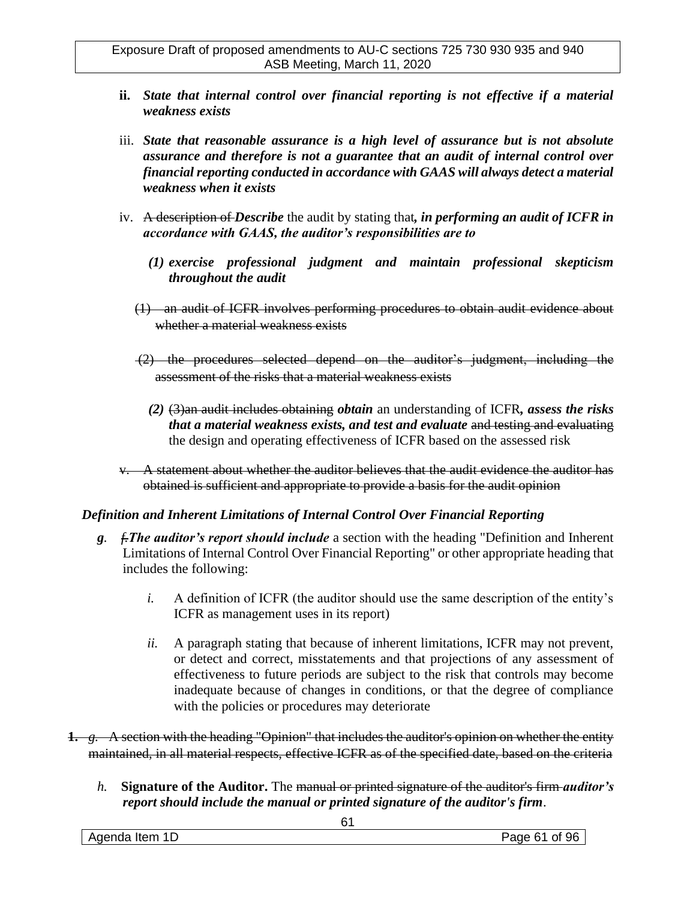- **ii.** *State that internal control over financial reporting is not effective if a material weakness exists*
- iii. *State that reasonable assurance is a high level of assurance but is not absolute assurance and therefore is not a guarantee that an audit of internal control over financial reporting conducted in accordance with GAAS will always detect a material weakness when it exists*
- iv. A description of *Describe* the audit by stating that*, in performing an audit of ICFR in accordance with GAAS, the auditor's responsibilities are to*
	- *(1) exercise professional judgment and maintain professional skepticism throughout the audit*
	- (1) an audit of ICFR involves performing procedures to obtain audit evidence about whether a material weakness exists
	- (2) the procedures selected depend on the auditor's judgment, including the assessment of the risks that a material weakness exists
		- *(2)* (3)an audit includes obtaining *obtain* an understanding of ICFR*, assess the risks that a material weakness exists, and test and evaluate* and testing and evaluating the design and operating effectiveness of ICFR based on the assessed risk
- v. A statement about whether the auditor believes that the audit evidence the auditor has obtained is sufficient and appropriate to provide a basis for the audit opinion

### *Definition and Inherent Limitations of Internal Control Over Financial Reporting*

- *g. f.The auditor's report should include* a section with the heading "Definition and Inherent Limitations of Internal Control Over Financial Reporting" or other appropriate heading that includes the following:
	- *i.* A definition of ICFR (the auditor should use the same description of the entity's ICFR as management uses in its report)
	- *ii.* A paragraph stating that because of inherent limitations, ICFR may not prevent, or detect and correct, misstatements and that projections of any assessment of effectiveness to future periods are subject to the risk that controls may become inadequate because of changes in conditions, or that the degree of compliance with the policies or procedures may deteriorate

**1.** *g.* A section with the heading "Opinion" that includes the auditor's opinion on whether the entity maintained, in all material respects, effective ICFR as of the specified date, based on the criteria

*h.* **Signature of the Auditor.** The manual or printed signature of the auditor's firm *auditor's report should include the manual or printed signature of the auditor's firm*.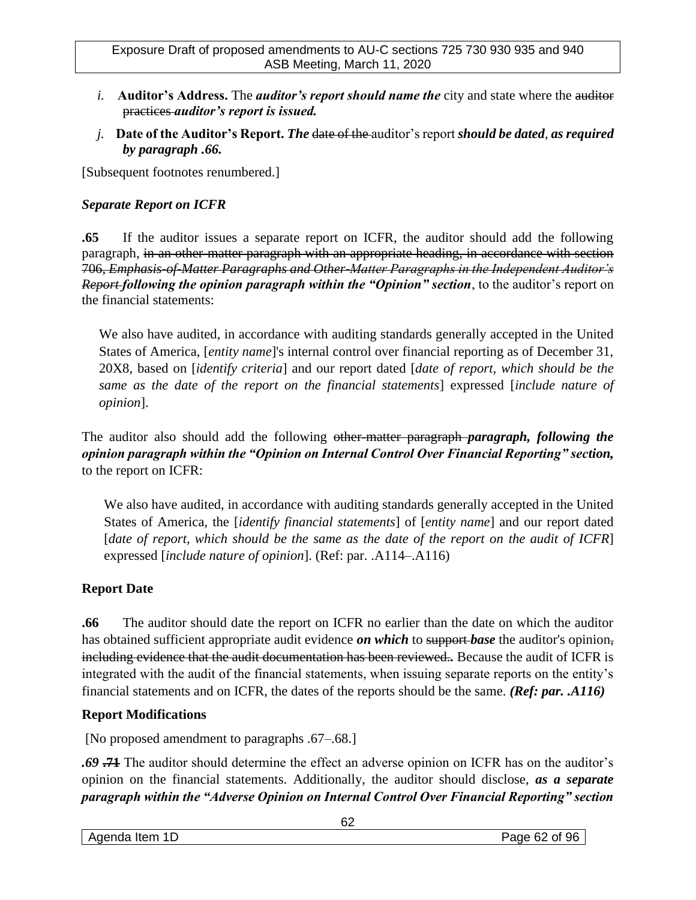- *i.* **Auditor's Address.** The *auditor's report should name the* city and state where the auditor practices *auditor's report is issued.*
- *j.* **Date of the Auditor's Report.** *The* date of the auditor's report *should be dated*, *as required by paragraph .66.*

[Subsequent footnotes renumbered.]

## *Separate Report on ICFR*

**.65** If the auditor issues a separate report on ICFR, the auditor should add the following paragraph, in an other-matter paragraph with an appropriate heading, in accordance with section 706, *Emphasis-of-Matter Paragraphs and Other-Matter Paragraphs in the Independent Auditor's Report following the opinion paragraph within the "Opinion" section*, to the auditor's report on the financial statements:

We also have audited, in accordance with auditing standards generally accepted in the United States of America, [*entity name*]'s internal control over financial reporting as of December 31, 20X8, based on [*identify criteria*] and our report dated [*date of report, which should be the same as the date of the report on the financial statements*] expressed [*include nature of opinion*].

The auditor also should add the following other-matter paragraph *paragraph, following the opinion paragraph within the "Opinion on Internal Control Over Financial Reporting" section,* to the report on ICFR:

We also have audited, in accordance with auditing standards generally accepted in the United States of America, the [*identify financial statements*] of [*entity name*] and our report dated [*date of report, which should be the same as the date of the report on the audit of ICFR*] expressed [*include nature of opinion*]. (Ref: par. .A114–.A116)

# **Report Date**

**.66** The auditor should date the report on ICFR no earlier than the date on which the auditor has obtained sufficient appropriate audit evidence *on which* to support *base* the auditor's opinion, including evidence that the audit documentation has been reviewed.*.* Because the audit of ICFR is integrated with the audit of the financial statements, when issuing separate reports on the entity's financial statements and on ICFR, the dates of the reports should be the same. *(Ref: par. .A116)*

# **Report Modifications**

[No proposed amendment to paragraphs .67–.68.]

*.69* **.71** The auditor should determine the effect an adverse opinion on ICFR has on the auditor's opinion on the financial statements. Additionally, the auditor should disclose, *as a separate paragraph within the "Adverse Opinion on Internal Control Over Financial Reporting" section*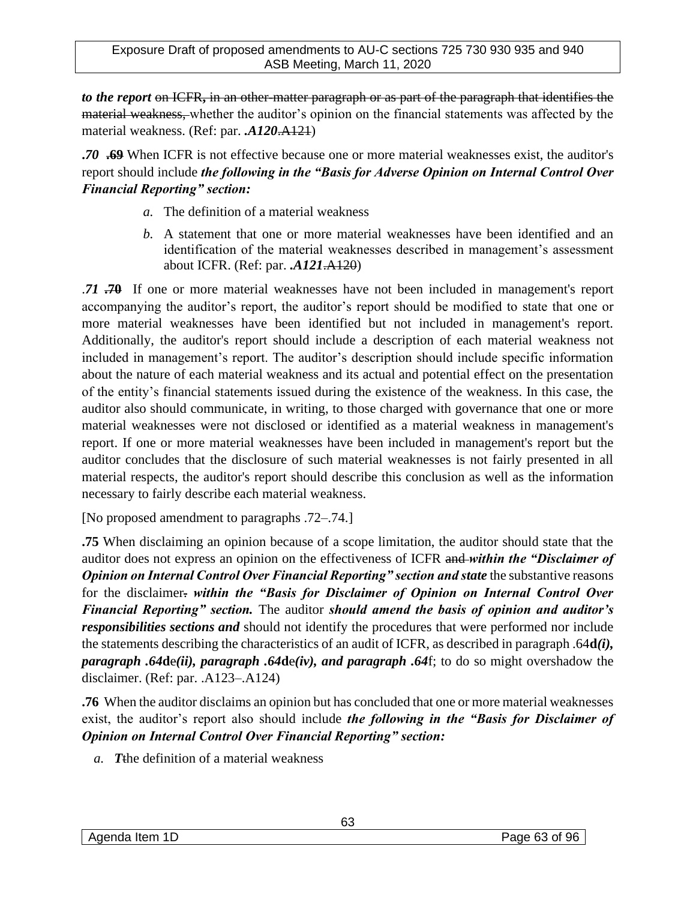*to the report* on ICFR**,** in an other-matter paragraph or as part of the paragraph that identifies the material weakness, whether the auditor's opinion on the financial statements was affected by the material weakness. (Ref: par. *.A120*.A121)

**.***70* **.69** When ICFR is not effective because one or more material weaknesses exist, the auditor's report should include *the following in the "Basis for Adverse Opinion on Internal Control Over Financial Reporting" section:*

- *a.* The definition of a material weakness
- *b.* A statement that one or more material weaknesses have been identified and an identification of the material weaknesses described in management's assessment about ICFR. (Ref: par. *.A121*.A120)

.*71* **.70** If one or more material weaknesses have not been included in management's report accompanying the auditor's report, the auditor's report should be modified to state that one or more material weaknesses have been identified but not included in management's report. Additionally, the auditor's report should include a description of each material weakness not included in management's report. The auditor's description should include specific information about the nature of each material weakness and its actual and potential effect on the presentation of the entity's financial statements issued during the existence of the weakness. In this case, the auditor also should communicate, in writing, to those charged with governance that one or more material weaknesses were not disclosed or identified as a material weakness in management's report. If one or more material weaknesses have been included in management's report but the auditor concludes that the disclosure of such material weaknesses is not fairly presented in all material respects, the auditor's report should describe this conclusion as well as the information necessary to fairly describe each material weakness.

[No proposed amendment to paragraphs .72–.74.]

**.75** When disclaiming an opinion because of a scope limitation, the auditor should state that the auditor does not express an opinion on the effectiveness of ICFR and *within the "Disclaimer of Opinion on Internal Control Over Financial Reporting" section and state* the substantive reasons for the disclaimer. *within the "Basis for Disclaimer of Opinion on Internal Control Over Financial Reporting" section.* The auditor *should amend the basis of opinion and auditor's responsibilities sections and* should not identify the procedures that were performed nor include the statements describing the characteristics of an audit of ICFR, as described in paragraph .64**d***(i), paragraph .64***d**e*(ii), paragraph .64***d**e*(iv), and paragraph .64*f; to do so might overshadow the disclaimer. (Ref: par. .A123–.A124)

**.76** When the auditor disclaims an opinion but has concluded that one or more material weaknesses exist, the auditor's report also should include *the following in the "Basis for Disclaimer of Opinion on Internal Control Over Financial Reporting" section:*

*a. T*the definition of a material weakness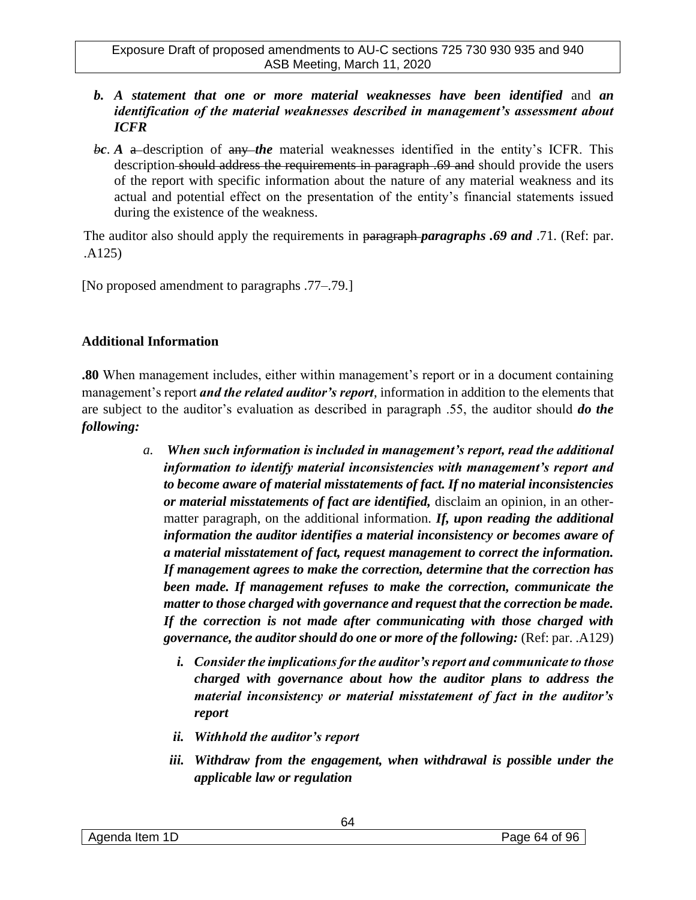- *b. A statement that one or more material weaknesses have been identified* and *an identification of the material weaknesses described in management's assessment about ICFR*
- *bc. A* a-description of any *the* material weaknesses identified in the entity's ICFR. This description should address the requirements in paragraph .69 and should provide the users of the report with specific information about the nature of any material weakness and its actual and potential effect on the presentation of the entity's financial statements issued during the existence of the weakness.

The auditor also should apply the requirements in paragraph *paragraphs .69 and* .71. (Ref: par. .A125)

[No proposed amendment to paragraphs .77–.79.]

## **Additional Information**

**.80** When management includes, either within management's report or in a document containing management's report *and the related auditor's report*, information in addition to the elements that are subject to the auditor's evaluation as described in paragraph .55, the auditor should *do the following:*

- *a. When such information is included in management's report, read the additional information to identify material inconsistencies with management's report and to become aware of material misstatements of fact. If no material inconsistencies or material misstatements of fact are identified,* disclaim an opinion, in an othermatter paragraph, on the additional information. *If, upon reading the additional information the auditor identifies a material inconsistency or becomes aware of a material misstatement of fact, request management to correct the information. If management agrees to make the correction, determine that the correction has been made. If management refuses to make the correction, communicate the matter to those charged with governance and request that the correction be made. If the correction is not made after communicating with those charged with governance, the auditor should do one or more of the following:* (Ref: par. .A129)
	- *i. Consider the implications for the auditor's report and communicate to those charged with governance about how the auditor plans to address the material inconsistency or material misstatement of fact in the auditor's report*
	- *ii. Withhold the auditor's report*
	- *iii. Withdraw from the engagement, when withdrawal is possible under the applicable law or regulation*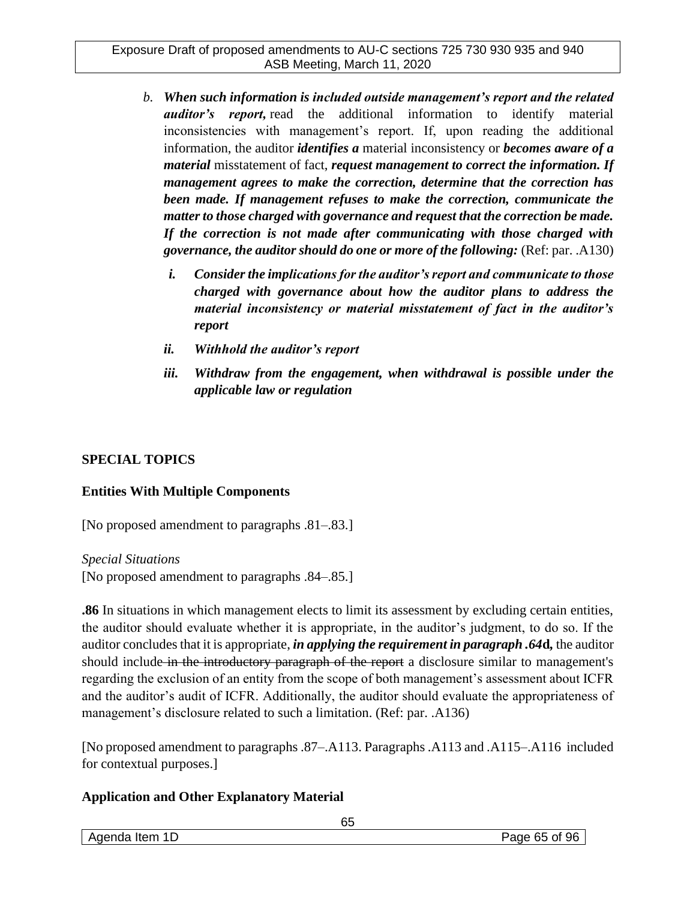- *b. When such information is included outside management's report and the related auditor's report,* read the additional information to identify material inconsistencies with management's report. If, upon reading the additional information, the auditor *identifies a* material inconsistency or *becomes aware of a material* misstatement of fact, *request management to correct the information. If management agrees to make the correction, determine that the correction has been made. If management refuses to make the correction, communicate the matter to those charged with governance and request that the correction be made. If the correction is not made after communicating with those charged with governance, the auditor should do one or more of the following:* (Ref: par. .A130)
	- *i. Consider the implications for the auditor's report and communicate to those charged with governance about how the auditor plans to address the material inconsistency or material misstatement of fact in the auditor's report*
	- *ii. Withhold the auditor's report*
	- *iii. Withdraw from the engagement, when withdrawal is possible under the applicable law or regulation*

### **SPECIAL TOPICS**

### **Entities With Multiple Components**

[No proposed amendment to paragraphs .81–.83.]

*Special Situations* [No proposed amendment to paragraphs .84–.85.]

**.86** In situations in which management elects to limit its assessment by excluding certain entities, the auditor should evaluate whether it is appropriate, in the auditor's judgment, to do so. If the auditor concludes that it is appropriate, *in applying the requirement in paragraph .64***d***,* the auditor should include in the introductory paragraph of the report a disclosure similar to management's regarding the exclusion of an entity from the scope of both management's assessment about ICFR and the auditor's audit of ICFR. Additionally, the auditor should evaluate the appropriateness of management's disclosure related to such a limitation. (Ref: par. .A136)

[No proposed amendment to paragraphs .87–.A113. Paragraphs .A113 and .A115–.A116 included for contextual purposes.]

### **Application and Other Explanatory Material**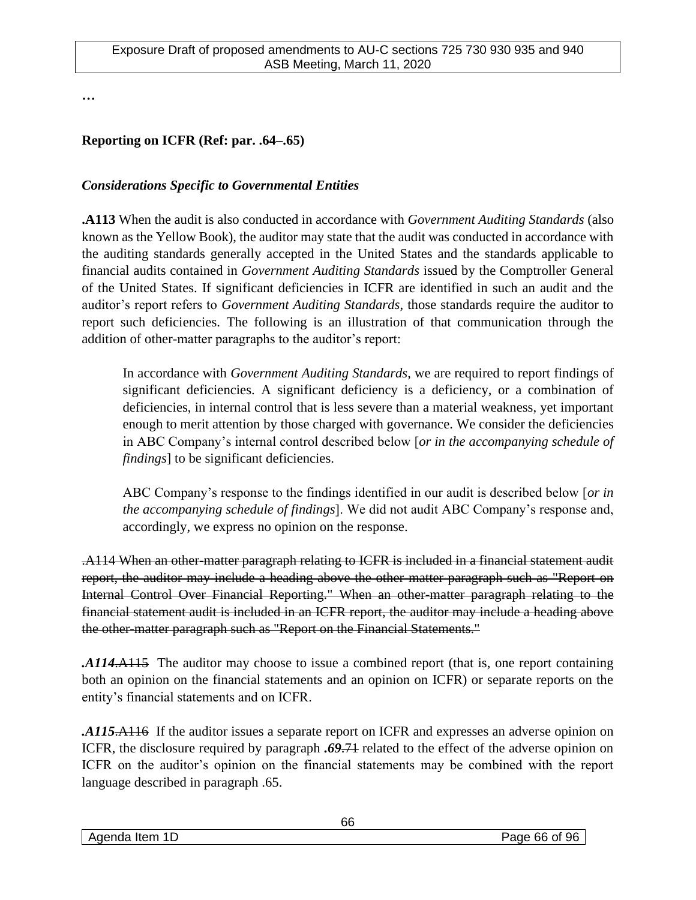**…**

## **Reporting on ICFR (Ref: par. .64–.65)**

## *Considerations Specific to Governmental Entities*

**.A113** When the audit is also conducted in accordance with *Government Auditing Standards* (also known as the Yellow Book), the auditor may state that the audit was conducted in accordance with the auditing standards generally accepted in the United States and the standards applicable to financial audits contained in *Government Auditing Standards* issued by the Comptroller General of the United States. If significant deficiencies in ICFR are identified in such an audit and the auditor's report refers to *Government Auditing Standards*, those standards require the auditor to report such deficiencies. The following is an illustration of that communication through the addition of other-matter paragraphs to the auditor's report:

In accordance with *Government Auditing Standards*, we are required to report findings of significant deficiencies. A significant deficiency is a deficiency, or a combination of deficiencies, in internal control that is less severe than a material weakness, yet important enough to merit attention by those charged with governance. We consider the deficiencies in ABC Company's internal control described below [*or in the accompanying schedule of findings*] to be significant deficiencies.

ABC Company's response to the findings identified in our audit is described below [*or in the accompanying schedule of findings*]. We did not audit ABC Company's response and, accordingly, we express no opinion on the response.

.A114 When an other-matter paragraph relating to ICFR is included in a financial statement audit report, the auditor may include a heading above the other matter paragraph such as "Report on Internal Control Over Financial Reporting." When an other-matter paragraph relating to the financial statement audit is included in an ICFR report, the auditor may include a heading above the other-matter paragraph such as "Report on the Financial Statements."

*.A114*.A115 The auditor may choose to issue a combined report (that is, one report containing both an opinion on the financial statements and an opinion on ICFR) or separate reports on the entity's financial statements and on ICFR.

*.A115*.A116 If the auditor issues a separate report on ICFR and expresses an adverse opinion on ICFR, the disclosure required by paragraph *.69*.71 related to the effect of the adverse opinion on ICFR on the auditor's opinion on the financial statements may be combined with the report language described in paragraph .65.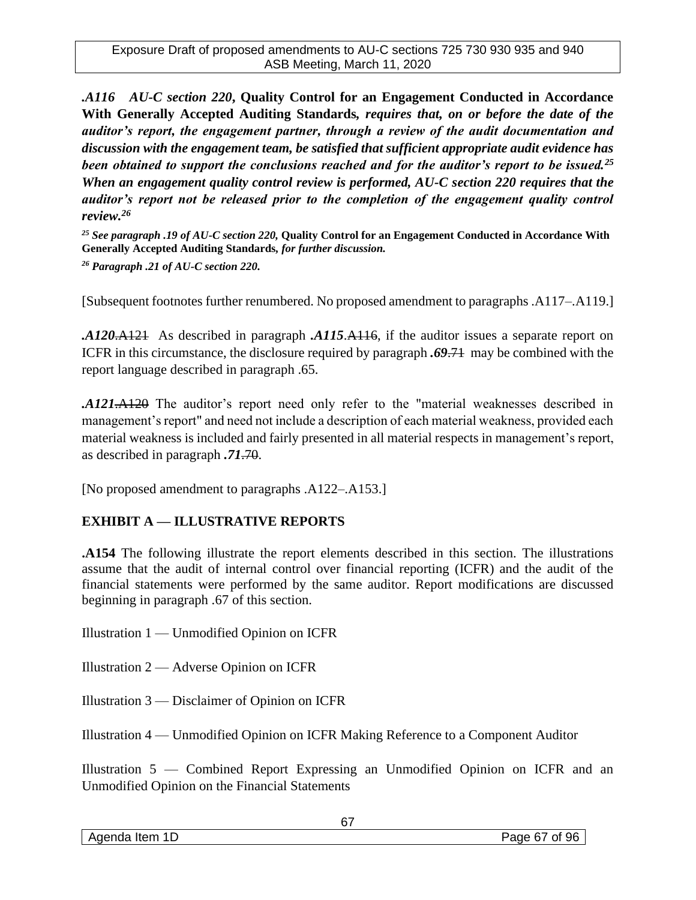*.A116 AU-C section 220***, Quality Control for an Engagement Conducted in Accordance With Generally Accepted Auditing Standards***, requires that, on or before the date of the auditor's report, the engagement partner, through a review of the audit documentation and discussion with the engagement team, be satisfied that sufficient appropriate audit evidence has been obtained to support the conclusions reached and for the auditor's report to be issued.<sup>25</sup> When an engagement quality control review is performed, AU-C section 220 requires that the auditor's report not be released prior to the completion of the engagement quality control review.<sup>26</sup>*

*<sup>25</sup> See paragraph .19 of AU-C section 220,* **Quality Control for an Engagement Conducted in Accordance With Generally Accepted Auditing Standards***, for further discussion.*

*<sup>26</sup> Paragraph .21 of AU-C section 220.*

[Subsequent footnotes further renumbered. No proposed amendment to paragraphs .A117–.A119.]

*.A120*.A121 As described in paragraph *.A115*.A116, if the auditor issues a separate report on ICFR in this circumstance, the disclosure required by paragraph *.69*.71 may be combined with the report language described in paragraph .65.

*.A121*.A120 The auditor's report need only refer to the "material weaknesses described in management's report" and need not include a description of each material weakness, provided each material weakness is included and fairly presented in all material respects in management's report, as described in paragraph *.71*.70.

[No proposed amendment to paragraphs .A122–.A153.]

### **EXHIBIT A — ILLUSTRATIVE REPORTS**

**.A154** The following illustrate the report elements described in this section. The illustrations assume that the audit of internal control over financial reporting (ICFR) and the audit of the financial statements were performed by the same auditor. Report modifications are discussed beginning in paragraph .67 of this section.

Illustration 1 — Unmodified Opinion on ICFR

Illustration 2 — Adverse Opinion on ICFR

Illustration 3 — Disclaimer of Opinion on ICFR

Illustration 4 — Unmodified Opinion on ICFR Making Reference to a Component Auditor

Illustration 5 — Combined Report Expressing an Unmodified Opinion on ICFR and an Unmodified Opinion on the Financial Statements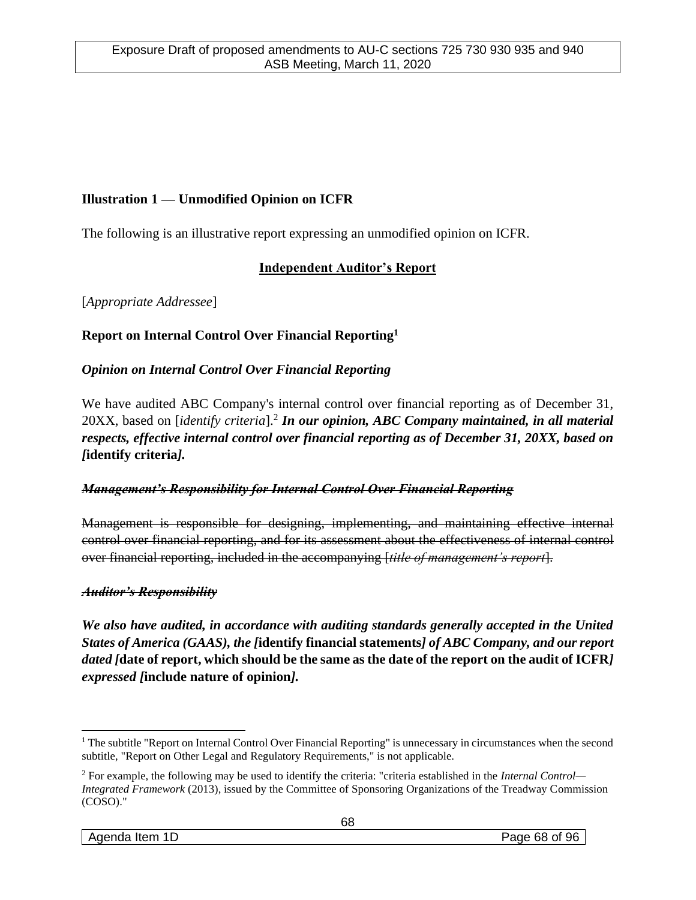# **Illustration 1 — Unmodified Opinion on ICFR**

The following is an illustrative report expressing an unmodified opinion on ICFR.

# **Independent Auditor's Report**

[*Appropriate Addressee*]

# **Report on Internal Control Over Financial Reporting<sup>1</sup>**

# *Opinion on Internal Control Over Financial Reporting*

We have audited ABC Company's internal control over financial reporting as of December 31, 20XX, based on [*identify criteria*].<sup>2</sup> In our opinion, ABC Company maintained, in all material *respects, effective internal control over financial reporting as of December 31, 20XX, based on [***identify criteria***].*

# *Management's Responsibility for Internal Control Over Financial Reporting*

Management is responsible for designing, implementing, and maintaining effective internal control over financial reporting, and for its assessment about the effectiveness of internal control over financial reporting, included in the accompanying [*title of management's report*].

# *Auditor's Responsibility*

*We also have audited, in accordance with auditing standards generally accepted in the United States of America (GAAS), the [***identify financial statements***] of ABC Company, and our report dated [***date of report, which should be the same as the date of the report on the audit of ICFR***] expressed [***include nature of opinion***].*

<sup>&</sup>lt;sup>1</sup> The subtitle "Report on Internal Control Over Financial Reporting" is unnecessary in circumstances when the second subtitle, "Report on Other Legal and Regulatory Requirements," is not applicable.

<sup>2</sup> For example, the following may be used to identify the criteria: "criteria established in the *Internal Control— Integrated Framework* (2013), issued by the Committee of Sponsoring Organizations of the Treadway Commission (COSO)."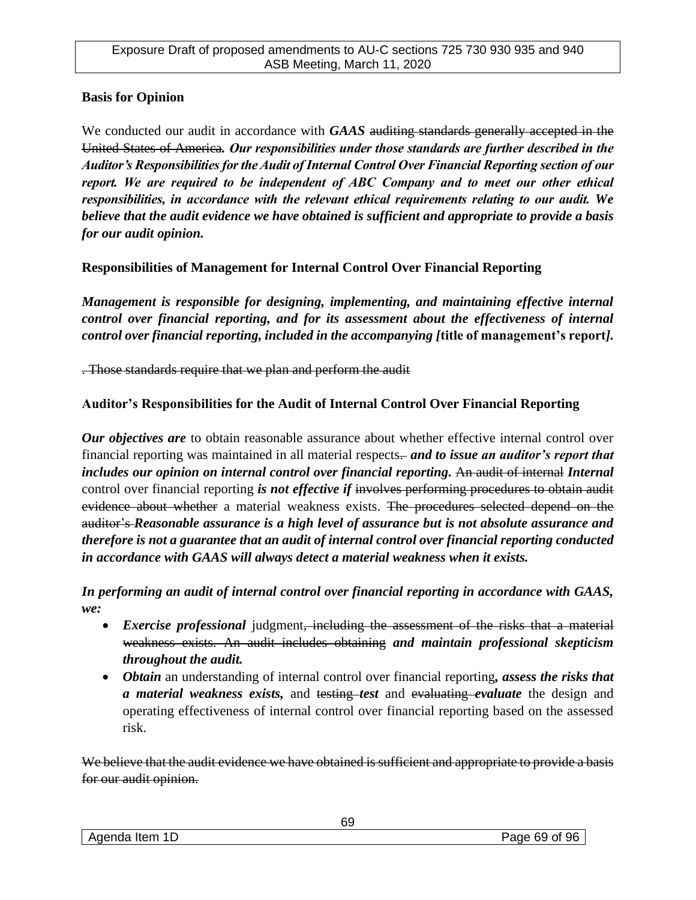## **Basis for Opinion**

We conducted our audit in accordance with **GAAS** auditing standards generally accepted in the United States of America*. Our responsibilities under those standards are further described in the Auditor's Responsibilities for the Audit of Internal Control Over Financial Reporting section of our report. We are required to be independent of ABC Company and to meet our other ethical responsibilities, in accordance with the relevant ethical requirements relating to our audit. We believe that the audit evidence we have obtained is sufficient and appropriate to provide a basis for our audit opinion.*

### **Responsibilities of Management for Internal Control Over Financial Reporting**

*Management is responsible for designing, implementing, and maintaining effective internal control over financial reporting, and for its assessment about the effectiveness of internal control over financial reporting, included in the accompanying [***title of management's report***].* 

. Those standards require that we plan and perform the audit

## **Auditor's Responsibilities for the Audit of Internal Control Over Financial Reporting**

*Our objectives are* to obtain reasonable assurance about whether effective internal control over financial reporting was maintained in all material respects. *and to issue an auditor's report that includes our opinion on internal control over financial reporting.* An audit of internal *Internal*  control over financial reporting *is not effective if* involves performing procedures to obtain audit evidence about whether a material weakness exists. The procedures selected depend on the auditor's *Reasonable assurance is a high level of assurance but is not absolute assurance and therefore is not a guarantee that an audit of internal control over financial reporting conducted in accordance with GAAS will always detect a material weakness when it exists.* 

*In performing an audit of internal control over financial reporting in accordance with GAAS, we:*

- *Exercise professional* judgment, including the assessment of the risks that a material weakness exists. An audit includes obtaining *and maintain professional skepticism throughout the audit.*
- *Obtain* an understanding of internal control over financial reporting*, assess the risks that a material weakness exists,* and testing *test* and evaluating *evaluate* the design and operating effectiveness of internal control over financial reporting based on the assessed risk.

We believe that the audit evidence we have obtained is sufficient and appropriate to provide a basis for our audit opinion.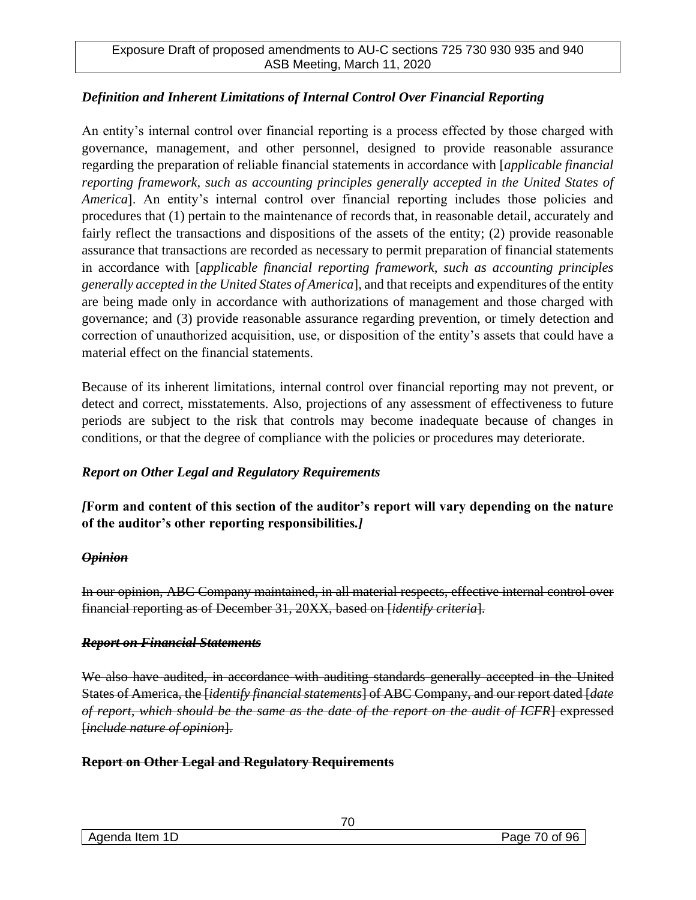# *Definition and Inherent Limitations of Internal Control Over Financial Reporting*

An entity's internal control over financial reporting is a process effected by those charged with governance, management, and other personnel, designed to provide reasonable assurance regarding the preparation of reliable financial statements in accordance with [*applicable financial reporting framework, such as accounting principles generally accepted in the United States of America*]. An entity's internal control over financial reporting includes those policies and procedures that (1) pertain to the maintenance of records that, in reasonable detail, accurately and fairly reflect the transactions and dispositions of the assets of the entity; (2) provide reasonable assurance that transactions are recorded as necessary to permit preparation of financial statements in accordance with [*applicable financial reporting framework, such as accounting principles generally accepted in the United States of America*], and that receipts and expenditures of the entity are being made only in accordance with authorizations of management and those charged with governance; and (3) provide reasonable assurance regarding prevention, or timely detection and correction of unauthorized acquisition, use, or disposition of the entity's assets that could have a material effect on the financial statements.

Because of its inherent limitations, internal control over financial reporting may not prevent, or detect and correct, misstatements. Also, projections of any assessment of effectiveness to future periods are subject to the risk that controls may become inadequate because of changes in conditions, or that the degree of compliance with the policies or procedures may deteriorate.

# *Report on Other Legal and Regulatory Requirements*

*[***Form and content of this section of the auditor's report will vary depending on the nature of the auditor's other reporting responsibilities***.]*

### *Opinion*

In our opinion, ABC Company maintained, in all material respects, effective internal control over financial reporting as of December 31, 20XX, based on [*identify criteria*].

#### *Report on Financial Statements*

We also have audited, in accordance with auditing standards generally accepted in the United States of America, the [*identify financial statements*] of ABC Company, and our report dated [*date of report, which should be the same as the date of the report on the audit of ICFR*] expressed [*include nature of opinion*].

### **Report on Other Legal and Regulatory Requirements**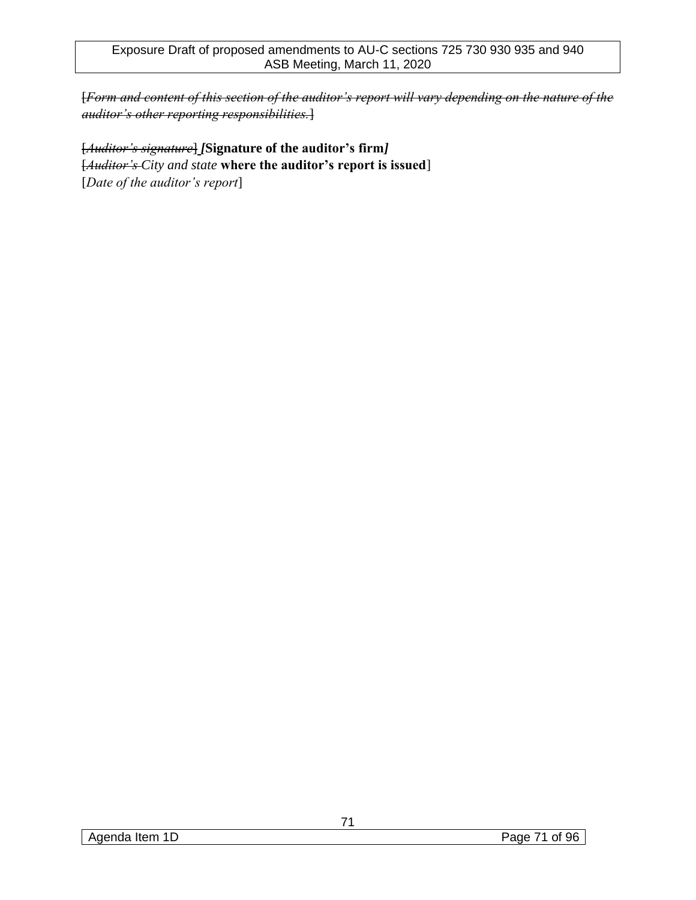[*Form and content of this section of the auditor's report will vary depending on the nature of the auditor's other reporting responsibilities.*]

[*Auditor's signature*] *[***Signature of the auditor's firm***]* [*Auditor's City and state* **where the auditor's report is issued**] [*Date of the auditor's report*]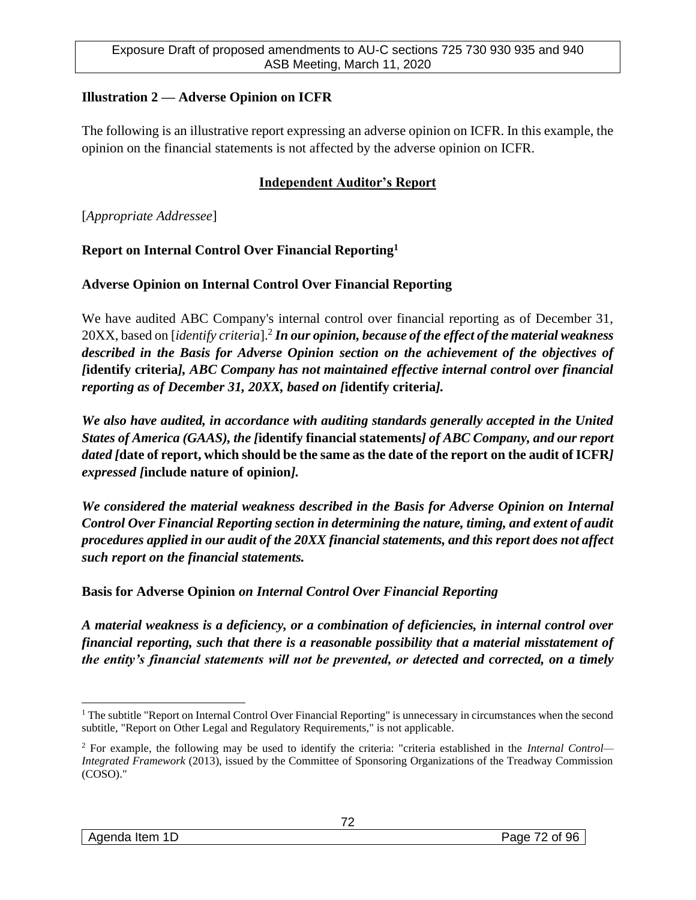## **Illustration 2 — Adverse Opinion on ICFR**

The following is an illustrative report expressing an adverse opinion on ICFR. In this example, the opinion on the financial statements is not affected by the adverse opinion on ICFR.

## **Independent Auditor's Report**

[*Appropriate Addressee*]

### **Report on Internal Control Over Financial Reporting<sup>1</sup>**

## **Adverse Opinion on Internal Control Over Financial Reporting**

We have audited ABC Company's internal control over financial reporting as of December 31, 20XX, based on [*identify criteria*].<sup>2</sup> In our opinion, because of the effect of the material weakness *described in the Basis for Adverse Opinion section on the achievement of the objectives of [***identify criteria***], ABC Company has not maintained effective internal control over financial reporting as of December 31, 20XX, based on [***identify criteria***].*

*We also have audited, in accordance with auditing standards generally accepted in the United States of America (GAAS), the [***identify financial statements***] of ABC Company, and our report dated [***date of report, which should be the same as the date of the report on the audit of ICFR***] expressed [***include nature of opinion***].* 

*We considered the material weakness described in the Basis for Adverse Opinion on Internal Control Over Financial Reporting section in determining the nature, timing, and extent of audit procedures applied in our audit of the 20XX financial statements, and this report does not affect such report on the financial statements.*

### **Basis for Adverse Opinion** *on Internal Control Over Financial Reporting*

*A material weakness is a deficiency, or a combination of deficiencies, in internal control over financial reporting, such that there is a reasonable possibility that a material misstatement of the entity's financial statements will not be prevented, or detected and corrected, on a timely* 

<sup>&</sup>lt;sup>1</sup> The subtitle "Report on Internal Control Over Financial Reporting" is unnecessary in circumstances when the second subtitle, "Report on Other Legal and Regulatory Requirements," is not applicable.

<sup>2</sup> For example, the following may be used to identify the criteria: "criteria established in the *Internal Control— Integrated Framework* (2013), issued by the Committee of Sponsoring Organizations of the Treadway Commission (COSO)."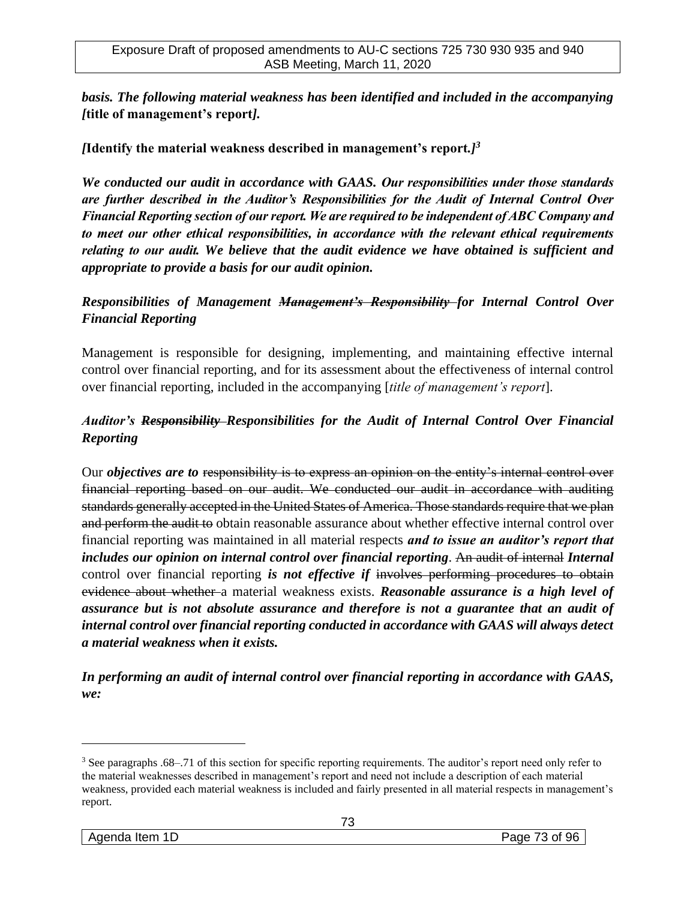*basis. The following material weakness has been identified and included in the accompanying [***title of management's report***].*

#### *[***Identify the material weakness described in management's report***.] 3*

*We conducted our audit in accordance with GAAS. Our responsibilities under those standards are further described in the Auditor's Responsibilities for the Audit of Internal Control Over Financial Reporting section of our report. We are required to be independent of ABC Company and to meet our other ethical responsibilities, in accordance with the relevant ethical requirements relating to our audit. We believe that the audit evidence we have obtained is sufficient and appropriate to provide a basis for our audit opinion.*

## *Responsibilities of Management Management's Responsibility for Internal Control Over Financial Reporting*

Management is responsible for designing, implementing, and maintaining effective internal control over financial reporting, and for its assessment about the effectiveness of internal control over financial reporting, included in the accompanying [*title of management's report*].

## *Auditor's Responsibility Responsibilities for the Audit of Internal Control Over Financial Reporting*

Our *objectives are to* responsibility is to express an opinion on the entity's internal control over financial reporting based on our audit. We conducted our audit in accordance with auditing standards generally accepted in the United States of America. Those standards require that we plan and perform the audit to obtain reasonable assurance about whether effective internal control over financial reporting was maintained in all material respects *and to issue an auditor's report that includes our opinion on internal control over financial reporting*. An audit of internal *Internal*  control over financial reporting *is not effective if* involves performing procedures to obtain evidence about whether a material weakness exists. *Reasonable assurance is a high level of assurance but is not absolute assurance and therefore is not a guarantee that an audit of internal control over financial reporting conducted in accordance with GAAS will always detect a material weakness when it exists.* 

*In performing an audit of internal control over financial reporting in accordance with GAAS, we:*

<sup>&</sup>lt;sup>3</sup> See paragraphs .68–.71 of this section for specific reporting requirements. The auditor's report need only refer to the material weaknesses described in management's report and need not include a description of each material weakness, provided each material weakness is included and fairly presented in all material respects in management's report.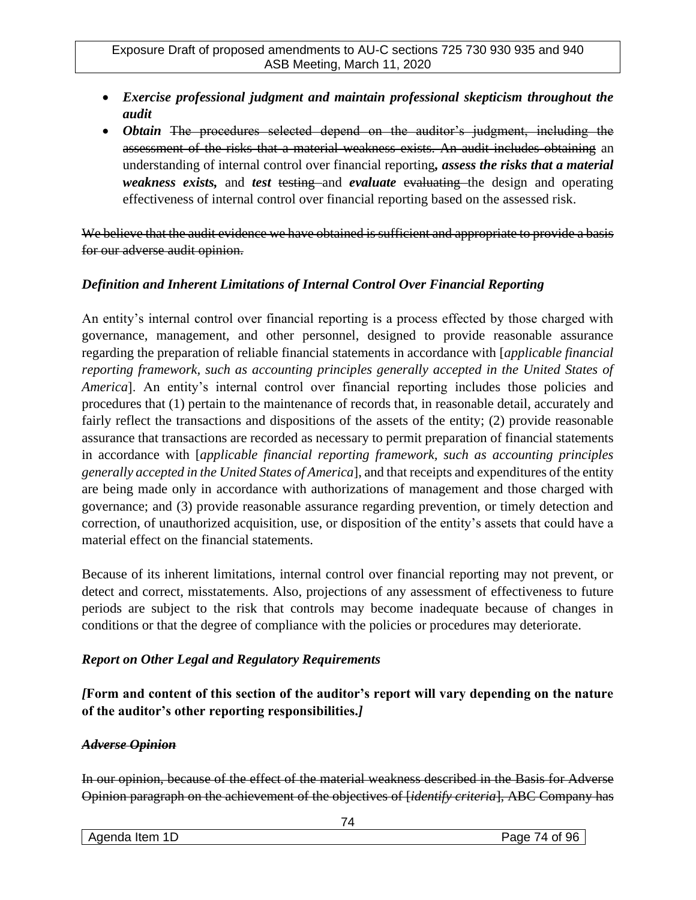- *Exercise professional judgment and maintain professional skepticism throughout the audit*
- *Obtain* The procedures selected depend on the auditor's judgment, including the assessment of the risks that a material weakness exists. An audit includes obtaining an understanding of internal control over financial reporting*, assess the risks that a material weakness exists,* and *test* testing and *evaluate* evaluating the design and operating effectiveness of internal control over financial reporting based on the assessed risk.

We believe that the audit evidence we have obtained is sufficient and appropriate to provide a basis for our adverse audit opinion.

#### *Definition and Inherent Limitations of Internal Control Over Financial Reporting*

An entity's internal control over financial reporting is a process effected by those charged with governance, management, and other personnel, designed to provide reasonable assurance regarding the preparation of reliable financial statements in accordance with [*applicable financial reporting framework, such as accounting principles generally accepted in the United States of America*]. An entity's internal control over financial reporting includes those policies and procedures that (1) pertain to the maintenance of records that, in reasonable detail, accurately and fairly reflect the transactions and dispositions of the assets of the entity; (2) provide reasonable assurance that transactions are recorded as necessary to permit preparation of financial statements in accordance with [*applicable financial reporting framework, such as accounting principles generally accepted in the United States of America*], and that receipts and expenditures of the entity are being made only in accordance with authorizations of management and those charged with governance; and (3) provide reasonable assurance regarding prevention, or timely detection and correction, of unauthorized acquisition, use, or disposition of the entity's assets that could have a material effect on the financial statements.

Because of its inherent limitations, internal control over financial reporting may not prevent, or detect and correct, misstatements. Also, projections of any assessment of effectiveness to future periods are subject to the risk that controls may become inadequate because of changes in conditions or that the degree of compliance with the policies or procedures may deteriorate.

#### *Report on Other Legal and Regulatory Requirements*

*[***Form and content of this section of the auditor's report will vary depending on the nature of the auditor's other reporting responsibilities.***]*

#### *Adverse Opinion*

In our opinion, because of the effect of the material weakness described in the Basis for Adverse Opinion paragraph on the achievement of the objectives of [*identify criteria*], ABC Company has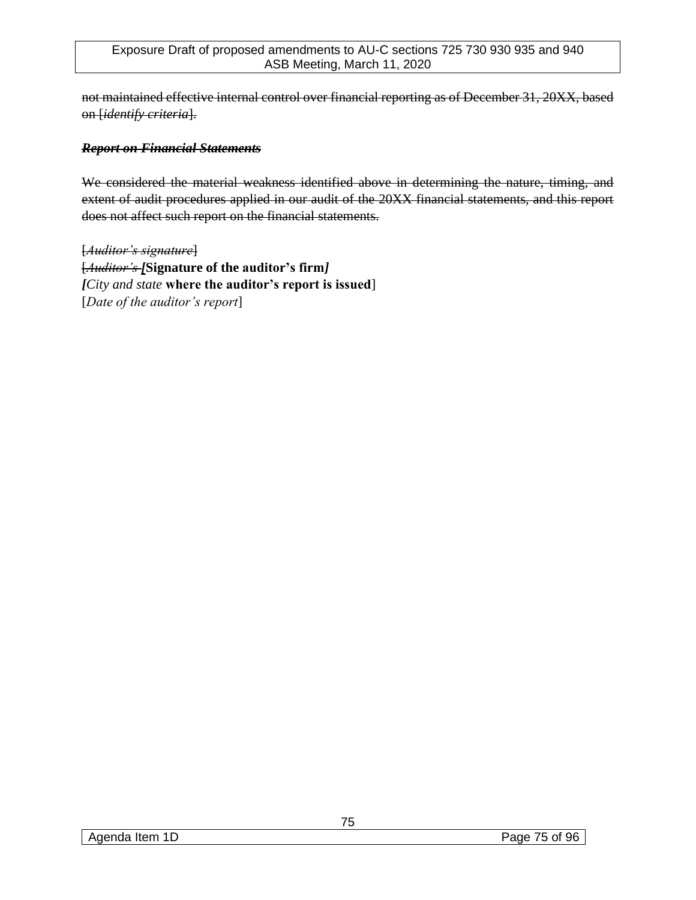not maintained effective internal control over financial reporting as of December 31, 20XX, based on [*identify criteria*].

#### *Report on Financial Statements*

We considered the material weakness identified above in determining the nature, timing, and extent of audit procedures applied in our audit of the 20XX financial statements, and this report does not affect such report on the financial statements.

[*Auditor's signature*] [*Auditor's [***Signature of the auditor's firm***] [City and state* **where the auditor's report is issued**] [*Date of the auditor's report*]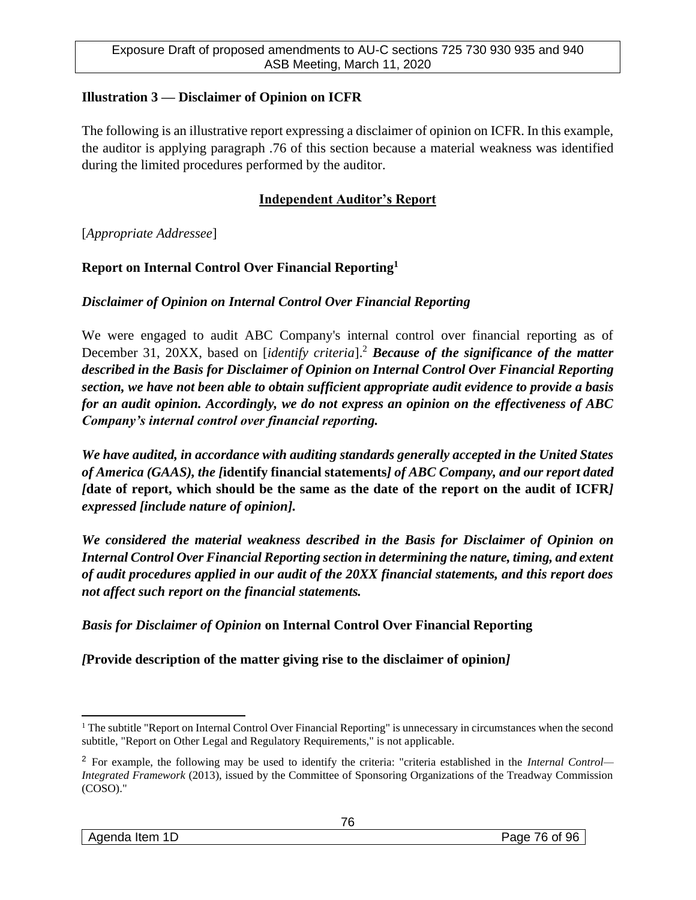#### **Illustration 3 — Disclaimer of Opinion on ICFR**

The following is an illustrative report expressing a disclaimer of opinion on ICFR. In this example, the auditor is applying paragraph .76 of this section because a material weakness was identified during the limited procedures performed by the auditor.

#### **Independent Auditor's Report**

[*Appropriate Addressee*]

#### **Report on Internal Control Over Financial Reporting<sup>1</sup>**

#### *Disclaimer of Opinion on Internal Control Over Financial Reporting*

We were engaged to audit ABC Company's internal control over financial reporting as of December 31, 20XX, based on [*identify criteria*].<sup>2</sup> *Because of the significance of the matter described in the Basis for Disclaimer of Opinion on Internal Control Over Financial Reporting section, we have not been able to obtain sufficient appropriate audit evidence to provide a basis for an audit opinion. Accordingly, we do not express an opinion on the effectiveness of ABC Company's internal control over financial reporting.*

*We have audited, in accordance with auditing standards generally accepted in the United States of America (GAAS), the [***identify financial statements***] of ABC Company, and our report dated [***date of report, which should be the same as the date of the report on the audit of ICFR***] expressed [include nature of opinion].* 

*We considered the material weakness described in the Basis for Disclaimer of Opinion on Internal Control Over Financial Reporting section in determining the nature, timing, and extent of audit procedures applied in our audit of the 20XX financial statements, and this report does not affect such report on the financial statements.*

#### *Basis for Disclaimer of Opinion* **on Internal Control Over Financial Reporting**

*[***Provide description of the matter giving rise to the disclaimer of opinion***]*

<sup>&</sup>lt;sup>1</sup> The subtitle "Report on Internal Control Over Financial Reporting" is unnecessary in circumstances when the second subtitle, "Report on Other Legal and Regulatory Requirements," is not applicable.

<sup>2</sup> For example, the following may be used to identify the criteria: "criteria established in the *Internal Control— Integrated Framework* (2013), issued by the Committee of Sponsoring Organizations of the Treadway Commission (COSO)."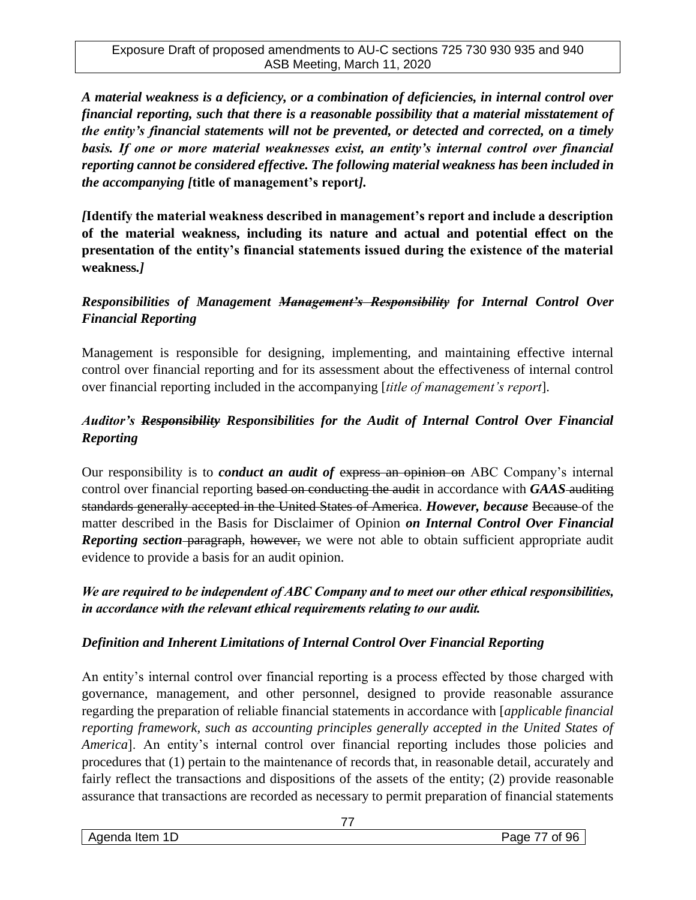*A material weakness is a deficiency, or a combination of deficiencies, in internal control over financial reporting, such that there is a reasonable possibility that a material misstatement of the entity's financial statements will not be prevented, or detected and corrected, on a timely basis. If one or more material weaknesses exist, an entity's internal control over financial reporting cannot be considered effective. The following material weakness has been included in the accompanying [***title of management's report***].*

*[***Identify the material weakness described in management's report and include a description of the material weakness, including its nature and actual and potential effect on the presentation of the entity's financial statements issued during the existence of the material weakness***.]*

## *Responsibilities of Management Management's Responsibility for Internal Control Over Financial Reporting*

Management is responsible for designing, implementing, and maintaining effective internal control over financial reporting and for its assessment about the effectiveness of internal control over financial reporting included in the accompanying [*title of management's report*].

## *Auditor's Responsibility Responsibilities for the Audit of Internal Control Over Financial Reporting*

Our responsibility is to *conduct an audit of* express an opinion on ABC Company's internal control over financial reporting based on conducting the audit in accordance with *GAAS* auditing standards generally accepted in the United States of America. *However, because* Because of the matter described in the Basis for Disclaimer of Opinion *on Internal Control Over Financial Reporting section–paragraph, however, we were not able to obtain sufficient appropriate audit* evidence to provide a basis for an audit opinion.

#### *We are required to be independent of ABC Company and to meet our other ethical responsibilities, in accordance with the relevant ethical requirements relating to our audit.*

## *Definition and Inherent Limitations of Internal Control Over Financial Reporting*

An entity's internal control over financial reporting is a process effected by those charged with governance, management, and other personnel, designed to provide reasonable assurance regarding the preparation of reliable financial statements in accordance with [*applicable financial reporting framework, such as accounting principles generally accepted in the United States of America*]. An entity's internal control over financial reporting includes those policies and procedures that (1) pertain to the maintenance of records that, in reasonable detail, accurately and fairly reflect the transactions and dispositions of the assets of the entity; (2) provide reasonable assurance that transactions are recorded as necessary to permit preparation of financial statements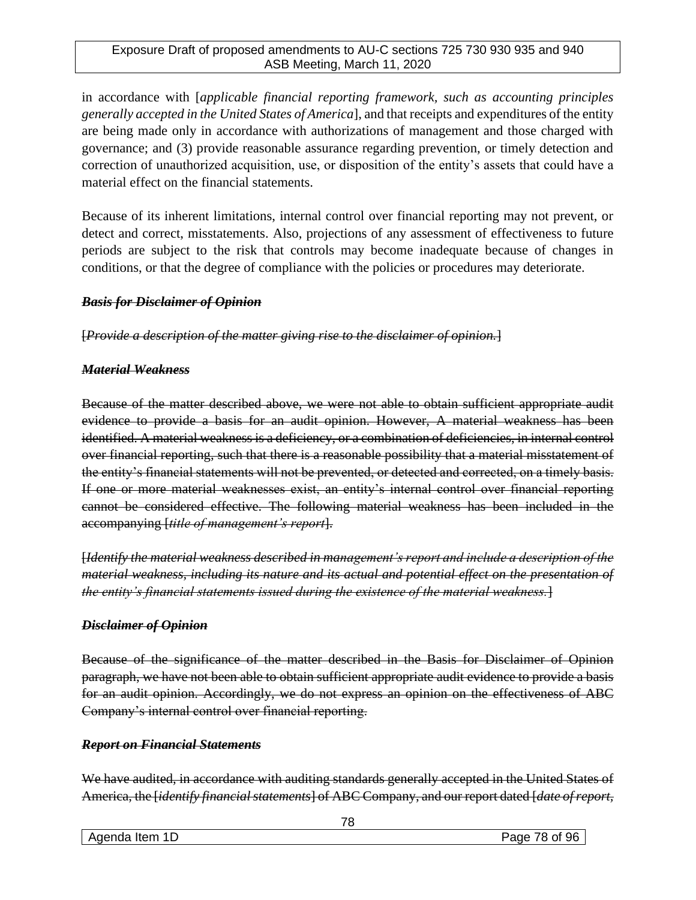in accordance with [*applicable financial reporting framework, such as accounting principles generally accepted in the United States of America*], and that receipts and expenditures of the entity are being made only in accordance with authorizations of management and those charged with governance; and (3) provide reasonable assurance regarding prevention, or timely detection and correction of unauthorized acquisition, use, or disposition of the entity's assets that could have a material effect on the financial statements.

Because of its inherent limitations, internal control over financial reporting may not prevent, or detect and correct, misstatements. Also, projections of any assessment of effectiveness to future periods are subject to the risk that controls may become inadequate because of changes in conditions, or that the degree of compliance with the policies or procedures may deteriorate.

#### *Basis for Disclaimer of Opinion*

[*Provide a description of the matter giving rise to the disclaimer of opinion.*]

#### *Material Weakness*

Because of the matter described above, we were not able to obtain sufficient appropriate audit evidence to provide a basis for an audit opinion. However, A material weakness has been identified. A material weakness is a deficiency, or a combination of deficiencies, in internal control over financial reporting, such that there is a reasonable possibility that a material misstatement of the entity's financial statements will not be prevented, or detected and corrected, on a timely basis. If one or more material weaknesses exist, an entity's internal control over financial reporting cannot be considered effective. The following material weakness has been included in the accompanying [*title of management's report*].

[*Identify the material weakness described in management's report and include a description of the material weakness, including its nature and its actual and potential effect on the presentation of the entity's financial statements issued during the existence of the material weakness.*]

## *Disclaimer of Opinion*

Because of the significance of the matter described in the Basis for Disclaimer of Opinion paragraph, we have not been able to obtain sufficient appropriate audit evidence to provide a basis for an audit opinion. Accordingly, we do not express an opinion on the effectiveness of ABC Company's internal control over financial reporting.

#### *Report on Financial Statements*

We have audited, in accordance with auditing standards generally accepted in the United States of America, the [*identify financial statements*] of ABC Company, and our report dated [*date of report,*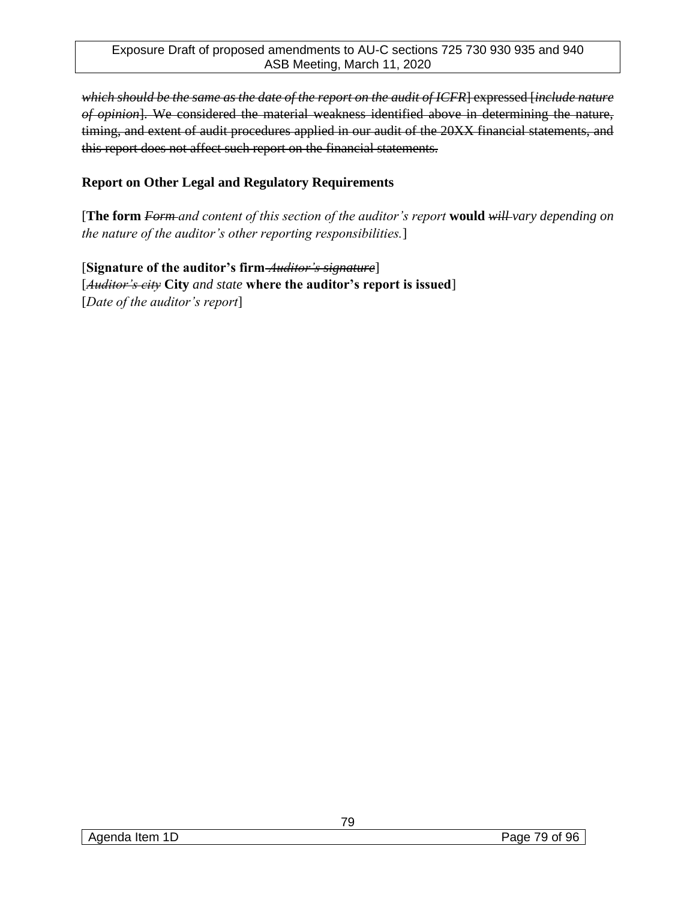*which should be the same as the date of the report on the audit of ICFR*] expressed [*include nature of opinion*]. We considered the material weakness identified above in determining the nature, timing, and extent of audit procedures applied in our audit of the 20XX financial statements, and this report does not affect such report on the financial statements.

#### **Report on Other Legal and Regulatory Requirements**

[**The form** *Form and content of this section of the auditor's report* **would** *will vary depending on the nature of the auditor's other reporting responsibilities.*]

[**Signature of the auditor's firm** *Auditor's signature*] [*Auditor's city* **City** *and state* **where the auditor's report is issued**] [*Date of the auditor's report*]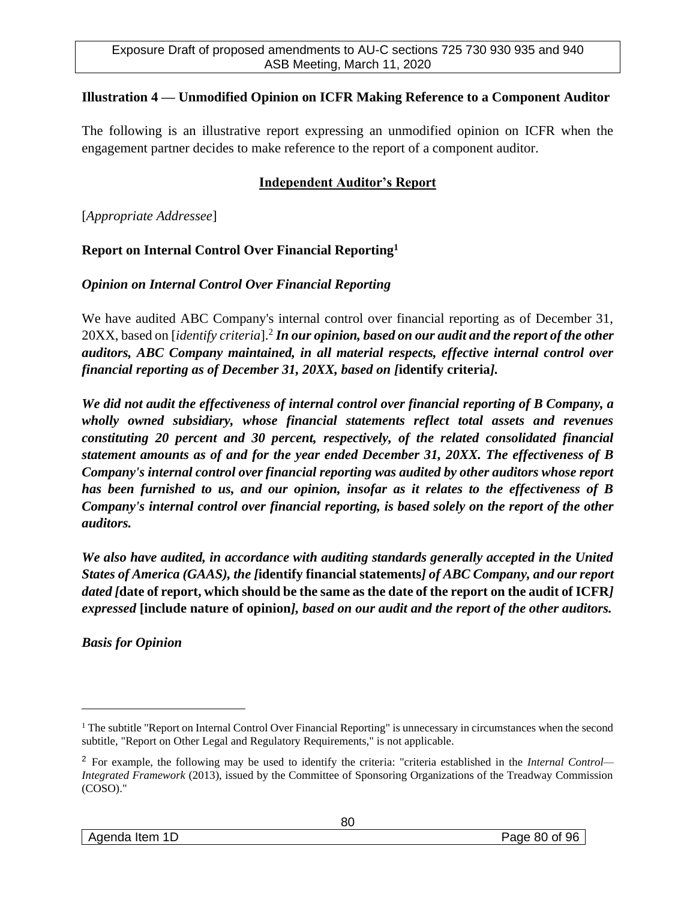#### **Illustration 4 — Unmodified Opinion on ICFR Making Reference to a Component Auditor**

The following is an illustrative report expressing an unmodified opinion on ICFR when the engagement partner decides to make reference to the report of a component auditor.

## **Independent Auditor's Report**

[*Appropriate Addressee*]

#### **Report on Internal Control Over Financial Reporting<sup>1</sup>**

#### *Opinion on Internal Control Over Financial Reporting*

We have audited ABC Company's internal control over financial reporting as of December 31, 20XX, based on [*identify criteria*].<sup>2</sup> In our opinion, based on our audit and the report of the other *auditors, ABC Company maintained, in all material respects, effective internal control over financial reporting as of December 31, 20XX, based on [***identify criteria***].*

*We did not audit the effectiveness of internal control over financial reporting of B Company, a wholly owned subsidiary, whose financial statements reflect total assets and revenues constituting 20 percent and 30 percent, respectively, of the related consolidated financial statement amounts as of and for the year ended December 31, 20XX. The effectiveness of B Company's internal control over financial reporting was audited by other auditors whose report has been furnished to us, and our opinion, insofar as it relates to the effectiveness of B Company's internal control over financial reporting, is based solely on the report of the other auditors.*

*We also have audited, in accordance with auditing standards generally accepted in the United States of America (GAAS), the [***identify financial statements***] of ABC Company, and our report dated [***date of report, which should be the same as the date of the report on the audit of ICFR***] expressed* **[include nature of opinion***], based on our audit and the report of the other auditors.*

*Basis for Opinion*

<sup>&</sup>lt;sup>1</sup> The subtitle "Report on Internal Control Over Financial Reporting" is unnecessary in circumstances when the second subtitle, "Report on Other Legal and Regulatory Requirements," is not applicable.

<sup>2</sup> For example, the following may be used to identify the criteria: "criteria established in the *Internal Control— Integrated Framework* (2013), issued by the Committee of Sponsoring Organizations of the Treadway Commission (COSO)."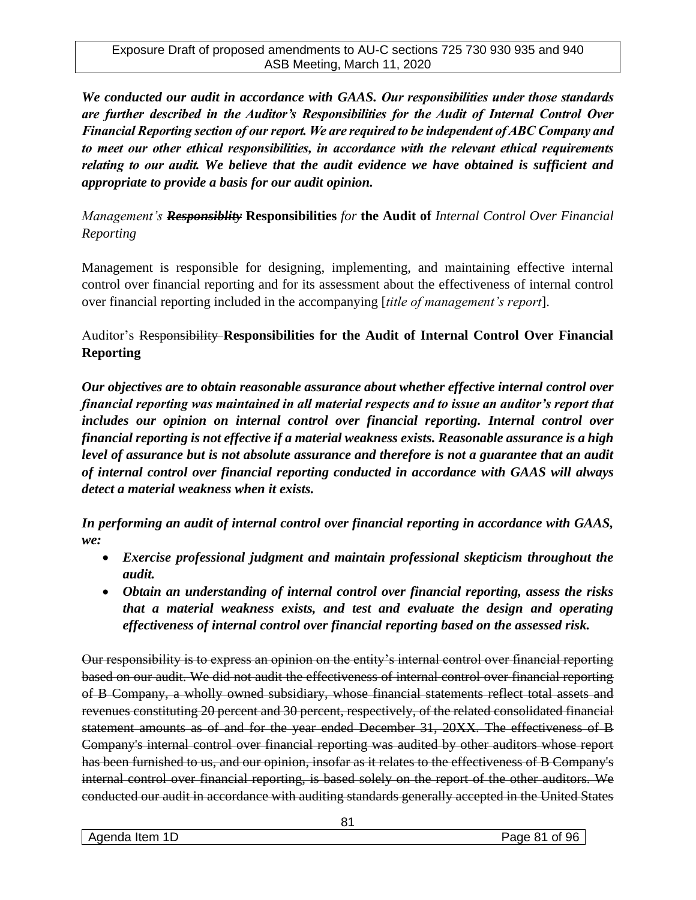*We conducted our audit in accordance with GAAS. Our responsibilities under those standards are further described in the Auditor's Responsibilities for the Audit of Internal Control Over Financial Reporting section of our report. We are required to be independent of ABC Company and to meet our other ethical responsibilities, in accordance with the relevant ethical requirements relating to our audit. We believe that the audit evidence we have obtained is sufficient and appropriate to provide a basis for our audit opinion.*

## *Management's Responsiblity* **Responsibilities** *for* **the Audit of** *Internal Control Over Financial Reporting*

Management is responsible for designing, implementing, and maintaining effective internal control over financial reporting and for its assessment about the effectiveness of internal control over financial reporting included in the accompanying [*title of management's report*].

## Auditor's Responsibility **Responsibilities for the Audit of Internal Control Over Financial Reporting**

*Our objectives are to obtain reasonable assurance about whether effective internal control over financial reporting was maintained in all material respects and to issue an auditor's report that includes our opinion on internal control over financial reporting. Internal control over financial reporting is not effective if a material weakness exists. Reasonable assurance is a high level of assurance but is not absolute assurance and therefore is not a guarantee that an audit of internal control over financial reporting conducted in accordance with GAAS will always detect a material weakness when it exists.* 

*In performing an audit of internal control over financial reporting in accordance with GAAS, we:*

- *Exercise professional judgment and maintain professional skepticism throughout the audit.*
- *Obtain an understanding of internal control over financial reporting, assess the risks that a material weakness exists, and test and evaluate the design and operating effectiveness of internal control over financial reporting based on the assessed risk.*

Our responsibility is to express an opinion on the entity's internal control over financial reporting based on our audit. We did not audit the effectiveness of internal control over financial reporting of B Company, a wholly owned subsidiary, whose financial statements reflect total assets and revenues constituting 20 percent and 30 percent, respectively, of the related consolidated financial statement amounts as of and for the year ended December 31, 20XX. The effectiveness of B Company's internal control over financial reporting was audited by other auditors whose report has been furnished to us, and our opinion, insofar as it relates to the effectiveness of B Company's internal control over financial reporting, is based solely on the report of the other auditors. We conducted our audit in accordance with auditing standards generally accepted in the United States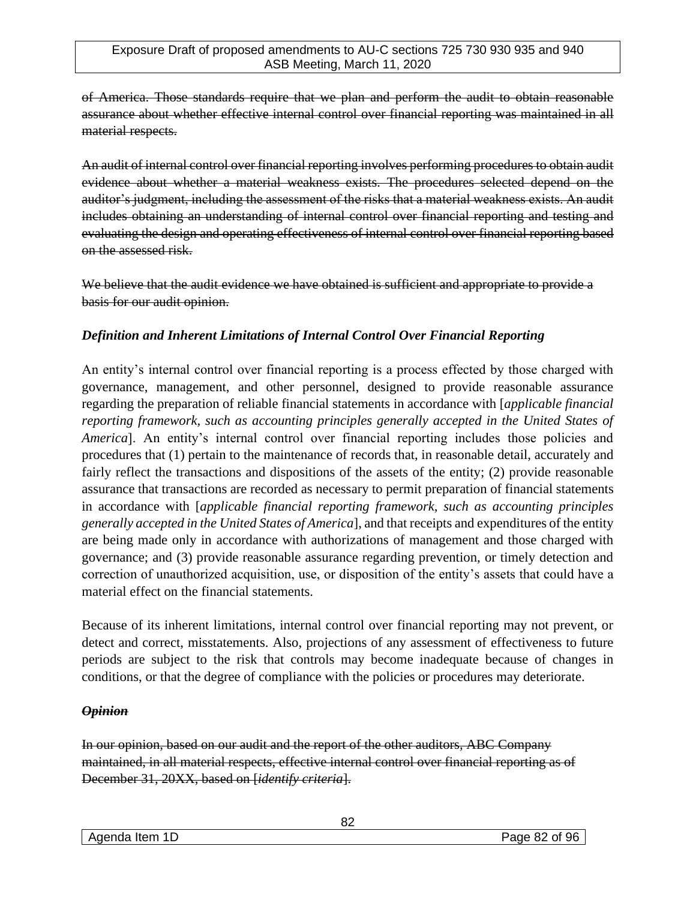of America. Those standards require that we plan and perform the audit to obtain reasonable assurance about whether effective internal control over financial reporting was maintained in all material respects.

An audit of internal control over financial reporting involves performing procedures to obtain audit evidence about whether a material weakness exists. The procedures selected depend on the auditor's judgment, including the assessment of the risks that a material weakness exists. An audit includes obtaining an understanding of internal control over financial reporting and testing and evaluating the design and operating effectiveness of internal control over financial reporting based on the assessed risk.

We believe that the audit evidence we have obtained is sufficient and appropriate to provide a basis for our audit opinion.

## *Definition and Inherent Limitations of Internal Control Over Financial Reporting*

An entity's internal control over financial reporting is a process effected by those charged with governance, management, and other personnel, designed to provide reasonable assurance regarding the preparation of reliable financial statements in accordance with [*applicable financial reporting framework, such as accounting principles generally accepted in the United States of America*]. An entity's internal control over financial reporting includes those policies and procedures that (1) pertain to the maintenance of records that, in reasonable detail, accurately and fairly reflect the transactions and dispositions of the assets of the entity; (2) provide reasonable assurance that transactions are recorded as necessary to permit preparation of financial statements in accordance with [*applicable financial reporting framework, such as accounting principles generally accepted in the United States of America*], and that receipts and expenditures of the entity are being made only in accordance with authorizations of management and those charged with governance; and (3) provide reasonable assurance regarding prevention, or timely detection and correction of unauthorized acquisition, use, or disposition of the entity's assets that could have a material effect on the financial statements.

Because of its inherent limitations, internal control over financial reporting may not prevent, or detect and correct, misstatements. Also, projections of any assessment of effectiveness to future periods are subject to the risk that controls may become inadequate because of changes in conditions, or that the degree of compliance with the policies or procedures may deteriorate.

#### *Opinion*

In our opinion, based on our audit and the report of the other auditors, ABC Company maintained, in all material respects, effective internal control over financial reporting as of December 31, 20XX, based on [*identify criteria*].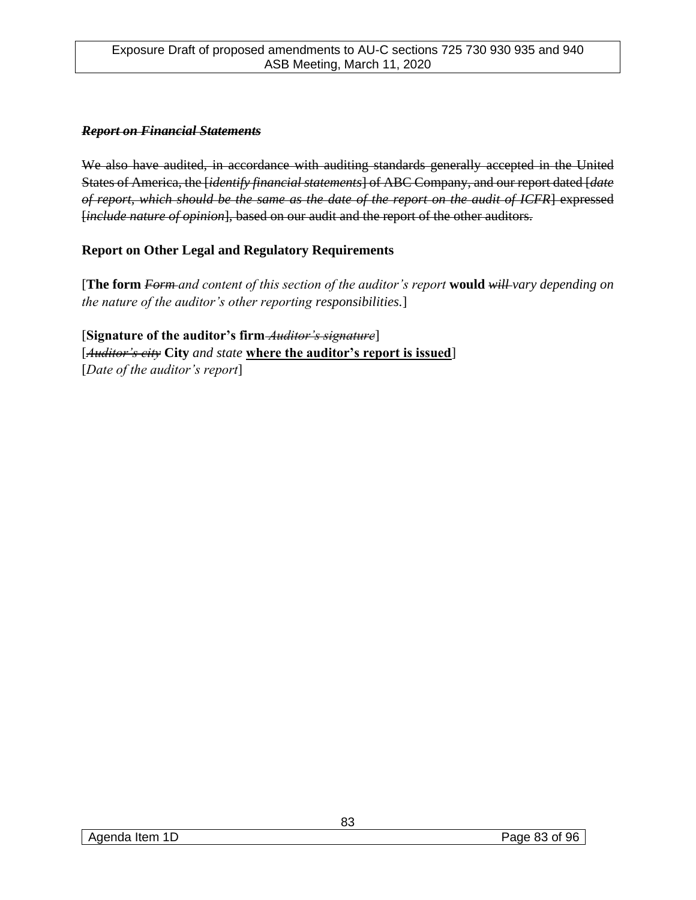#### *Report on Financial Statements*

We also have audited, in accordance with auditing standards generally accepted in the United States of America, the [*identify financial statements*] of ABC Company, and our report dated [*date of report, which should be the same as the date of the report on the audit of ICFR*] expressed [*include nature of opinion*], based on our audit and the report of the other auditors.

## **Report on Other Legal and Regulatory Requirements**

[**The form** *Form and content of this section of the auditor's report* **would** *will vary depending on the nature of the auditor's other reporting responsibilities.*]

[**Signature of the auditor's firm** *Auditor's signature*] [*Auditor's city* **City** *and state* **where the auditor's report is issued**] [*Date of the auditor's report*]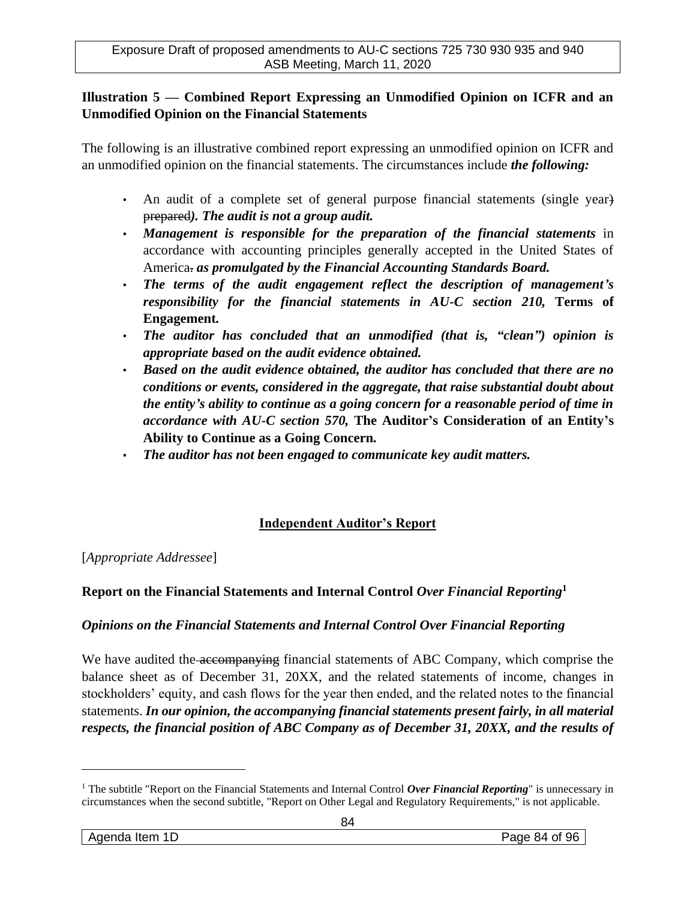## **Illustration 5 — Combined Report Expressing an Unmodified Opinion on ICFR and an Unmodified Opinion on the Financial Statements**

The following is an illustrative combined report expressing an unmodified opinion on ICFR and an unmodified opinion on the financial statements. The circumstances include *the following:*

- An audit of a complete set of general purpose financial statements (single year) prepared*). The audit is not a group audit.*
- *Management is responsible for the preparation of the financial statements* in accordance with accounting principles generally accepted in the United States of America. *as promulgated by the Financial Accounting Standards Board.*
- *The terms of the audit engagement reflect the description of management's responsibility for the financial statements in AU-C section 210, Terms of* **Engagement***.*
- *The auditor has concluded that an unmodified (that is, "clean") opinion is appropriate based on the audit evidence obtained.*
- *Based on the audit evidence obtained, the auditor has concluded that there are no conditions or events, considered in the aggregate, that raise substantial doubt about the entity's ability to continue as a going concern for a reasonable period of time in accordance with AU-C section 570,* **The Auditor's Consideration of an Entity's Ability to Continue as a Going Concern***.*
- *The auditor has not been engaged to communicate key audit matters.*

## **Independent Auditor's Report**

[*Appropriate Addressee*]

## **Report on the Financial Statements and Internal Control** *Over Financial Reporting***<sup>1</sup>**

## *Opinions on the Financial Statements and Internal Control Over Financial Reporting*

We have audited the accompanying financial statements of ABC Company, which comprise the balance sheet as of December 31, 20XX, and the related statements of income, changes in stockholders' equity, and cash flows for the year then ended, and the related notes to the financial statements. *In our opinion, the accompanying financial statements present fairly, in all material respects, the financial position of ABC Company as of December 31, 20XX, and the results of* 

<sup>1</sup> The subtitle "Report on the Financial Statements and Internal Control *Over Financial Reporting*" is unnecessary in circumstances when the second subtitle, "Report on Other Legal and Regulatory Requirements," is not applicable.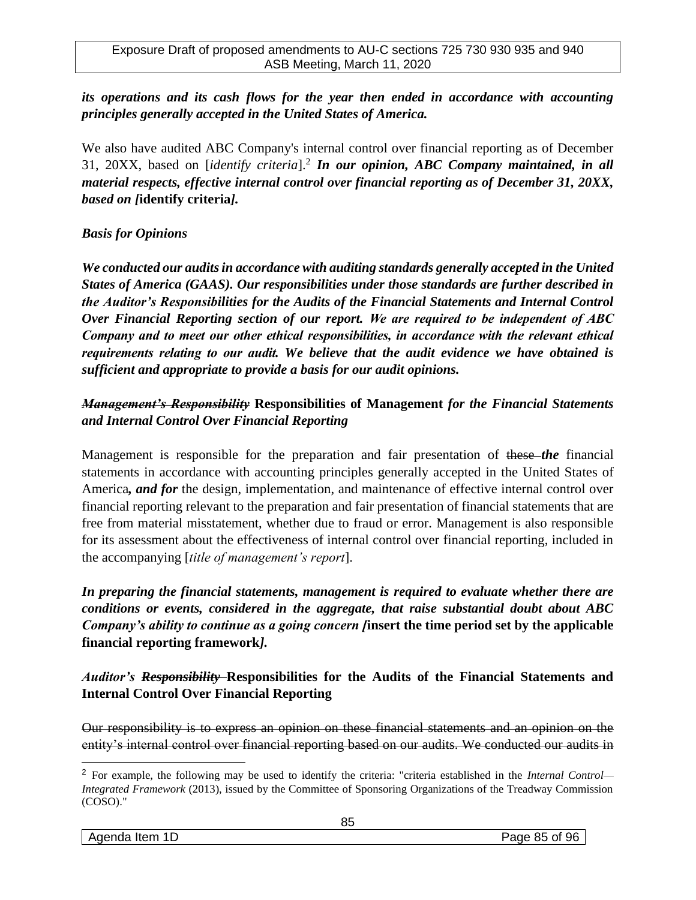*its operations and its cash flows for the year then ended in accordance with accounting principles generally accepted in the United States of America.*

We also have audited ABC Company's internal control over financial reporting as of December 31, 20XX, based on [*identify criteria*].<sup>2</sup> In our opinion, ABC Company maintained, in all *material respects, effective internal control over financial reporting as of December 31, 20XX, based on [***identify criteria***].*

#### *Basis for Opinions*

*We conducted our audits in accordance with auditing standards generally accepted in the United States of America (GAAS). Our responsibilities under those standards are further described in the Auditor's Responsibilities for the Audits of the Financial Statements and Internal Control Over Financial Reporting section of our report. We are required to be independent of ABC Company and to meet our other ethical responsibilities, in accordance with the relevant ethical requirements relating to our audit. We believe that the audit evidence we have obtained is sufficient and appropriate to provide a basis for our audit opinions.*

## *Management's Responsibility* **Responsibilities of Management** *for the Financial Statements and Internal Control Over Financial Reporting*

Management is responsible for the preparation and fair presentation of these *the* financial statements in accordance with accounting principles generally accepted in the United States of America*, and for* the design, implementation, and maintenance of effective internal control over financial reporting relevant to the preparation and fair presentation of financial statements that are free from material misstatement, whether due to fraud or error. Management is also responsible for its assessment about the effectiveness of internal control over financial reporting, included in the accompanying [*title of management's report*].

*In preparing the financial statements, management is required to evaluate whether there are conditions or events, considered in the aggregate, that raise substantial doubt about ABC Company's ability to continue as a going concern [***insert the time period set by the applicable financial reporting framework***].*

## *Auditor's Responsibility* **Responsibilities for the Audits of the Financial Statements and Internal Control Over Financial Reporting**

Our responsibility is to express an opinion on these financial statements and an opinion on the entity's internal control over financial reporting based on our audits. We conducted our audits in

<sup>2</sup> For example, the following may be used to identify the criteria: "criteria established in the *Internal Control— Integrated Framework* (2013), issued by the Committee of Sponsoring Organizations of the Treadway Commission (COSO)."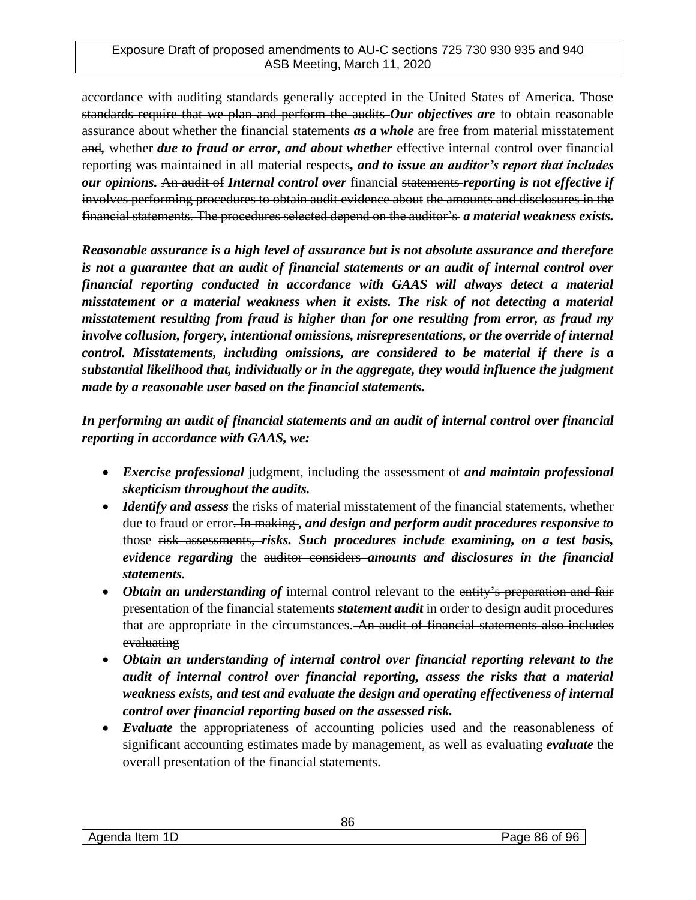accordance with auditing standards generally accepted in the United States of America. Those standards require that we plan and perform the audits *Our objectives are* to obtain reasonable assurance about whether the financial statements *as a whole* are free from material misstatement and*,* whether *due to fraud or error, and about whether* effective internal control over financial reporting was maintained in all material respects*, and to issue an auditor's report that includes our opinions.* An audit of *Internal control over* financial statements *reporting is not effective if*  involves performing procedures to obtain audit evidence about the amounts and disclosures in the financial statements. The procedures selected depend on the auditor's *a material weakness exists.* 

*Reasonable assurance is a high level of assurance but is not absolute assurance and therefore is not a guarantee that an audit of financial statements or an audit of internal control over financial reporting conducted in accordance with GAAS will always detect a material misstatement or a material weakness when it exists. The risk of not detecting a material misstatement resulting from fraud is higher than for one resulting from error, as fraud my involve collusion, forgery, intentional omissions, misrepresentations, or the override of internal control. Misstatements, including omissions, are considered to be material if there is a substantial likelihood that, individually or in the aggregate, they would influence the judgment made by a reasonable user based on the financial statements.*

*In performing an audit of financial statements and an audit of internal control over financial reporting in accordance with GAAS, we:*

- *Exercise professional* judgment, including the assessment of *and maintain professional skepticism throughout the audits.*
- *Identify and assess* the risks of material misstatement of the financial statements, whether due to fraud or error. In making *, and design and perform audit procedures responsive to*  those risk assessments, *risks. Such procedures include examining, on a test basis, evidence regarding* the auditor considers *amounts and disclosures in the financial statements.*
- *Obtain an understanding of internal control relevant to the entity's preparation and fair* presentation of the financial statements *statement audit* in order to design audit procedures that are appropriate in the circumstances. An audit of financial statements also includes evaluating
- *Obtain an understanding of internal control over financial reporting relevant to the audit of internal control over financial reporting, assess the risks that a material weakness exists, and test and evaluate the design and operating effectiveness of internal control over financial reporting based on the assessed risk.*
- *Evaluate* the appropriateness of accounting policies used and the reasonableness of significant accounting estimates made by management, as well as evaluating *evaluate* the overall presentation of the financial statements.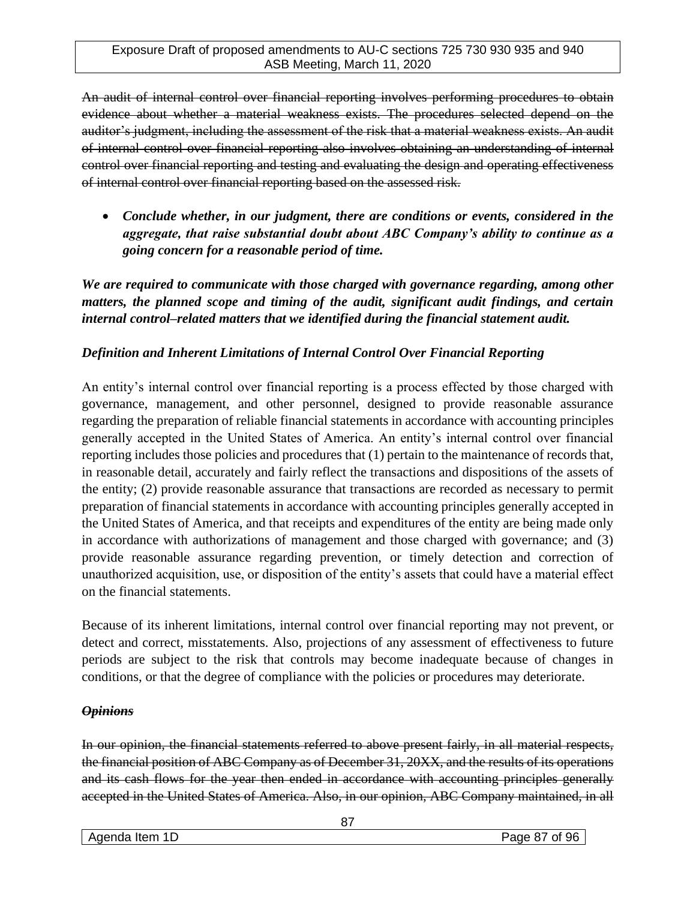An audit of internal control over financial reporting involves performing procedures to obtain evidence about whether a material weakness exists. The procedures selected depend on the auditor's judgment, including the assessment of the risk that a material weakness exists. An audit of internal control over financial reporting also involves obtaining an understanding of internal control over financial reporting and testing and evaluating the design and operating effectiveness of internal control over financial reporting based on the assessed risk.

• *Conclude whether, in our judgment, there are conditions or events, considered in the aggregate, that raise substantial doubt about ABC Company's ability to continue as a going concern for a reasonable period of time.*

*We are required to communicate with those charged with governance regarding, among other matters, the planned scope and timing of the audit, significant audit findings, and certain internal control–related matters that we identified during the financial statement audit.*

#### *Definition and Inherent Limitations of Internal Control Over Financial Reporting*

An entity's internal control over financial reporting is a process effected by those charged with governance, management, and other personnel, designed to provide reasonable assurance regarding the preparation of reliable financial statements in accordance with accounting principles generally accepted in the United States of America. An entity's internal control over financial reporting includes those policies and procedures that (1) pertain to the maintenance of records that, in reasonable detail, accurately and fairly reflect the transactions and dispositions of the assets of the entity; (2) provide reasonable assurance that transactions are recorded as necessary to permit preparation of financial statements in accordance with accounting principles generally accepted in the United States of America, and that receipts and expenditures of the entity are being made only in accordance with authorizations of management and those charged with governance; and (3) provide reasonable assurance regarding prevention, or timely detection and correction of unauthorized acquisition, use, or disposition of the entity's assets that could have a material effect on the financial statements.

Because of its inherent limitations, internal control over financial reporting may not prevent, or detect and correct, misstatements. Also, projections of any assessment of effectiveness to future periods are subject to the risk that controls may become inadequate because of changes in conditions, or that the degree of compliance with the policies or procedures may deteriorate.

#### *Opinions*

In our opinion, the financial statements referred to above present fairly, in all material respects, the financial position of ABC Company as of December 31, 20XX, and the results of its operations and its cash flows for the year then ended in accordance with accounting principles generally accepted in the United States of America. Also, in our opinion, ABC Company maintained, in all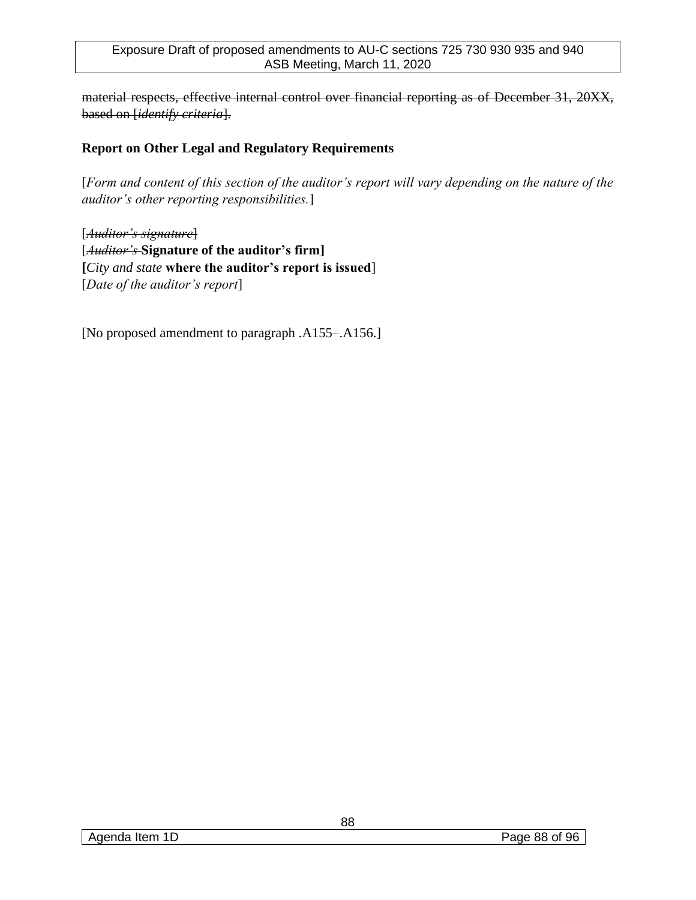material respects, effective internal control over financial reporting as of December 31, 20XX, based on [*identify criteria*].

#### **Report on Other Legal and Regulatory Requirements**

[*Form and content of this section of the auditor's report will vary depending on the nature of the auditor's other reporting responsibilities.*]

[*Auditor's signature*] [*Auditor's* **Signature of the auditor's firm] [***City and state* **where the auditor's report is issued**] [*Date of the auditor's report*]

[No proposed amendment to paragraph .A155–.A156.]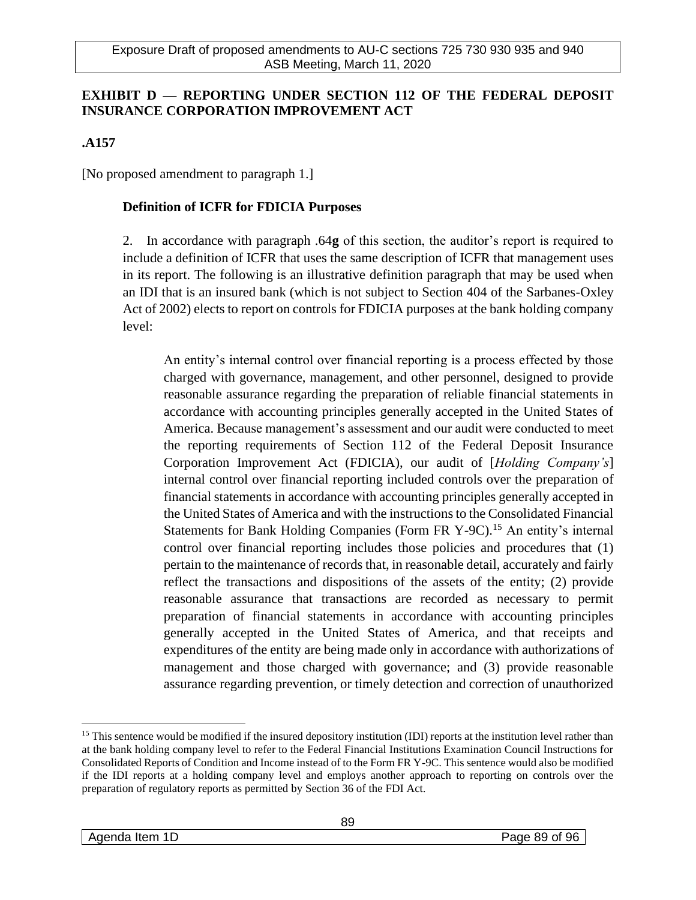#### **EXHIBIT D — REPORTING UNDER SECTION 112 OF THE FEDERAL DEPOSIT INSURANCE CORPORATION IMPROVEMENT ACT**

#### **.A157**

[No proposed amendment to paragraph 1.]

#### **Definition of ICFR for FDICIA Purposes**

2. In accordance with paragraph .64**g** of this section, the auditor's report is required to include a definition of ICFR that uses the same description of ICFR that management uses in its report. The following is an illustrative definition paragraph that may be used when an IDI that is an insured bank (which is not subject to Section 404 of the Sarbanes-Oxley Act of 2002) elects to report on controls for FDICIA purposes at the bank holding company level:

An entity's internal control over financial reporting is a process effected by those charged with governance, management, and other personnel, designed to provide reasonable assurance regarding the preparation of reliable financial statements in accordance with accounting principles generally accepted in the United States of America. Because management's assessment and our audit were conducted to meet the reporting requirements of Section 112 of the Federal Deposit Insurance Corporation Improvement Act (FDICIA), our audit of [*Holding Company's*] internal control over financial reporting included controls over the preparation of financial statements in accordance with accounting principles generally accepted in the United States of America and with the instructions to the Consolidated Financial Statements for Bank Holding Companies (Form FR Y-9C).<sup>15</sup> An entity's internal control over financial reporting includes those policies and procedures that (1) pertain to the maintenance of records that, in reasonable detail, accurately and fairly reflect the transactions and dispositions of the assets of the entity; (2) provide reasonable assurance that transactions are recorded as necessary to permit preparation of financial statements in accordance with accounting principles generally accepted in the United States of America, and that receipts and expenditures of the entity are being made only in accordance with authorizations of management and those charged with governance; and (3) provide reasonable assurance regarding prevention, or timely detection and correction of unauthorized

<sup>&</sup>lt;sup>15</sup> This sentence would be modified if the insured depository institution (IDI) reports at the institution level rather than at the bank holding company level to refer to the Federal Financial Institutions Examination Council Instructions for Consolidated Reports of Condition and Income instead of to the Form FR Y-9C. This sentence would also be modified if the IDI reports at a holding company level and employs another approach to reporting on controls over the preparation of regulatory reports as permitted by Section 36 of the FDI Act.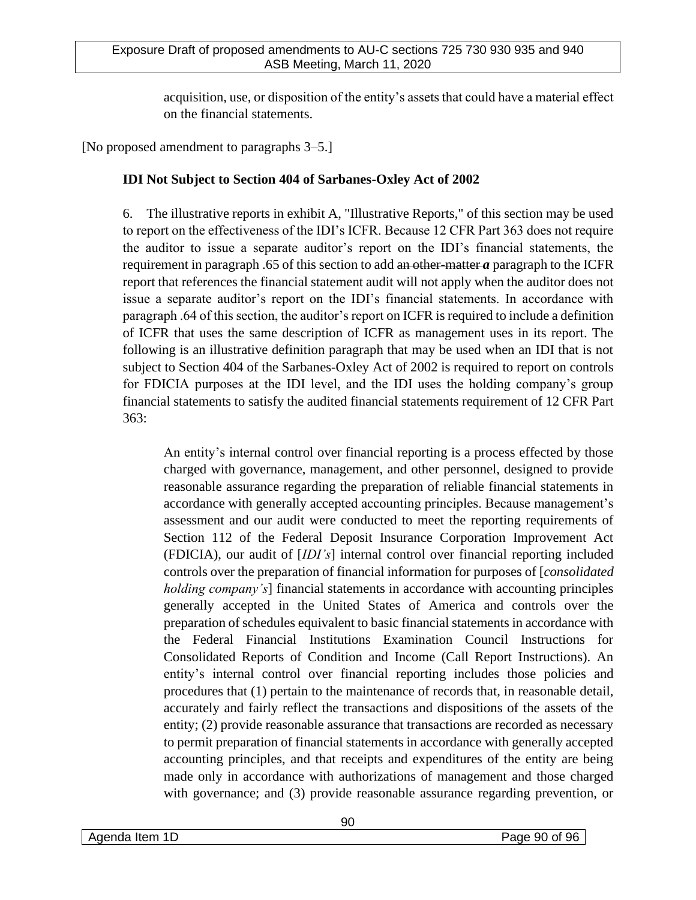acquisition, use, or disposition of the entity's assets that could have a material effect on the financial statements.

[No proposed amendment to paragraphs 3–5.]

## **IDI Not Subject to Section 404 of Sarbanes-Oxley Act of 2002**

6. The illustrative reports in exhibit A, "Illustrative Reports," of this section may be used to report on the effectiveness of the IDI's ICFR. Because 12 CFR Part 363 does not require the auditor to issue a separate auditor's report on the IDI's financial statements, the requirement in paragraph .65 of this section to add an other-matter *a* paragraph to the ICFR report that references the financial statement audit will not apply when the auditor does not issue a separate auditor's report on the IDI's financial statements. In accordance with paragraph .64 of this section, the auditor's report on ICFR is required to include a definition of ICFR that uses the same description of ICFR as management uses in its report. The following is an illustrative definition paragraph that may be used when an IDI that is not subject to Section 404 of the Sarbanes-Oxley Act of 2002 is required to report on controls for FDICIA purposes at the IDI level, and the IDI uses the holding company's group financial statements to satisfy the audited financial statements requirement of 12 CFR Part 363:

An entity's internal control over financial reporting is a process effected by those charged with governance, management, and other personnel, designed to provide reasonable assurance regarding the preparation of reliable financial statements in accordance with generally accepted accounting principles. Because management's assessment and our audit were conducted to meet the reporting requirements of Section 112 of the Federal Deposit Insurance Corporation Improvement Act (FDICIA), our audit of [*IDI's*] internal control over financial reporting included controls over the preparation of financial information for purposes of [*consolidated holding company's*] financial statements in accordance with accounting principles generally accepted in the United States of America and controls over the preparation of schedules equivalent to basic financial statements in accordance with the Federal Financial Institutions Examination Council Instructions for Consolidated Reports of Condition and Income (Call Report Instructions). An entity's internal control over financial reporting includes those policies and procedures that (1) pertain to the maintenance of records that, in reasonable detail, accurately and fairly reflect the transactions and dispositions of the assets of the entity; (2) provide reasonable assurance that transactions are recorded as necessary to permit preparation of financial statements in accordance with generally accepted accounting principles, and that receipts and expenditures of the entity are being made only in accordance with authorizations of management and those charged with governance; and (3) provide reasonable assurance regarding prevention, or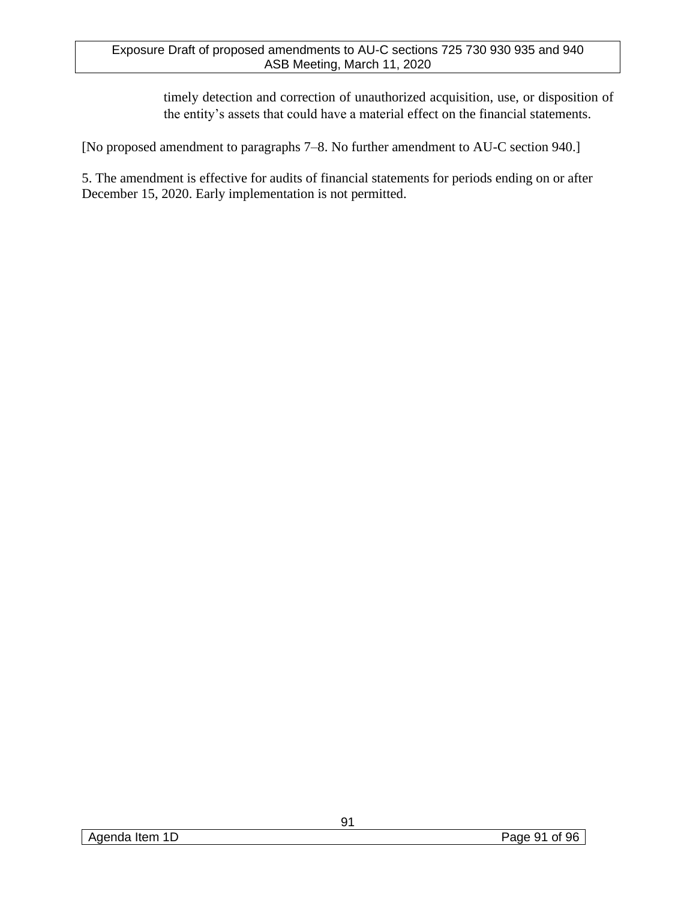timely detection and correction of unauthorized acquisition, use, or disposition of the entity's assets that could have a material effect on the financial statements.

[No proposed amendment to paragraphs 7–8. No further amendment to AU-C section 940.]

5. The amendment is effective for audits of financial statements for periods ending on or after December 15, 2020. Early implementation is not permitted.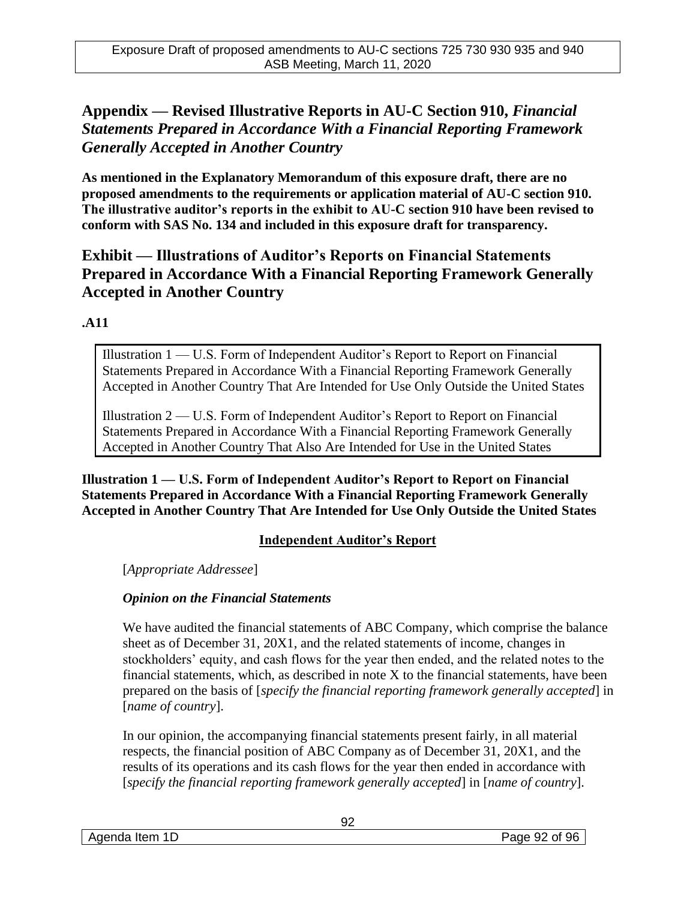# **Appendix — Revised Illustrative Reports in AU-C Section 910,** *Financial Statements Prepared in Accordance With a Financial Reporting Framework Generally Accepted in Another Country*

**As mentioned in the Explanatory Memorandum of this exposure draft, there are no proposed amendments to the requirements or application material of AU-C section 910. The illustrative auditor's reports in the exhibit to AU-C section 910 have been revised to conform with SAS No. 134 and included in this exposure draft for transparency.**

# **Exhibit — Illustrations of Auditor's Reports on Financial Statements Prepared in Accordance With a Financial Reporting Framework Generally Accepted in Another Country**

**.A11**

[Illustration 1](#page-91-0) — U.S. Form of Independent Auditor's Report to Report on Financial Statements Prepared in Accordance With a Financial Reporting Framework Generally Accepted in Another Country That Are Intended for Use Only Outside the United States

[Illustration 2](#page-93-0) — U.S. Form of Independent Auditor's Report to Report on Financial Statements Prepared in Accordance With a Financial Reporting Framework Generally Accepted in Another Country That Also Are Intended for Use in the United States

<span id="page-91-0"></span>**Illustration 1 — U.S. Form of Independent Auditor's Report to Report on Financial Statements Prepared in Accordance With a Financial Reporting Framework Generally Accepted in Another Country That Are Intended for Use Only Outside the United States**

# **Independent Auditor's Report**

[*Appropriate Addressee*]

# *Opinion on the Financial Statements*

We have audited the financial statements of ABC Company, which comprise the balance sheet as of December 31, 20X1, and the related statements of income, changes in stockholders' equity, and cash flows for the year then ended, and the related notes to the financial statements, which, as described in note X to the financial statements, have been prepared on the basis of [*specify the financial reporting framework generally accepted*] in [*name of country*].

In our opinion, the accompanying financial statements present fairly, in all material respects, the financial position of ABC Company as of December 31, 20X1, and the results of its operations and its cash flows for the year then ended in accordance with [*specify the financial reporting framework generally accepted*] in [*name of country*].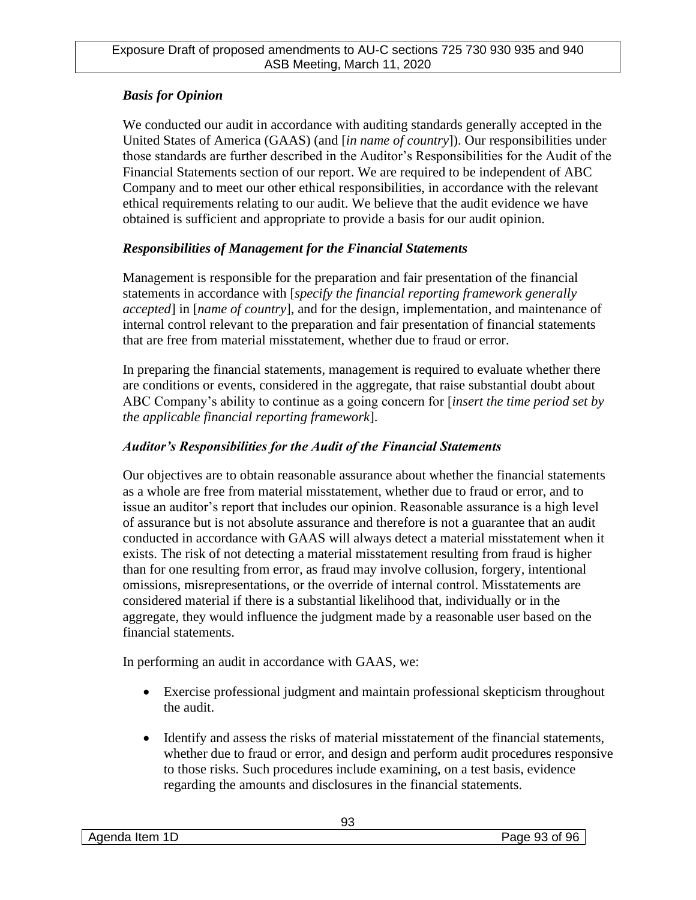## *Basis for Opinion*

We conducted our audit in accordance with auditing standards generally accepted in the United States of America (GAAS) (and [*in name of country*]). Our responsibilities under those standards are further described in the Auditor's Responsibilities for the Audit of the Financial Statements section of our report. We are required to be independent of ABC Company and to meet our other ethical responsibilities, in accordance with the relevant ethical requirements relating to our audit. We believe that the audit evidence we have obtained is sufficient and appropriate to provide a basis for our audit opinion.

#### *Responsibilities of Management for the Financial Statements*

Management is responsible for the preparation and fair presentation of the financial statements in accordance with [*specify the financial reporting framework generally accepted*] in [*name of country*], and for the design, implementation, and maintenance of internal control relevant to the preparation and fair presentation of financial statements that are free from material misstatement, whether due to fraud or error.

In preparing the financial statements, management is required to evaluate whether there are conditions or events, considered in the aggregate, that raise substantial doubt about ABC Company's ability to continue as a going concern for [*insert the time period set by the applicable financial reporting framework*].

#### *Auditor's Responsibilities for the Audit of the Financial Statements*

Our objectives are to obtain reasonable assurance about whether the financial statements as a whole are free from material misstatement, whether due to fraud or error, and to issue an auditor's report that includes our opinion. Reasonable assurance is a high level of assurance but is not absolute assurance and therefore is not a guarantee that an audit conducted in accordance with GAAS will always detect a material misstatement when it exists. The risk of not detecting a material misstatement resulting from fraud is higher than for one resulting from error, as fraud may involve collusion, forgery, intentional omissions, misrepresentations, or the override of internal control. Misstatements are considered material if there is a substantial likelihood that, individually or in the aggregate, they would influence the judgment made by a reasonable user based on the financial statements.

In performing an audit in accordance with GAAS, we:

- Exercise professional judgment and maintain professional skepticism throughout the audit.
- Identify and assess the risks of material misstatement of the financial statements, whether due to fraud or error, and design and perform audit procedures responsive to those risks. Such procedures include examining, on a test basis, evidence regarding the amounts and disclosures in the financial statements.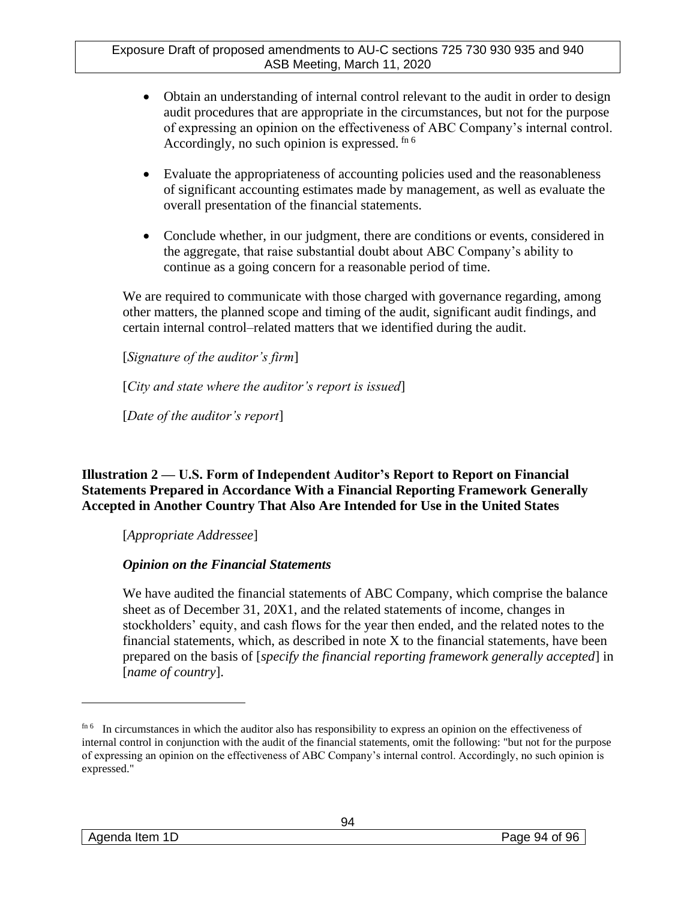- Obtain an understanding of internal control relevant to the audit in order to design audit procedures that are appropriate in the circumstances, but not for the purpose of expressing an opinion on the effectiveness of ABC Company's internal control. Accordingly, no such opinion is expressed.  $\frac{\text{fn } 6}{\text{fn } 6}$
- Evaluate the appropriateness of accounting policies used and the reasonableness of significant accounting estimates made by management, as well as evaluate the overall presentation of the financial statements.
- Conclude whether, in our judgment, there are conditions or events, considered in the aggregate, that raise substantial doubt about ABC Company's ability to continue as a going concern for a reasonable period of time.

We are required to communicate with those charged with governance regarding, among other matters, the planned scope and timing of the audit, significant audit findings, and certain internal control–related matters that we identified during the audit.

[*Signature of the auditor's firm*]

[*City and state where the auditor's report is issued*]

[*Date of the auditor's report*]

#### <span id="page-93-0"></span>**Illustration 2 — U.S. Form of Independent Auditor's Report to Report on Financial Statements Prepared in Accordance With a Financial Reporting Framework Generally Accepted in Another Country That Also Are Intended for Use in the United States**

[*Appropriate Addressee*]

## *Opinion on the Financial Statements*

We have audited the financial statements of ABC Company, which comprise the balance sheet as of December 31, 20X1, and the related statements of income, changes in stockholders' equity, and cash flows for the year then ended, and the related notes to the financial statements, which, as described in note X to the financial statements, have been prepared on the basis of [*specify the financial reporting framework generally accepted*] in [*name of country*].

 $<sup>fn 6</sup>$  In circumstances in which the auditor also has responsibility to express an opinion on the effectiveness of</sup> internal control in conjunction with the audit of the financial statements, omit the following: "but not for the purpose of expressing an opinion on the effectiveness of ABC Company's internal control. Accordingly, no such opinion is expressed."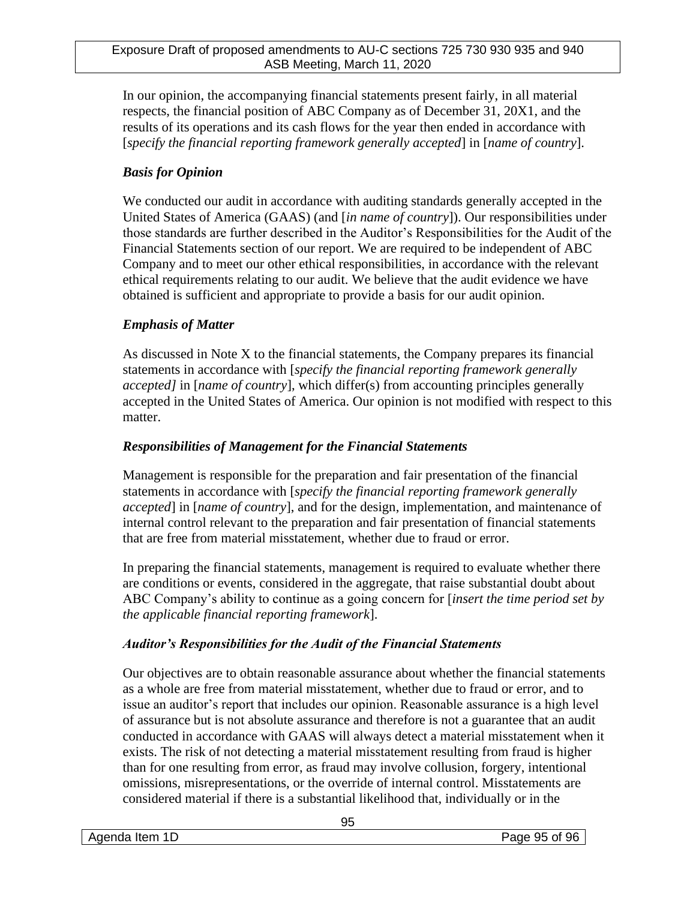In our opinion, the accompanying financial statements present fairly, in all material respects, the financial position of ABC Company as of December 31, 20X1, and the results of its operations and its cash flows for the year then ended in accordance with [*specify the financial reporting framework generally accepted*] in [*name of country*].

## *Basis for Opinion*

We conducted our audit in accordance with auditing standards generally accepted in the United States of America (GAAS) (and [*in name of country*]). Our responsibilities under those standards are further described in the Auditor's Responsibilities for the Audit of the Financial Statements section of our report. We are required to be independent of ABC Company and to meet our other ethical responsibilities, in accordance with the relevant ethical requirements relating to our audit. We believe that the audit evidence we have obtained is sufficient and appropriate to provide a basis for our audit opinion.

#### *Emphasis of Matter*

As discussed in Note X to the financial statements, the Company prepares its financial statements in accordance with [*specify the financial reporting framework generally accepted]* in [*name of country*], which differ(s) from accounting principles generally accepted in the United States of America. Our opinion is not modified with respect to this matter.

#### *Responsibilities of Management for the Financial Statements*

Management is responsible for the preparation and fair presentation of the financial statements in accordance with [*specify the financial reporting framework generally accepted*] in [*name of country*], and for the design, implementation, and maintenance of internal control relevant to the preparation and fair presentation of financial statements that are free from material misstatement, whether due to fraud or error.

In preparing the financial statements, management is required to evaluate whether there are conditions or events, considered in the aggregate, that raise substantial doubt about ABC Company's ability to continue as a going concern for [*insert the time period set by the applicable financial reporting framework*].

#### *Auditor's Responsibilities for the Audit of the Financial Statements*

Our objectives are to obtain reasonable assurance about whether the financial statements as a whole are free from material misstatement, whether due to fraud or error, and to issue an auditor's report that includes our opinion. Reasonable assurance is a high level of assurance but is not absolute assurance and therefore is not a guarantee that an audit conducted in accordance with GAAS will always detect a material misstatement when it exists. The risk of not detecting a material misstatement resulting from fraud is higher than for one resulting from error, as fraud may involve collusion, forgery, intentional omissions, misrepresentations, or the override of internal control. Misstatements are considered material if there is a substantial likelihood that, individually or in the